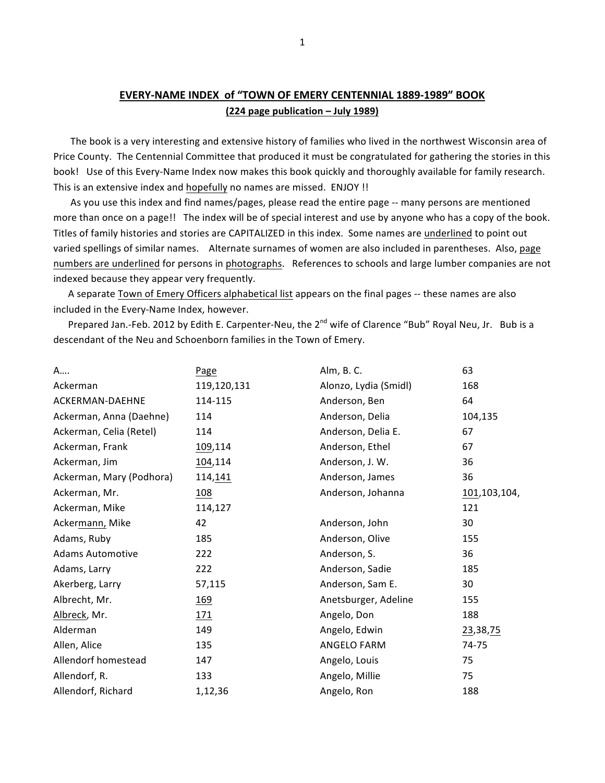## **EVERY-NAME INDEX of "TOWN OF EMERY CENTENNIAL 1889-1989" BOOK (224 page publication – July 1989)**

The book is a very interesting and extensive history of families who lived in the northwest Wisconsin area of Price County. The Centennial Committee that produced it must be congratulated for gathering the stories in this book! Use of this Every-Name Index now makes this book quickly and thoroughly available for family research. This is an extensive index and hopefully no names are missed. ENJOY !!

As you use this index and find names/pages, please read the entire page -- many persons are mentioned more than once on a page!! The index will be of special interest and use by anyone who has a copy of the book. Titles of family histories and stories are CAPITALIZED in this index. Some names are underlined to point out varied spellings of similar names. Alternate surnames of women are also included in parentheses. Also, page numbers are underlined for persons in photographs. References to schools and large lumber companies are not indexed because they appear very frequently.

A separate Town of Emery Officers alphabetical list appears on the final pages -- these names are also included in the Every-Name Index, however.

Prepared Jan.-Feb. 2012 by Edith E. Carpenter-Neu, the 2<sup>nd</sup> wife of Clarence "Bub" Royal Neu, Jr. Bub is a descendant of the Neu and Schoenborn families in the Town of Emery.

| Page        | Alm, B. C.            | 63           |
|-------------|-----------------------|--------------|
| 119,120,131 | Alonzo, Lydia (Smidl) | 168          |
| 114-115     | Anderson, Ben         | 64           |
| 114         | Anderson, Delia       | 104,135      |
| 114         | Anderson, Delia E.    | 67           |
| 109,114     | Anderson, Ethel       | 67           |
| 104,114     | Anderson, J. W.       | 36           |
| 114, 141    | Anderson, James       | 36           |
| <u>108</u>  | Anderson, Johanna     | 101,103,104, |
| 114,127     |                       | 121          |
| 42          | Anderson, John        | 30           |
| 185         | Anderson, Olive       | 155          |
| 222         | Anderson, S.          | 36           |
| 222         | Anderson, Sadie       | 185          |
| 57,115      | Anderson, Sam E.      | 30           |
| 169         | Anetsburger, Adeline  | 155          |
| 171         | Angelo, Don           | 188          |
| 149         | Angelo, Edwin         | 23,38,75     |
| 135         | ANGELO FARM           | 74-75        |
| 147         | Angelo, Louis         | 75           |
| 133         | Angelo, Millie        | 75           |
| 1,12,36     | Angelo, Ron           | 188          |
|             |                       |              |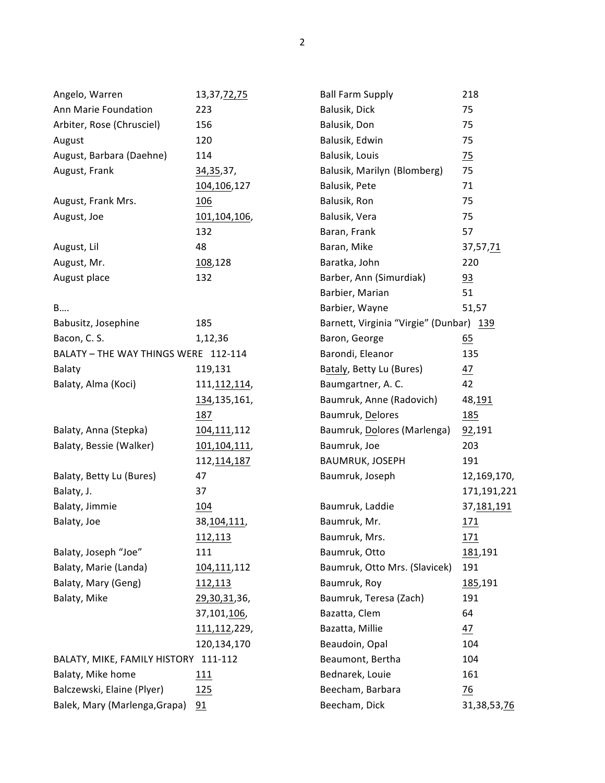| Angelo, Warren                       | 13, 37, 72, 75       | <b>Ball Farm Supply</b>                 | 218            |
|--------------------------------------|----------------------|-----------------------------------------|----------------|
| Ann Marie Foundation                 | 223                  | Balusik, Dick                           | 75             |
| Arbiter, Rose (Chrusciel)            | 156                  | Balusik, Don                            | 75             |
| August                               | 120                  | Balusik, Edwin                          | 75             |
| August, Barbara (Daehne)             | 114                  | Balusik, Louis                          | $\frac{75}{2}$ |
| August, Frank                        | 34, 35, 37,          | Balusik, Marilyn (Blomberg)             | 75             |
|                                      | 104,106,127          | Balusik, Pete                           | 71             |
| August, Frank Mrs.                   | 106                  | Balusik, Ron                            | 75             |
| August, Joe                          | 101,104,106,         | Balusik, Vera                           | 75             |
|                                      | 132                  | Baran, Frank                            | 57             |
| August, Lil                          | 48                   | Baran, Mike                             | 37,57,71       |
| August, Mr.                          | 108,128              | Baratka, John                           | 220            |
| August place                         | 132                  | Barber, Ann (Simurdiak)                 | 93             |
|                                      |                      | Barbier, Marian                         | 51             |
| B                                    |                      | Barbier, Wayne                          | 51,57          |
| Babusitz, Josephine                  | 185                  | Barnett, Virginia "Virgie" (Dunbar) 139 |                |
| Bacon, C. S.                         | 1,12,36              | Baron, George                           | 65             |
| BALATY - THE WAY THINGS WERE 112-114 |                      | Barondi, Eleanor                        | 135            |
| Balaty                               | 119,131              | Bataly, Betty Lu (Bures)                | <u>47</u>      |
| Balaty, Alma (Koci)                  | 111, 112, 114,       | Baumgartner, A.C.                       | 42             |
|                                      | 134, 135, 161,       | Baumruk, Anne (Radovich)                | 48,191         |
|                                      | 187                  | Baumruk, Delores                        | <u>185</u>     |
| Balaty, Anna (Stepka)                | 104,111,112          | Baumruk, Dolores (Marlenga)             | 92,191         |
| Balaty, Bessie (Walker)              | 101,104,111,         | Baumruk, Joe                            | 203            |
|                                      | 112, 114, 187        | BAUMRUK, JOSEPH                         | 191            |
| Balaty, Betty Lu (Bures)             | 47                   | Baumruk, Joseph                         | 12,169,170,    |
| Balaty, J.                           | 37                   |                                         | 171,191,221    |
| Balaty, Jimmie                       | 104                  | Baumruk, Laddie                         | 37, 181, 191   |
| Balaty, Joe                          | 38,104,111,          | Baumruk, Mr.                            | <u>171</u>     |
|                                      | 112,113              | Baumruk, Mrs.                           | <u> 171</u>    |
| Balaty, Joseph "Joe"                 | 111                  | Baumruk, Otto                           | 181,191        |
| Balaty, Marie (Landa)                | 104,111,112          | Baumruk, Otto Mrs. (Slavicek)           | 191            |
| Balaty, Mary (Geng)                  | 112,113              | Baumruk, Roy                            | 185,191        |
| Balaty, Mike                         | <u>29,30,31</u> ,36, | Baumruk, Teresa (Zach)                  | 191            |
|                                      | 37,101,106,          | Bazatta, Clem                           | 64             |
|                                      | 111, 112, 229,       | Bazatta, Millie                         | <u>47</u>      |
|                                      | 120,134,170          | Beaudoin, Opal                          | 104            |
| BALATY, MIKE, FAMILY HISTORY 111-112 |                      | Beaumont, Bertha                        | 104            |
| Balaty, Mike home                    | 111                  | Bednarek, Louie                         | 161            |
| Balczewski, Elaine (Plyer)           | 125                  | Beecham, Barbara                        | $\frac{76}{1}$ |
| Balek, Mary (Marlenga, Grapa)        | 91                   | Beecham, Dick                           | 31,38,53,76    |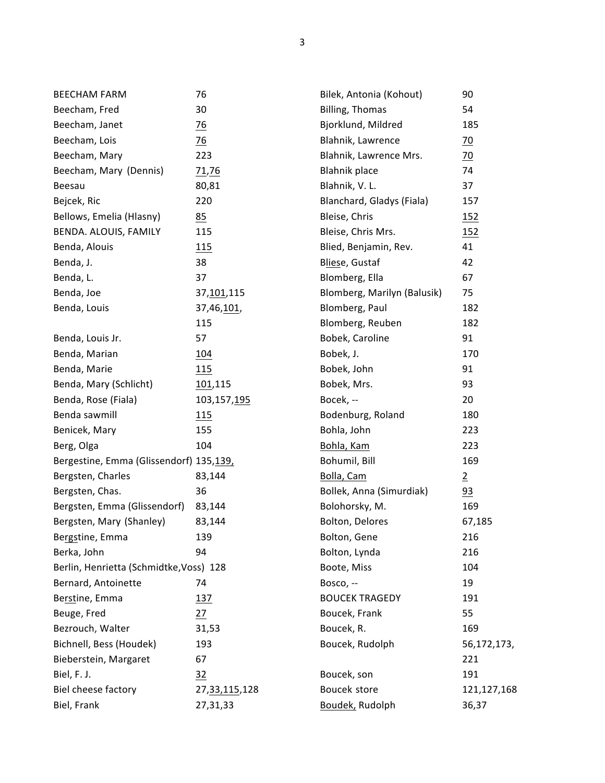| <b>BEECHAM FARM</b>                     | 76                  | Bilek, Antonia (Kohout)     | 90              |
|-----------------------------------------|---------------------|-----------------------------|-----------------|
| Beecham, Fred                           | 30                  | Billing, Thomas             | 54              |
| Beecham, Janet                          | $\frac{76}{2}$      | Bjorklund, Mildred          | 185             |
| Beecham, Lois                           | $\frac{76}{2}$      | Blahnik, Lawrence           | $\overline{20}$ |
| Beecham, Mary                           | 223                 | Blahnik, Lawrence Mrs.      | $\overline{20}$ |
| Beecham, Mary (Dennis)                  | 71,76               | <b>Blahnik place</b>        | 74              |
| Beesau                                  | 80,81               | Blahnik, V. L.              | 37              |
| Bejcek, Ric                             | 220                 | Blanchard, Gladys (Fiala)   | 157             |
| Bellows, Emelia (Hlasny)                | 85                  | Bleise, Chris               | <u>152</u>      |
| BENDA. ALOUIS, FAMILY                   | 115                 | Bleise, Chris Mrs.          | 152             |
| Benda, Alouis                           | 115                 | Blied, Benjamin, Rev.       | 41              |
| Benda, J.                               | 38                  | Bliese, Gustaf              | 42              |
| Benda, L.                               | 37                  | Blomberg, Ella              | 67              |
| Benda, Joe                              | 37, 101, 115        | Blomberg, Marilyn (Balusik) | 75              |
| Benda, Louis                            | 37,46, <u>101</u> , | Blomberg, Paul              | 182             |
|                                         | 115                 | Blomberg, Reuben            | 182             |
| Benda, Louis Jr.                        | 57                  | Bobek, Caroline             | 91              |
| Benda, Marian                           | 104                 | Bobek, J.                   | 170             |
| Benda, Marie                            | 115                 | Bobek, John                 | 91              |
| Benda, Mary (Schlicht)                  | 101,115             | Bobek, Mrs.                 | 93              |
| Benda, Rose (Fiala)                     | 103,157,195         | Bocek, --                   | 20              |
| Benda sawmill                           | 115                 | Bodenburg, Roland           | 180             |
| Benicek, Mary                           | 155                 | Bohla, John                 | 223             |
| Berg, Olga                              | 104                 | Bohla, Kam                  | 223             |
| Bergestine, Emma (Glissendorf) 135,139, |                     | Bohumil, Bill               | 169             |
| Bergsten, Charles                       | 83,144              | Bolla, Cam                  | $\overline{2}$  |
| Bergsten, Chas.                         | 36                  | Bollek, Anna (Simurdiak)    | $\frac{93}{2}$  |
| Bergsten, Emma (Glissendorf)            | 83,144              | Bolohorsky, M.              | 169             |
| Bergsten, Mary (Shanley)                | 83,144              | Bolton, Delores             | 67,185          |
| Bergstine, Emma                         | 139                 | Bolton, Gene                | 216             |
| Berka, John                             | 94                  | Bolton, Lynda               | 216             |
| Berlin, Henrietta (Schmidtke, Voss) 128 |                     | Boote, Miss                 | 104             |
| Bernard, Antoinette                     | 74                  | Bosco, --                   | 19              |
| Berstine, Emma                          | 137                 | <b>BOUCEK TRAGEDY</b>       | 191             |
| Beuge, Fred                             | 27                  | Boucek, Frank               | 55              |
| Bezrouch, Walter                        | 31,53               | Boucek, R.                  | 169             |
| Bichnell, Bess (Houdek)                 | 193                 | Boucek, Rudolph             | 56,172,173,     |
| Bieberstein, Margaret                   | 67                  |                             | 221             |
| Biel, F. J.                             | 32                  | Boucek, son                 | 191             |
| Biel cheese factory                     | 27, 33, 115, 128    | Boucek store                | 121,127,168     |
| Biel, Frank                             | 27,31,33            | Boudek, Rudolph             | 36,37           |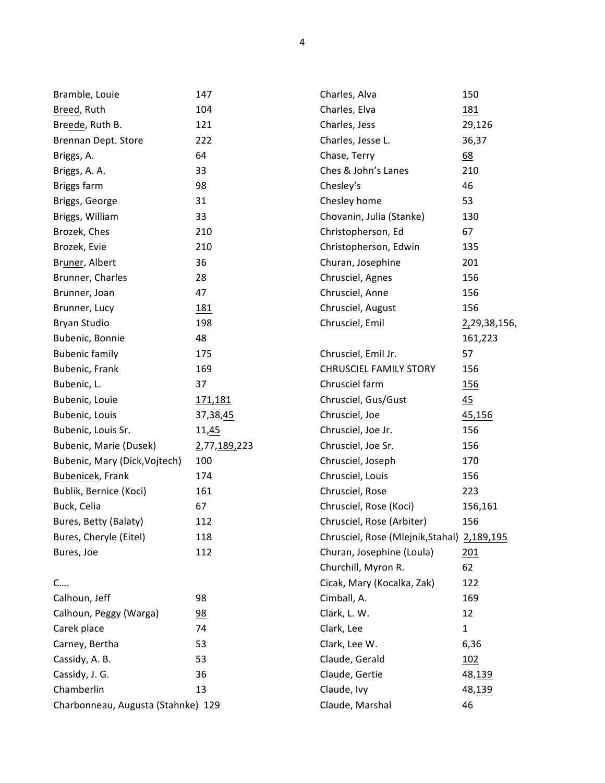| Bramble, Louie                     | 147            | Charles, Alva                               | 150              |
|------------------------------------|----------------|---------------------------------------------|------------------|
| Breed, Ruth                        | 104            | Charles, Elva                               | <u>181</u>       |
| Breede, Ruth B.                    | 121            | Charles, Jess                               | 29,126           |
| Brennan Dept. Store                | 222            | Charles, Jesse L.                           | 36,37            |
| Briggs, A.                         | 64             | Chase, Terry                                | $\underline{68}$ |
| Briggs, A. A.                      | 33             | Ches & John's Lanes                         | 210              |
| Briggs farm                        | 98             | Chesley's                                   | 46               |
| Briggs, George                     | 31             | Chesley home                                | 53               |
| Briggs, William                    | 33             | Chovanin, Julia (Stanke)                    | 130              |
| Brozek, Ches                       | 210            | Christopherson, Ed                          | 67               |
| Brozek, Evie                       | 210            | Christopherson, Edwin                       | 135              |
| Bruner, Albert                     | 36             | Churan, Josephine                           | 201              |
| Brunner, Charles                   | 28             | Chrusciel, Agnes                            | 156              |
| Brunner, Joan                      | 47             | Chrusciel, Anne                             | 156              |
| Brunner, Lucy                      | <u>181</u>     | Chrusciel, August                           | 156              |
| Bryan Studio                       | 198            | Chrusciel, Emil                             | 2,29,38,156,     |
| Bubenic, Bonnie                    | 48             |                                             | 161,223          |
| <b>Bubenic family</b>              | 175            | Chrusciel, Emil Jr.                         | 57               |
| Bubenic, Frank                     | 169            | <b>CHRUSCIEL FAMILY STORY</b>               | 156              |
| Bubenic, L.                        | 37             | Chrusciel farm                              | <u>156</u>       |
| Bubenic, Louie                     | 171,181        | Chrusciel, Gus/Gust                         | 45               |
| Bubenic, Louis                     | 37,38,45       | Chrusciel, Joe                              | <u>45,156</u>    |
| Bubenic, Louis Sr.                 | 11,45          | Chrusciel, Joe Jr.                          | 156              |
| Bubenic, Marie (Dusek)             | 2,77,189,223   | Chrusciel, Joe Sr.                          | 156              |
| Bubenic, Mary (Dick, Vojtech)      | 100            | Chrusciel, Joseph                           | 170              |
| Bubenicek, Frank                   | 174            | Chrusciel, Louis                            | 156              |
| Bublik, Bernice (Koci)             | 161            | Chrusciel, Rose                             | 223              |
| Buck, Celia                        | 67             | Chrusciel, Rose (Koci)                      | 156,161          |
| Bures, Betty (Balaty)              | 112            | Chrusciel, Rose (Arbiter)                   | 156              |
| Bures, Cheryle (Eitel)             | 118            | Chrusciel, Rose (Mlejnik, Stahal) 2,189,195 |                  |
| Bures, Joe                         | 112            | Churan, Josephine (Loula)                   | 201              |
|                                    |                | Churchill, Myron R.                         | 62               |
| C                                  |                | Cicak, Mary (Kocalka, Zak)                  | 122              |
| Calhoun, Jeff                      | 98             | Cimball, A.                                 | 169              |
| Calhoun, Peggy (Warga)             | $\frac{98}{1}$ | Clark, L. W.                                | 12               |
| Carek place                        | 74             | Clark, Lee                                  | $\mathbf{1}$     |
| Carney, Bertha                     | 53             | Clark, Lee W.                               | 6,36             |
| Cassidy, A. B.                     | 53             | Claude, Gerald                              | 102              |
| Cassidy, J. G.                     | 36             | Claude, Gertie                              | 48,139           |
| Chamberlin                         | 13             | Claude, Ivy                                 | 48,139           |
| Charbonneau, Augusta (Stahnke) 129 |                | Claude, Marshal                             | 46               |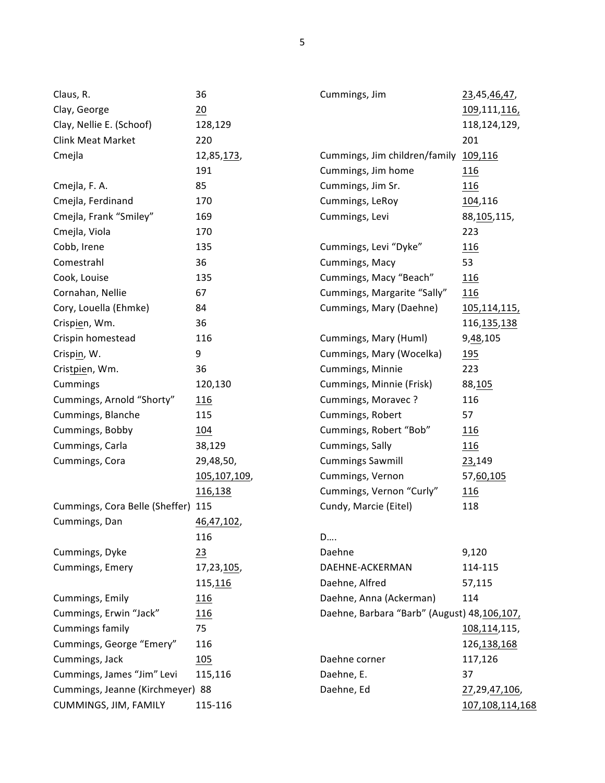| Claus, R.                          | 36           | Cummings, Jim                               | 23,45,46,47,         |
|------------------------------------|--------------|---------------------------------------------|----------------------|
| Clay, George                       | 20           |                                             | 109,111,116,         |
| Clay, Nellie E. (Schoof)           | 128,129      |                                             | 118,124,129,         |
| <b>Clink Meat Market</b>           | 220          |                                             | 201                  |
| Cmejla                             | 12,85,173,   | Cummings, Jim children/family 109,116       |                      |
|                                    | 191          | Cummings, Jim home                          | <u>116</u>           |
| Cmejla, F. A.                      | 85           | Cummings, Jim Sr.                           | 116                  |
| Cmejla, Ferdinand                  | 170          | Cummings, LeRoy                             | 104,116              |
| Cmejla, Frank "Smiley"             | 169          | Cummings, Levi                              | 88, 105, 115,        |
| Cmejla, Viola                      | 170          |                                             | 223                  |
| Cobb, Irene                        | 135          | Cummings, Levi "Dyke"                       | <u>116</u>           |
| Comestrahl                         | 36           | Cummings, Macy                              | 53                   |
| Cook, Louise                       | 135          | Cummings, Macy "Beach"                      | 116                  |
| Cornahan, Nellie                   | 67           | Cummings, Margarite "Sally"                 | 116                  |
| Cory, Louella (Ehmke)              | 84           | Cummings, Mary (Daehne)                     | 105,114,115,         |
| Crispien, Wm.                      | 36           |                                             | 116, 135, 138        |
| Crispin homestead                  | 116          | Cummings, Mary (Huml)                       | 9,48,105             |
| Crispin, W.                        | 9            | Cummings, Mary (Wocelka)                    | 195                  |
| Cristpien, Wm.                     | 36           | Cummings, Minnie                            | 223                  |
| Cummings                           | 120,130      | Cummings, Minnie (Frisk)                    | 88,105               |
| Cummings, Arnold "Shorty"          | <u>116</u>   | Cummings, Moravec?                          | 116                  |
| Cummings, Blanche                  | 115          | Cummings, Robert                            | 57                   |
| Cummings, Bobby                    | 104          | Cummings, Robert "Bob"                      | <u>116</u>           |
| Cummings, Carla                    | 38,129       | Cummings, Sally                             | 116                  |
| Cummings, Cora                     | 29,48,50,    | <b>Cummings Sawmill</b>                     | 23,149               |
|                                    | 105,107,109, | Cummings, Vernon                            | 57,60,105            |
|                                    | 116,138      | Cummings, Vernon "Curly"                    | 116                  |
| Cummings, Cora Belle (Sheffer) 115 |              | Cundy, Marcie (Eitel)                       | 118                  |
| Cummings, Dan                      | 46,47,102,   |                                             |                      |
|                                    | 116          | D                                           |                      |
| Cummings, Dyke                     | 23           | Daehne                                      | 9,120                |
| Cummings, Emery                    | 17,23,105,   | DAEHNE-ACKERMAN                             | 114-115              |
|                                    | 115,116      | Daehne, Alfred                              | 57,115               |
| Cummings, Emily                    | 116          | Daehne, Anna (Ackerman)                     | 114                  |
| Cummings, Erwin "Jack"             | 116          | Daehne, Barbara "Barb" (August) 48,106,107, |                      |
| <b>Cummings family</b>             | 75           |                                             | 108,114,115,         |
| Cummings, George "Emery"           | 116          |                                             | 126, 138, 168        |
| Cummings, Jack                     | 105          | Daehne corner                               | 117,126              |
| Cummings, James "Jim" Levi         | 115,116      | Daehne, E.                                  | 37                   |
| Cummings, Jeanne (Kirchmeyer) 88   |              | Daehne, Ed                                  | <u>27,29,47,106,</u> |
| CUMMINGS, JIM, FAMILY              | 115-116      |                                             | 107,108,114,168      |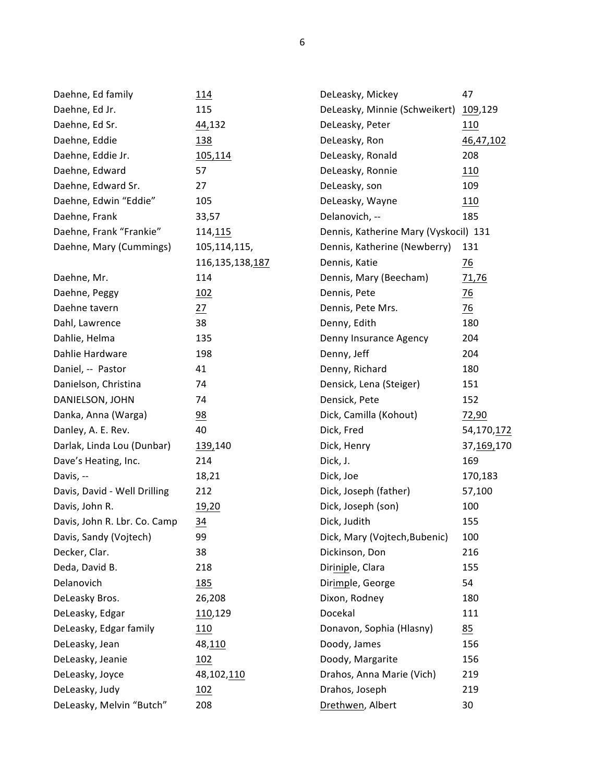| Daehne, Ed family            | 114             | DeLeasky, Mickey                      | 47             |
|------------------------------|-----------------|---------------------------------------|----------------|
| Daehne, Ed Jr.               | 115             | DeLeasky, Minnie (Schweikert)         | 109,129        |
| Daehne, Ed Sr.               | 44,132          | DeLeasky, Peter                       | 110            |
| Daehne, Eddie                | <u>138</u>      | DeLeasky, Ron                         | 46,47,102      |
| Daehne, Eddie Jr.            | 105,114         | DeLeasky, Ronald                      | 208            |
| Daehne, Edward               | 57              | DeLeasky, Ronnie                      | 110            |
| Daehne, Edward Sr.           | 27              | DeLeasky, son                         | 109            |
| Daehne, Edwin "Eddie"        | 105             | DeLeasky, Wayne                       | 110            |
| Daehne, Frank                | 33,57           | Delanovich, --                        | 185            |
| Daehne, Frank "Frankie"      | 114, 115        | Dennis, Katherine Mary (Vyskocil) 131 |                |
| Daehne, Mary (Cummings)      | 105,114,115,    | Dennis, Katherine (Newberry)          | 131            |
|                              | 116,135,138,187 | Dennis, Katie                         | $\frac{76}{2}$ |
| Daehne, Mr.                  | 114             | Dennis, Mary (Beecham)                | 71,76          |
| Daehne, Peggy                | <u> 102</u>     | Dennis, Pete                          | $\frac{76}{2}$ |
| Daehne tavern                | 27              | Dennis, Pete Mrs.                     | $\frac{76}{2}$ |
| Dahl, Lawrence               | 38              | Denny, Edith                          | 180            |
| Dahlie, Helma                | 135             | Denny Insurance Agency                | 204            |
| Dahlie Hardware              | 198             | Denny, Jeff                           | 204            |
| Daniel, -- Pastor            | 41              | Denny, Richard                        | 180            |
| Danielson, Christina         | 74              | Densick, Lena (Steiger)               | 151            |
| DANIELSON, JOHN              | 74              | Densick, Pete                         | 152            |
| Danka, Anna (Warga)          | $\frac{98}{1}$  | Dick, Camilla (Kohout)                | 72,90          |
| Danley, A. E. Rev.           | 40              | Dick, Fred                            | 54,170,172     |
| Darlak, Linda Lou (Dunbar)   | 139,140         | Dick, Henry                           | 37,169,170     |
| Dave's Heating, Inc.         | 214             | Dick, J.                              | 169            |
| Davis, --                    | 18,21           | Dick, Joe                             | 170,183        |
| Davis, David - Well Drilling | 212             | Dick, Joseph (father)                 | 57,100         |
| Davis, John R.               | 19,20           | Dick, Joseph (son)                    | 100            |
| Davis, John R. Lbr. Co. Camp | $\frac{34}{5}$  | Dick, Judith                          | 155            |
| Davis, Sandy (Vojtech)       | 99              | Dick, Mary (Vojtech, Bubenic)         | 100            |
| Decker, Clar.                | 38              | Dickinson, Don                        | 216            |
| Deda, David B.               | 218             | Diriniple, Clara                      | 155            |
| Delanovich                   | 185             | Dirimple, George                      | 54             |
| DeLeasky Bros.               | 26,208          | Dixon, Rodney                         | 180            |
| DeLeasky, Edgar              | 110,129         | Docekal                               | 111            |
| DeLeasky, Edgar family       | 110             | Donavon, Sophia (Hlasny)              | 85             |
| DeLeasky, Jean               | 48,110          | Doody, James                          | 156            |
| DeLeasky, Jeanie             | 102             | Doody, Margarite                      | 156            |
| DeLeasky, Joyce              | 48,102,110      | Drahos, Anna Marie (Vich)             | 219            |
| DeLeasky, Judy               | 102             | Drahos, Joseph                        | 219            |
| DeLeasky, Melvin "Butch"     | 208             | Drethwen, Albert                      | 30             |
|                              |                 |                                       |                |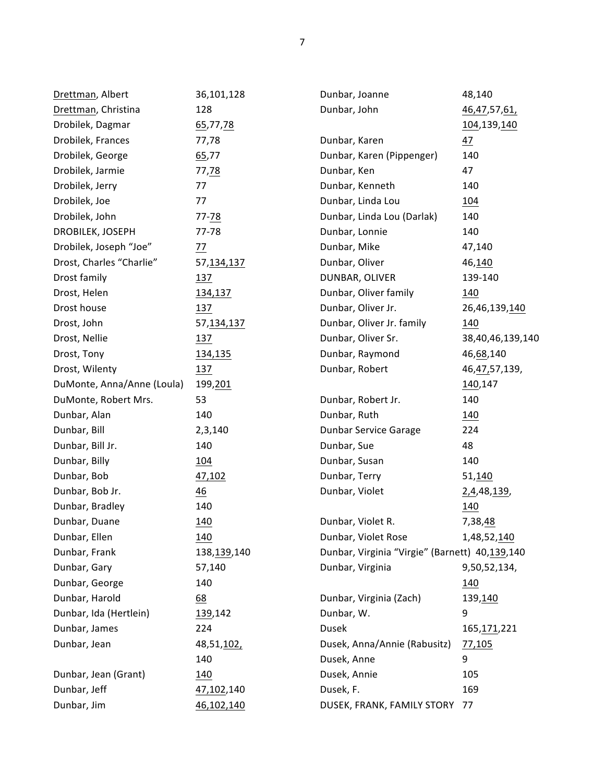| Drettman, Albert           | 36,101,128     | Dunbar, Joanne                                 | 48,140               |
|----------------------------|----------------|------------------------------------------------|----------------------|
| Drettman, Christina        | 128            | Dunbar, John                                   | 46,47,57, <u>61,</u> |
| Drobilek, Dagmar           | 65,77,78       |                                                | 104,139,140          |
| Drobilek, Frances          | 77,78          | Dunbar, Karen                                  | 47                   |
| Drobilek, George           | 65,77          | Dunbar, Karen (Pippenger)                      | 140                  |
| Drobilek, Jarmie           | 77,78          | Dunbar, Ken                                    | 47                   |
| Drobilek, Jerry            | 77             | Dunbar, Kenneth                                | 140                  |
| Drobilek, Joe              | 77             | Dunbar, Linda Lou                              | <u>104</u>           |
| Drobilek, John             | $77 - 78$      | Dunbar, Linda Lou (Darlak)                     | 140                  |
| DROBILEK, JOSEPH           | 77-78          | Dunbar, Lonnie                                 | 140                  |
| Drobilek, Joseph "Joe"     | 77             | Dunbar, Mike                                   | 47,140               |
| Drost, Charles "Charlie"   | 57, 134, 137   | Dunbar, Oliver                                 | 46,140               |
| Drost family               | 137            | DUNBAR, OLIVER                                 | 139-140              |
| Drost, Helen               | 134,137        | Dunbar, Oliver family                          | 140                  |
| Drost house                | 137            | Dunbar, Oliver Jr.                             | 26,46,139,140        |
| Drost, John                | 57, 134, 137   | Dunbar, Oliver Jr. family                      | 140                  |
| Drost, Nellie              | 137            | Dunbar, Oliver Sr.                             | 38,40,46,139,140     |
| Drost, Tony                | 134,135        | Dunbar, Raymond                                | 46, 68, 140          |
| Drost, Wilenty             | 137            | Dunbar, Robert                                 | 46, 47, 57, 139,     |
| DuMonte, Anna/Anne (Loula) | 199,201        |                                                | 140,147              |
| DuMonte, Robert Mrs.       | 53             | Dunbar, Robert Jr.                             | 140                  |
| Dunbar, Alan               | 140            | Dunbar, Ruth                                   | <u> 140</u>          |
| Dunbar, Bill               | 2,3,140        | Dunbar Service Garage                          | 224                  |
| Dunbar, Bill Jr.           | 140            | Dunbar, Sue                                    | 48                   |
| Dunbar, Billy              | <u>104</u>     | Dunbar, Susan                                  | 140                  |
| Dunbar, Bob                | 47,102         | Dunbar, Terry                                  | 51,140               |
| Dunbar, Bob Jr.            | $\frac{46}{1}$ | Dunbar, Violet                                 | 2,4,48,139,          |
| Dunbar, Bradley            | 140            |                                                | 140                  |
| Dunbar, Duane              | 140            | Dunbar, Violet R.                              | 7,38,48              |
| Dunbar, Ellen              | 140            | Dunbar, Violet Rose                            | 1,48,52,140          |
| Dunbar, Frank              | 138, 139, 140  | Dunbar, Virginia "Virgie" (Barnett) 40,139,140 |                      |
| Dunbar, Gary               | 57,140         | Dunbar, Virginia                               | 9,50,52,134,         |
| Dunbar, George             | 140            |                                                | 140                  |
| Dunbar, Harold             | 68             | Dunbar, Virginia (Zach)                        | 139,140              |
| Dunbar, Ida (Hertlein)     | 139,142        | Dunbar, W.                                     | 9                    |
| Dunbar, James              | 224            | Dusek                                          | 165, 171, 221        |
| Dunbar, Jean               | 48,51,102,     | Dusek, Anna/Annie (Rabusitz)                   | 77,105               |
|                            | 140            | Dusek, Anne                                    | 9                    |
| Dunbar, Jean (Grant)       | 140            | Dusek, Annie                                   | 105                  |
| Dunbar, Jeff               | 47,102,140     | Dusek, F.                                      | 169                  |
| Dunbar, Jim                | 46,102,140     | DUSEK, FRANK, FAMILY STORY                     | 77                   |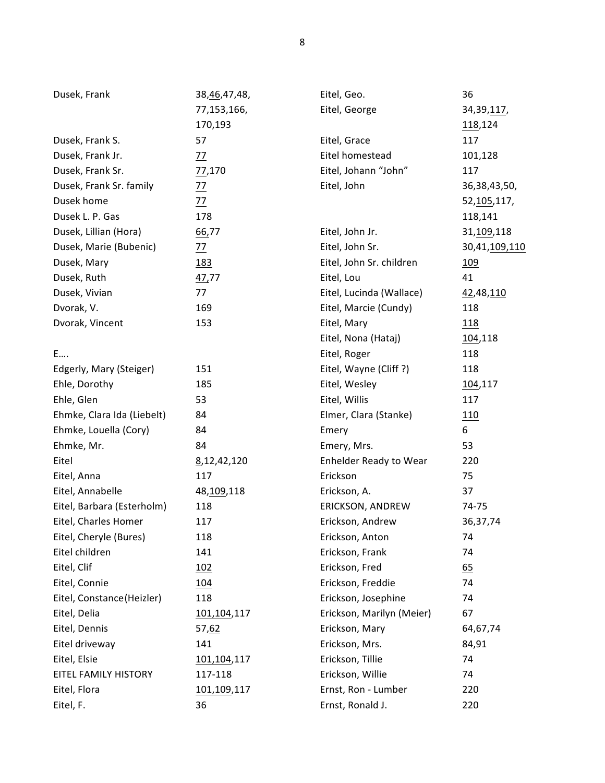| Dusek, Frank               | 38, 46, 47, 48, | Eitel, Geo.               | 36                    |
|----------------------------|-----------------|---------------------------|-----------------------|
|                            | 77,153,166,     | Eitel, George             | 34, 39, 117,          |
|                            | 170,193         |                           | 118,124               |
| Dusek, Frank S.            | 57              | Eitel, Grace              | 117                   |
| Dusek, Frank Jr.           | <u>77</u>       | Eitel homestead           | 101,128               |
| Dusek, Frank Sr.           | 77,170          | Eitel, Johann "John"      | 117                   |
| Dusek, Frank Sr. family    | $\frac{77}{2}$  | Eitel, John               | 36, 38, 43, 50,       |
| Dusek home                 | $\frac{77}{2}$  |                           | 52, 105, 117,         |
| Dusek L. P. Gas            | 178             |                           | 118,141               |
| Dusek, Lillian (Hora)      | 66,77           | Eitel, John Jr.           | 31,109,118            |
| Dusek, Marie (Bubenic)     | 77              | Eitel, John Sr.           | 30,41, <u>109,110</u> |
| Dusek, Mary                | <u>183</u>      | Eitel, John Sr. children  | <u>109</u>            |
| Dusek, Ruth                | 47,77           | Eitel, Lou                | 41                    |
| Dusek, Vivian              | 77              | Eitel, Lucinda (Wallace)  | 42,48,110             |
| Dvorak, V.                 | 169             | Eitel, Marcie (Cundy)     | 118                   |
| Dvorak, Vincent            | 153             | Eitel, Mary               | 118                   |
|                            |                 | Eitel, Nona (Hataj)       | 104,118               |
| E                          |                 | Eitel, Roger              | 118                   |
| Edgerly, Mary (Steiger)    | 151             | Eitel, Wayne (Cliff?)     | 118                   |
| Ehle, Dorothy              | 185             | Eitel, Wesley             | 104,117               |
| Ehle, Glen                 | 53              | Eitel, Willis             | 117                   |
| Ehmke, Clara Ida (Liebelt) | 84              | Elmer, Clara (Stanke)     | 110                   |
| Ehmke, Louella (Cory)      | 84              | Emery                     | 6                     |
| Ehmke, Mr.                 | 84              | Emery, Mrs.               | 53                    |
| Eitel                      | 8,12,42,120     | Enhelder Ready to Wear    | 220                   |
| Eitel, Anna                | 117             | Erickson                  | 75                    |
| Eitel, Annabelle           | 48, 109, 118    | Erickson, A.              | 37                    |
| Eitel, Barbara (Esterholm) | 118             | ERICKSON, ANDREW          | 74-75                 |
| Eitel, Charles Homer       | 117             | Erickson, Andrew          | 36, 37, 74            |
| Eitel, Cheryle (Bures)     | 118             | Erickson, Anton           | 74                    |
| Eitel children             | 141             | Erickson, Frank           | 74                    |
| Eitel, Clif                | 102             | Erickson, Fred            | 65                    |
| Eitel, Connie              | 104             | Erickson, Freddie         | 74                    |
| Eitel, Constance (Heizler) | 118             | Erickson, Josephine       | 74                    |
| Eitel, Delia               | 101,104,117     | Erickson, Marilyn (Meier) | 67                    |
| Eitel, Dennis              | 57,62           | Erickson, Mary            | 64,67,74              |
| Eitel driveway             | 141             | Erickson, Mrs.            | 84,91                 |
| Eitel, Elsie               | 101,104,117     | Erickson, Tillie          | 74                    |
| EITEL FAMILY HISTORY       | 117-118         | Erickson, Willie          | 74                    |
| Eitel, Flora               | 101,109,117     | Ernst, Ron - Lumber       | 220                   |
| Eitel, F.                  | 36              | Ernst, Ronald J.          | 220                   |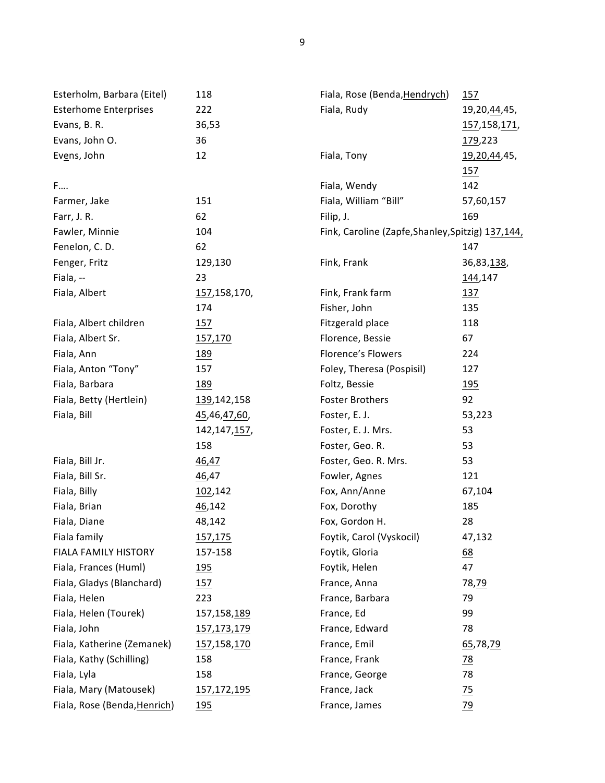| Esterholm, Barbara (Eitel)   | 118            | Fiala, Rose (Benda, Hendrych)                      | 157                  |
|------------------------------|----------------|----------------------------------------------------|----------------------|
| <b>Esterhome Enterprises</b> | 222            | Fiala, Rudy                                        | 19,20, 44, 45,       |
| Evans, B. R.                 | 36,53          |                                                    | 157,158,171,         |
| Evans, John O.               | 36             |                                                    | 179,223              |
| Evens, John                  | 12             | Fiala, Tony                                        | <u>19,20,44</u> ,45, |
|                              |                |                                                    | 157                  |
| F                            |                | Fiala, Wendy                                       | 142                  |
| Farmer, Jake                 | 151            | Fiala, William "Bill"                              | 57,60,157            |
| Farr, J. R.                  | 62             | Filip, J.                                          | 169                  |
| Fawler, Minnie               | 104            | Fink, Caroline (Zapfe, Shanley, Spitzig) 137, 144, |                      |
| Fenelon, C. D.               | 62             |                                                    | 147                  |
| Fenger, Fritz                | 129,130        | Fink, Frank                                        | 36,83,138,           |
| Fiala, --                    | 23             |                                                    | 144,147              |
| Fiala, Albert                | 157,158,170,   | Fink, Frank farm                                   | <u>137</u>           |
|                              | 174            | Fisher, John                                       | 135                  |
| Fiala, Albert children       | 157            | Fitzgerald place                                   | 118                  |
| Fiala, Albert Sr.            | 157,170        | Florence, Bessie                                   | 67                   |
| Fiala, Ann                   | <u>189</u>     | <b>Florence's Flowers</b>                          | 224                  |
| Fiala, Anton "Tony"          | 157            | Foley, Theresa (Pospisil)                          | 127                  |
| Fiala, Barbara               | 189            | Foltz, Bessie                                      | <u>195</u>           |
| Fiala, Betty (Hertlein)      | 139,142,158    | <b>Foster Brothers</b>                             | 92                   |
| Fiala, Bill                  | 45,46,47,60,   | Foster, E. J.                                      | 53,223               |
|                              | 142, 147, 157, | Foster, E. J. Mrs.                                 | 53                   |
|                              | 158            | Foster, Geo. R.                                    | 53                   |
| Fiala, Bill Jr.              | 46,47          | Foster, Geo. R. Mrs.                               | 53                   |
| Fiala, Bill Sr.              | 46,47          | Fowler, Agnes                                      | 121                  |
| Fiala, Billy                 | 102,142        | Fox, Ann/Anne                                      | 67,104               |
| Fiala, Brian                 | 46,142         | Fox, Dorothy                                       | 185                  |
| Fiala, Diane                 | 48,142         | Fox, Gordon H.                                     | 28                   |
| Fiala family                 | <u>157,175</u> | Foytik, Carol (Vyskocil)                           | 47,132               |
| FIALA FAMILY HISTORY         | 157-158        | Foytik, Gloria                                     | 68                   |
| Fiala, Frances (Huml)        | 195            | Foytik, Helen                                      | 47                   |
| Fiala, Gladys (Blanchard)    | 157            | France, Anna                                       | 78,79                |
| Fiala, Helen                 | 223            | France, Barbara                                    | 79                   |
| Fiala, Helen (Tourek)        | 157,158,189    | France, Ed                                         | 99                   |
| Fiala, John                  | 157, 173, 179  | France, Edward                                     | 78                   |
| Fiala, Katherine (Zemanek)   | 157,158,170    | France, Emil                                       | 65,78,79             |
| Fiala, Kathy (Schilling)     | 158            | France, Frank                                      | <u>78</u>            |
| Fiala, Lyla                  | 158            | France, George                                     | 78                   |
| Fiala, Mary (Matousek)       | 157,172,195    | France, Jack                                       | $\frac{75}{2}$       |
| Fiala, Rose (Benda, Henrich) | 195            | France, James                                      | 79                   |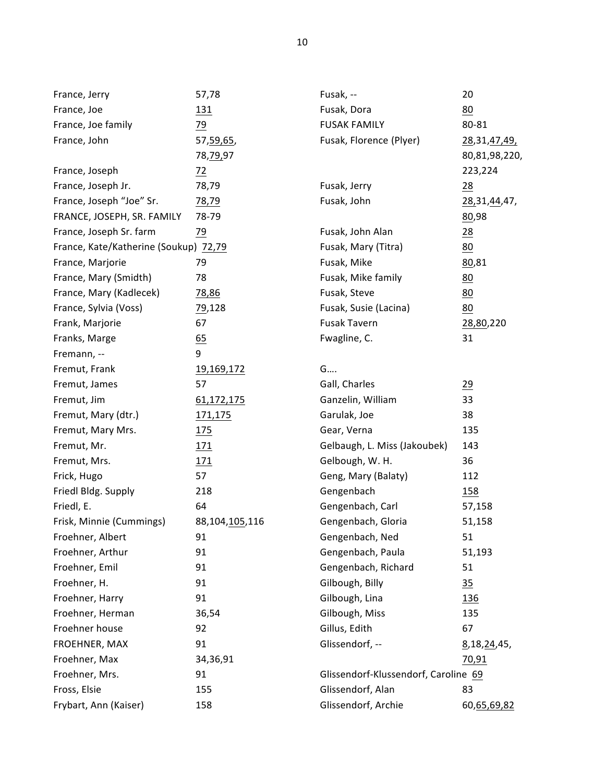| France, Jerry                         | 57,78          | Fusak, --                            | 20              |
|---------------------------------------|----------------|--------------------------------------|-----------------|
| France, Joe                           | <u>131</u>     | Fusak, Dora                          | 80              |
| France, Joe family                    | 79             | <b>FUSAK FAMILY</b>                  | 80-81           |
| France, John                          | 57, 59, 65,    | Fusak, Florence (Plyer)              | 28, 31, 47, 49, |
|                                       | 78, 79, 97     |                                      | 80,81,98,220,   |
| France, Joseph                        | $\frac{72}{2}$ |                                      | 223,224         |
| France, Joseph Jr.                    | 78,79          | Fusak, Jerry                         | 28              |
| France, Joseph "Joe" Sr.              | 78,79          | Fusak, John                          | 28, 31, 44, 47, |
| FRANCE, JOSEPH, SR. FAMILY            | 78-79          |                                      | 80,98           |
| France, Joseph Sr. farm               | 79             | Fusak, John Alan                     | $\frac{28}{2}$  |
| France, Kate/Katherine (Soukup) 72,79 |                | Fusak, Mary (Titra)                  | 80              |
| France, Marjorie                      | 79             | Fusak, Mike                          | 80,81           |
| France, Mary (Smidth)                 | 78             | Fusak, Mike family                   | 80              |
| France, Mary (Kadlecek)               | 78,86          | Fusak, Steve                         | 80              |
| France, Sylvia (Voss)                 | 79,128         | Fusak, Susie (Lacina)                | 80              |
| Frank, Marjorie                       | 67             | Fusak Tavern                         | 28,80,220       |
| Franks, Marge                         | 65             | Fwagline, C.                         | 31              |
| Fremann, --                           | 9              |                                      |                 |
| Fremut, Frank                         | 19,169,172     | G                                    |                 |
| Fremut, James                         | 57             | Gall, Charles                        | 29              |
| Fremut, Jim                           | 61,172,175     | Ganzelin, William                    | 33              |
| Fremut, Mary (dtr.)                   | <u>171,175</u> | Garulak, Joe                         | 38              |
| Fremut, Mary Mrs.                     | 175            | Gear, Verna                          | 135             |
| Fremut, Mr.                           | 171            | Gelbaugh, L. Miss (Jakoubek)         | 143             |
| Fremut, Mrs.                          | 171            | Gelbough, W. H.                      | 36              |
| Frick, Hugo                           | 57             | Geng, Mary (Balaty)                  | 112             |
| Friedl Bldg. Supply                   | 218            | Gengenbach                           | 158             |
| Friedl, E.                            | 64             | Gengenbach, Carl                     | 57,158          |
| Frisk, Minnie (Cummings)              | 88,104,105,116 | Gengenbach, Gloria                   | 51,158          |
| Froehner, Albert                      | 91             | Gengenbach, Ned                      | 51              |
| Froehner, Arthur                      | 91             | Gengenbach, Paula                    | 51,193          |
| Froehner, Emil                        | 91             | Gengenbach, Richard                  | 51              |
| Froehner, H.                          | 91             | Gilbough, Billy                      | $\frac{35}{2}$  |
| Froehner, Harry                       | 91             | Gilbough, Lina                       | 136             |
| Froehner, Herman                      | 36,54          | Gilbough, Miss                       | 135             |
| Froehner house                        | 92             | Gillus, Edith                        | 67              |
| FROEHNER, MAX                         | 91             | Glissendorf, --                      | 8, 18, 24, 45,  |
| Froehner, Max                         | 34,36,91       |                                      | 70,91           |
| Froehner, Mrs.                        | 91             | Glissendorf-Klussendorf, Caroline 69 |                 |
| Fross, Elsie                          | 155            | Glissendorf, Alan                    | 83              |
| Frybart, Ann (Kaiser)                 | 158            | Glissendorf, Archie                  | 60,65,69,82     |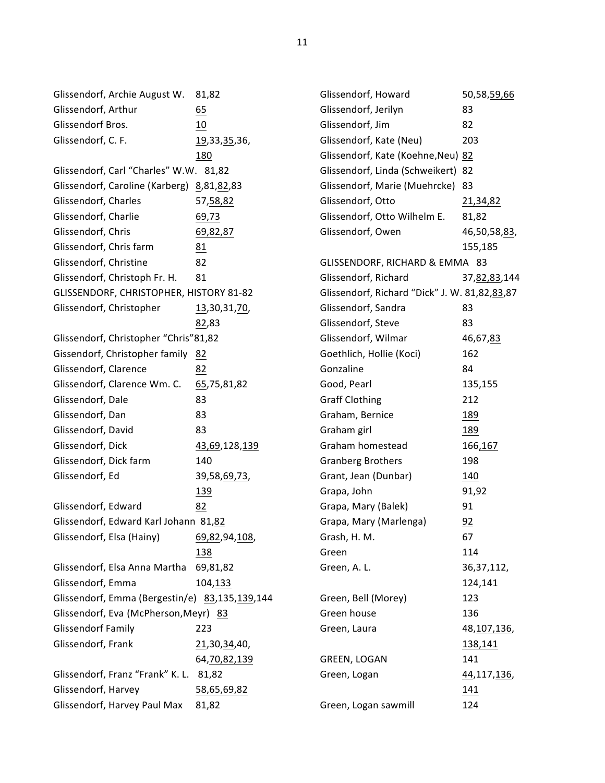Glissendorf, Archie August W. 81,82 Glissendorf, Arthur 65 Glissendorf Bros. 10 Glissendorf, C. F. 19,33,35,36, 180 Glissendorf, Carl "Charles" W.W. 81,82 Glissendorf, Caroline (Karberg) 8,81,82,83 Glissendorf, Charles 57,58,82 Glissendorf, Charlie 69,73 Glissendorf, Chris 69,82,87 Glissendorf, Chris farm 81 Glissendorf, Christine 82 Glissendorf, Christoph Fr. H. 81 GLISSENDORF, CHRISTOPHER, HISTORY 81-82 Glissendorf, Christopher 13,30,31,70, 82,83 Glissendorf, Christopher "Chris"81,82 Gissendorf, Christopher family 82 Glissendorf, Clarence 82 Glissendorf, Clarence Wm. C. 65,75,81,82 Glissendorf, Dale 83 Glissendorf, Dan 83 Glissendorf, David 83 Glissendorf, Dick 43,69,128,139 Glissendorf, Dick farm 140 Glissendorf, Ed 39,58,69,73, 139 Glissendorf, Edward 82 Glissendorf, Edward Karl Johann 81,82 Glissendorf, Elsa (Hainy) 69,82,94,108, 138 Glissendorf, Elsa Anna Martha 69,81,82 Glissendorf, Emma 104,133 Glissendorf, Emma (Bergestin/e) 83,135,139,144 Glissendorf, Eva (McPherson, Meyr) 83 Glissendorf Family 223 Glissendorf, Frank 21,30,34,40, 64,70,82,139 Glissendorf, Franz "Frank" K. L. 81,82 Glissendorf, Harvey 58,65,69,82 Glissendorf, Harvey Paul Max 81,82

Glissendorf, Howard 50,58,59,66 Glissendorf, Jerilyn 83 Glissendorf, Jim 82 Glissendorf, Kate (Neu) 203 Glissendorf, Kate (Koehne, Neu) 82 Glissendorf, Linda (Schweikert) 82 Glissendorf, Marie (Muehrcke) 83 Glissendorf, Otto 21,34,82 Glissendorf, Otto Wilhelm E. 81,82 Glissendorf, Owen 46,50,58,83, 155,185 GLISSENDORF, RICHARD & EMMA 83 Glissendorf, Richard 37,82,83,144 Glissendorf, Richard "Dick" J. W. 81,82,83,87 Glissendorf, Sandra 63 Glissendorf, Steve 83 Glissendorf, Wilmar 46,67,83 Goethlich, Hollie (Koci) 162 Gonzaline 84 Good, Pearl 135,155 Graff Clothing 212 Graham, Bernice 189 Graham girl 189 Graham homestead 166,167 Granberg Brothers 198 Grant, Jean (Dunbar) 140 Grapa, John 91,92 Grapa, Mary (Balek) 91 Grapa, Mary (Marlenga) 92 Grash, H. M. 67 Green 114 Green, A. L. 36,37,112, 124,141 Green, Bell (Morey) 123 Green house 136 Green, Laura 48,107,136, 138,141 GREEN, LOGAN 141 Green, Logan 44,117,136, 141 Green, Logan sawmill 124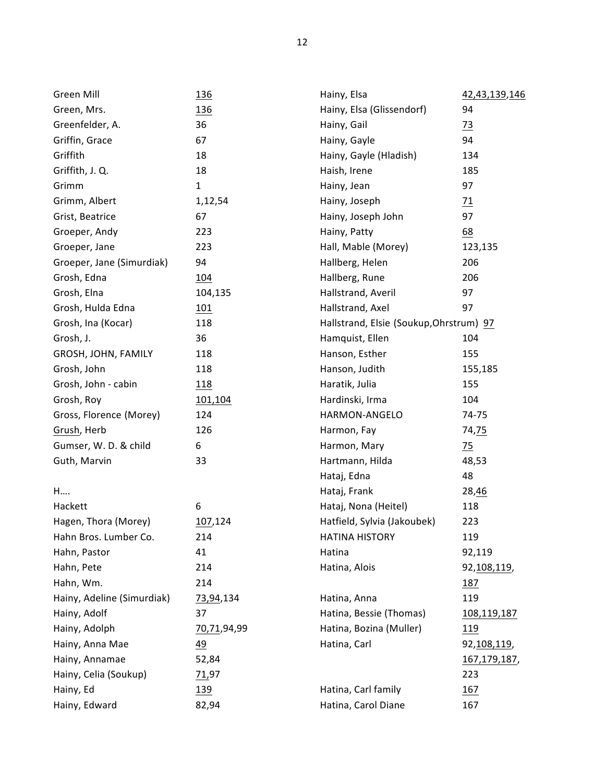| Green Mill                 | <u>136</u>      | Hainy, Elsa                             | 42,43,139,146        |
|----------------------------|-----------------|-----------------------------------------|----------------------|
| Green, Mrs.                | <u>136</u>      | Hainy, Elsa (Glissendorf)               | 94                   |
| Greenfelder, A.            | 36              | Hainy, Gail                             | $\frac{73}{2}$       |
| Griffin, Grace             | 67              | Hainy, Gayle                            | 94                   |
| Griffith                   | 18              | Hainy, Gayle (Hladish)                  | 134                  |
| Griffith, J. Q.            | 18              | Haish, Irene                            | 185                  |
| Grimm                      | $\mathbf 1$     | Hainy, Jean                             | 97                   |
| Grimm, Albert              | 1,12,54         | Hainy, Joseph                           | $\overline{11}$      |
| Grist, Beatrice            | 67              | Hainy, Joseph John                      | 97                   |
| Groeper, Andy              | 223             | Hainy, Patty                            | 68                   |
| Groeper, Jane              | 223             | Hall, Mable (Morey)                     | 123,135              |
| Groeper, Jane (Simurdiak)  | 94              | Hallberg, Helen                         | 206                  |
| Grosh, Edna                | 104             | Hallberg, Rune                          | 206                  |
| Grosh, Elna                | 104,135         | Hallstrand, Averil                      | 97                   |
| Grosh, Hulda Edna          | 101             | Hallstrand, Axel                        | 97                   |
| Grosh, Ina (Kocar)         | 118             | Hallstrand, Elsie (Soukup, Ohrstrum) 97 |                      |
| Grosh, J.                  | 36              | Hamquist, Ellen                         | 104                  |
| GROSH, JOHN, FAMILY        | 118             | Hanson, Esther                          | 155                  |
| Grosh, John                | 118             | Hanson, Judith                          | 155,185              |
| Grosh, John - cabin        | 118             | Haratik, Julia                          | 155                  |
| Grosh, Roy                 | 101,104         | Hardinski, Irma                         | 104                  |
| Gross, Florence (Morey)    | 124             | HARMON-ANGELO                           | 74-75                |
| Grush, Herb                | 126             | Harmon, Fay                             | 74,75                |
| Gumser, W. D. & child      | 6               | Harmon, Mary                            | $\frac{75}{2}$       |
| Guth, Marvin               | 33              | Hartmann, Hilda                         | 48,53                |
|                            |                 | Hataj, Edna                             | 48                   |
| H                          |                 | Hataj, Frank                            | 28,46                |
| Hackett                    | 6               | Hataj, Nona (Heitel)                    | 118                  |
| Hagen, Thora (Morey)       | 107,124         | Hatfield, Sylvia (Jakoubek)             | 223                  |
| Hahn Bros. Lumber Co.      | 214             | <b>HATINA HISTORY</b>                   | 119                  |
| Hahn, Pastor               | 41              | Hatina                                  | 92,119               |
| Hahn, Pete                 | 214             | Hatina, Alois                           | 92, 108, 119,        |
| Hahn, Wm.                  | 214             |                                         | 187                  |
| Hainy, Adeline (Simurdiak) | 73,94,134       | Hatina, Anna                            | 119                  |
| Hainy, Adolf               | 37              | Hatina, Bessie (Thomas)                 | <u>108,119,187</u>   |
| Hainy, Adolph              | 70,71,94,99     | Hatina, Bozina (Muller)                 | <u>119</u>           |
| Hainy, Anna Mae            | $\overline{49}$ | Hatina, Carl                            | 92, 108, 119,        |
| Hainy, Annamae             | 52,84           |                                         | <u>167,179,187</u> , |
| Hainy, Celia (Soukup)      | 71,97           |                                         | 223                  |
| Hainy, Ed                  | <u>139</u>      | Hatina, Carl family                     | 167                  |
| Hainy, Edward              | 82,94           | Hatina, Carol Diane                     | 167                  |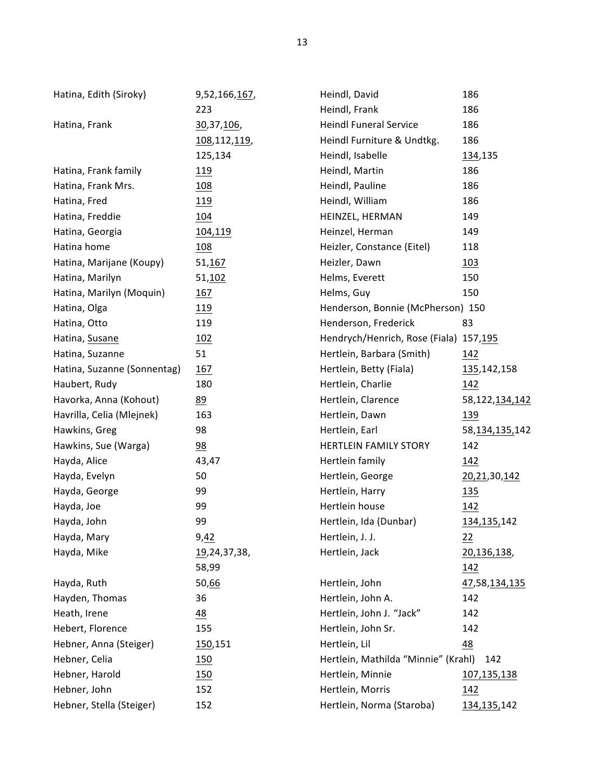| Hatina, Edith (Siroky)      | 9,52,166,167,  | Heindl, David                          | 186                 |
|-----------------------------|----------------|----------------------------------------|---------------------|
|                             | 223            | Heindl, Frank                          | 186                 |
| Hatina, Frank               | 30,37,106,     | <b>Heindl Funeral Service</b>          | 186                 |
|                             | 108,112,119,   | Heindl Furniture & Undtkg.             | 186                 |
|                             | 125,134        | Heindl, Isabelle                       | 134,135             |
| Hatina, Frank family        | <u>119</u>     | Heindl, Martin                         | 186                 |
| Hatina, Frank Mrs.          | 108            | Heindl, Pauline                        | 186                 |
| Hatina, Fred                | <u>119</u>     | Heindl, William                        | 186                 |
| Hatina, Freddie             | 104            | HEINZEL, HERMAN                        | 149                 |
| Hatina, Georgia             | <u>104,119</u> | Heinzel, Herman                        | 149                 |
| Hatina home                 | <u>108</u>     | Heizler, Constance (Eitel)             | 118                 |
| Hatina, Marijane (Koupy)    | 51,167         | Heizler, Dawn                          | 103                 |
| Hatina, Marilyn             | 51,102         | Helms, Everett                         | 150                 |
| Hatina, Marilyn (Moquin)    | 167            | Helms, Guy                             | 150                 |
| Hatina, Olga                | <u> 119</u>    | Henderson, Bonnie (McPherson) 150      |                     |
| Hatina, Otto                | 119            | Henderson, Frederick                   | 83                  |
| Hatina, Susane              | <u>102</u>     | Hendrych/Henrich, Rose (Fiala) 157,195 |                     |
| Hatina, Suzanne             | 51             | Hertlein, Barbara (Smith)              | <u>142</u>          |
| Hatina, Suzanne (Sonnentag) | 167            | Hertlein, Betty (Fiala)                | 135, 142, 158       |
| Haubert, Rudy               | 180            | Hertlein, Charlie                      | 142                 |
| Havorka, Anna (Kohout)      | 89             | Hertlein, Clarence                     | 58, 122, 134, 142   |
| Havrilla, Celia (Mlejnek)   | 163            | Hertlein, Dawn                         | <u>139</u>          |
| Hawkins, Greg               | 98             | Hertlein, Earl                         | 58, 134, 135, 142   |
| Hawkins, Sue (Warga)        | $\frac{98}{1}$ | <b>HERTLEIN FAMILY STORY</b>           | 142                 |
| Hayda, Alice                | 43,47          | Hertlein family                        | <u> 142</u>         |
| Hayda, Evelyn               | 50             | Hertlein, George                       | 20, 21, 30, 142     |
| Hayda, George               | 99             | Hertlein, Harry                        | 135                 |
| Hayda, Joe                  | 99             | Hertlein house                         | 142                 |
| Hayda, John                 | 99             | Hertlein, Ida (Dunbar)                 | 134, 135, 142       |
| Hayda, Mary                 | 9,42           | Hertlein, J. J.                        | 22                  |
| Hayda, Mike                 | 19,24,37,38,   | Hertlein, Jack                         | 20,136,138,         |
|                             | 58,99          |                                        | <u>142</u>          |
| Hayda, Ruth                 | 50,66          | Hertlein, John                         | 47,58,134,135       |
| Hayden, Thomas              | 36             | Hertlein, John A.                      | 142                 |
| Heath, Irene                | 48             | Hertlein, John J. "Jack"               | 142                 |
| Hebert, Florence            | 155            | Hertlein, John Sr.                     | 142                 |
| Hebner, Anna (Steiger)      | 150,151        | Hertlein, Lil                          | 48                  |
| Hebner, Celia               | 150            | Hertlein, Mathilda "Minnie" (Krahl)    | 142                 |
| Hebner, Harold              | 150            | Hertlein, Minnie                       | 107,135,138         |
| Hebner, John                | 152            | Hertlein, Morris                       | 142                 |
| Hebner, Stella (Steiger)    | 152            | Hertlein, Norma (Staroba)              | <u>134,135,</u> 142 |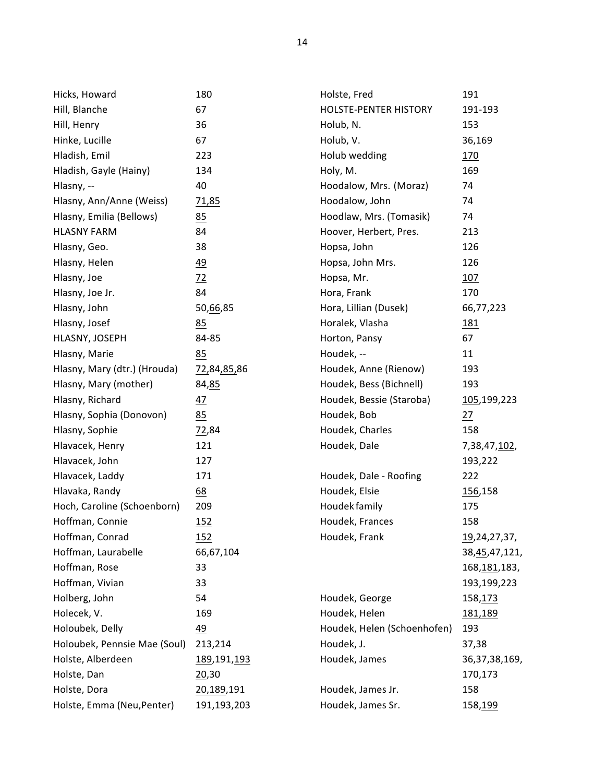| Hicks, Howard                | 180            | Holste, Fred                 | 191                   |
|------------------------------|----------------|------------------------------|-----------------------|
| Hill, Blanche                | 67             | <b>HOLSTE-PENTER HISTORY</b> | 191-193               |
| Hill, Henry                  | 36             | Holub, N.                    | 153                   |
| Hinke, Lucille               | 67             | Holub, V.                    | 36,169                |
| Hladish, Emil                | 223            | Holub wedding                | 170                   |
| Hladish, Gayle (Hainy)       | 134            | Holy, M.                     | 169                   |
| Hlasny, --                   | 40             | Hoodalow, Mrs. (Moraz)       | 74                    |
| Hlasny, Ann/Anne (Weiss)     | 71,85          | Hoodalow, John               | 74                    |
| Hlasny, Emilia (Bellows)     | 85             | Hoodlaw, Mrs. (Tomasik)      | 74                    |
| <b>HLASNY FARM</b>           | 84             | Hoover, Herbert, Pres.       | 213                   |
| Hlasny, Geo.                 | 38             | Hopsa, John                  | 126                   |
| Hlasny, Helen                | 49             | Hopsa, John Mrs.             | 126                   |
| Hlasny, Joe                  | $\frac{72}{2}$ | Hopsa, Mr.                   | 107                   |
| Hlasny, Joe Jr.              | 84             | Hora, Frank                  | 170                   |
| Hlasny, John                 | 50,66,85       | Hora, Lillian (Dusek)        | 66,77,223             |
| Hlasny, Josef                | 85             | Horalek, Vlasha              | <u> 181</u>           |
| HLASNY, JOSEPH               | 84-85          | Horton, Pansy                | 67                    |
| Hlasny, Marie                | 85             | Houdek, --                   | 11                    |
| Hlasny, Mary (dtr.) (Hrouda) | 72,84,85,86    | Houdek, Anne (Rienow)        | 193                   |
| Hlasny, Mary (mother)        | 84,85          | Houdek, Bess (Bichnell)      | 193                   |
| Hlasny, Richard              | 47             | Houdek, Bessie (Staroba)     | 105,199,223           |
| Hlasny, Sophia (Donovon)     | 85             | Houdek, Bob                  | 27                    |
| Hlasny, Sophie               | 72,84          | Houdek, Charles              | 158                   |
| Hlavacek, Henry              | 121            | Houdek, Dale                 | 7,38,47, <u>102</u> , |
| Hlavacek, John               | 127            |                              | 193,222               |
| Hlavacek, Laddy              | 171            | Houdek, Dale - Roofing       | 222                   |
| Hlavaka, Randy               | 68             | Houdek, Elsie                | 156,158               |
| Hoch, Caroline (Schoenborn)  | 209            | Houdek family                | 175                   |
| Hoffman, Connie              | 152            | Houdek, Frances              | 158                   |
| Hoffman, Conrad              | 152            | Houdek, Frank                | 19, 24, 27, 37,       |
| Hoffman, Laurabelle          | 66,67,104      |                              | 38, 45, 47, 121,      |
| Hoffman, Rose                | 33             |                              | 168, 181, 183,        |
| Hoffman, Vivian              | 33             |                              | 193,199,223           |
| Holberg, John                | 54             | Houdek, George               | 158,173               |
| Holecek, V.                  | 169            | Houdek, Helen                | 181,189               |
| Holoubek, Delly              | 49             | Houdek, Helen (Schoenhofen)  | 193                   |
| Holoubek, Pennsie Mae (Soul) | 213,214        | Houdek, J.                   | 37,38                 |
| Holste, Alberdeen            | 189,191,193    | Houdek, James                | 36,37,38,169,         |
| Holste, Dan                  | 20,30          |                              | 170,173               |
| Holste, Dora                 | 20,189,191     | Houdek, James Jr.            | 158                   |
| Holste, Emma (Neu, Penter)   | 191,193,203    | Houdek, James Sr.            | 158,199               |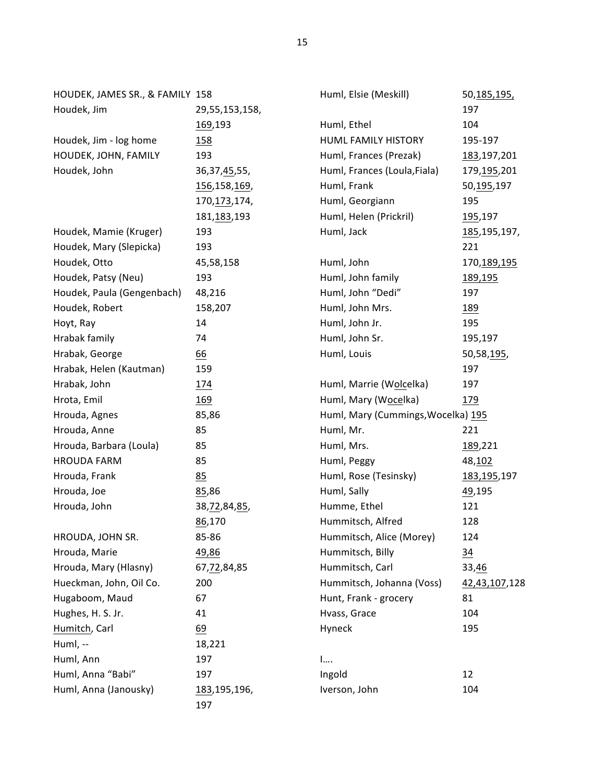| HOUDEK, JAMES SR., & FAMILY 158 |                     | Huml, Elsie (Meskill)              | 50, 185, 195,   |
|---------------------------------|---------------------|------------------------------------|-----------------|
| Houdek, Jim                     | 29,55,153,158,      |                                    | 197             |
|                                 | 169,193             | Huml, Ethel                        | 104             |
| Houdek, Jim - log home          | <u>158</u>          | HUML FAMILY HISTORY                | 195-197         |
| HOUDEK, JOHN, FAMILY            | 193                 | Huml, Frances (Prezak)             | 183,197,201     |
| Houdek, John                    | 36, 37, 45, 55,     | Huml, Frances (Loula, Fiala)       | 179,195,201     |
|                                 | 156,158,169,        | Huml, Frank                        | 50,195,197      |
|                                 | 170, 173, 174,      | Huml, Georgiann                    | 195             |
|                                 | 181,183,193         | Huml, Helen (Prickril)             | <u>195</u> ,197 |
| Houdek, Mamie (Kruger)          | 193                 | Huml, Jack                         | 185,195,197,    |
| Houdek, Mary (Slepicka)         | 193                 |                                    | 221             |
| Houdek, Otto                    | 45,58,158           | Huml, John                         | 170, 189, 195   |
| Houdek, Patsy (Neu)             | 193                 | Huml, John family                  | 189,195         |
| Houdek, Paula (Gengenbach)      | 48,216              | Huml, John "Dedi"                  | 197             |
| Houdek, Robert                  | 158,207             | Huml, John Mrs.                    | <u>189</u>      |
| Hoyt, Ray                       | 14                  | Huml, John Jr.                     | 195             |
| Hrabak family                   | 74                  | Huml, John Sr.                     | 195,197         |
| Hrabak, George                  | <u>66</u>           | Huml, Louis                        | 50,58,195,      |
| Hrabak, Helen (Kautman)         | 159                 |                                    | 197             |
| Hrabak, John                    | <u>174</u>          | Huml, Marrie (Wolcelka)            | 197             |
| Hrota, Emil                     | <u>169</u>          | Huml, Mary (Wocelka)               | 179             |
| Hrouda, Agnes                   | 85,86               | Huml, Mary (Cummings, Wocelka) 195 |                 |
| Hrouda, Anne                    | 85                  | Huml, Mr.                          | 221             |
| Hrouda, Barbara (Loula)         | 85                  | Huml, Mrs.                         | 189,221         |
| <b>HROUDA FARM</b>              | 85                  | Huml, Peggy                        | 48,102          |
| Hrouda, Frank                   | 85                  | Huml, Rose (Tesinsky)              | 183,195,197     |
| Hrouda, Joe                     | 85,86               | Huml, Sally                        | 49,195          |
| Hrouda, John                    | 38, 72, 84, 85,     | Humme, Ethel                       | 121             |
|                                 | 86,170              | Hummitsch, Alfred                  | 128             |
| HROUDA, JOHN SR.                | 85-86               | Hummitsch, Alice (Morey)           | 124             |
| Hrouda, Marie                   | 49,86               | Hummitsch, Billy                   | $\frac{34}{5}$  |
| Hrouda, Mary (Hlasny)           | 67,72,84,85         | Hummitsch, Carl                    | 33,46           |
| Hueckman, John, Oil Co.         | 200                 | Hummitsch, Johanna (Voss)          | 42,43,107,128   |
| Hugaboom, Maud                  | 67                  | Hunt, Frank - grocery              | 81              |
| Hughes, H. S. Jr.               | 41                  | Hvass, Grace                       | 104             |
| Humitch, Carl                   | 69                  | Hyneck                             | 195             |
| Huml, --                        | 18,221              |                                    |                 |
| Huml, Ann                       | 197                 | 1                                  |                 |
| Huml, Anna "Babi"               | 197                 | Ingold                             | 12              |
| Huml, Anna (Janousky)           | 183,195,196,<br>197 | Iverson, John                      | 104             |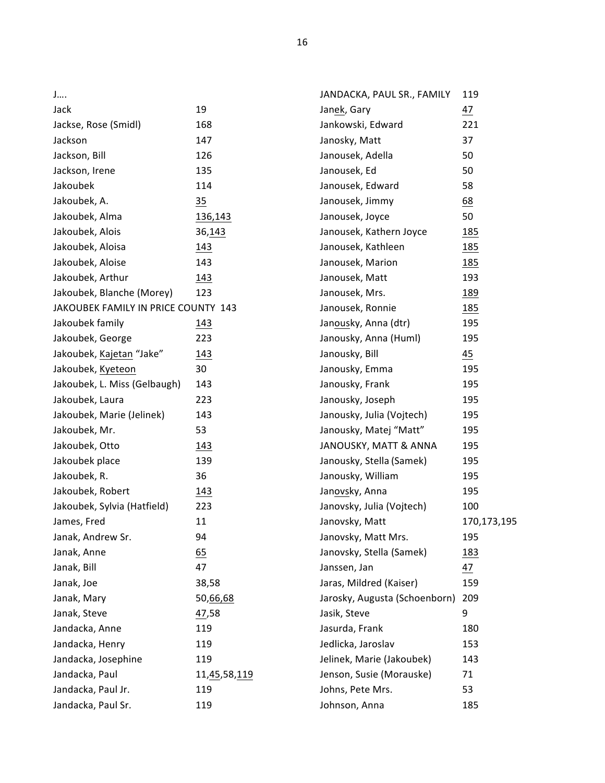| J                                   |                               |
|-------------------------------------|-------------------------------|
| Jack                                | 19                            |
| Jackse, Rose (Smidl)                | 168                           |
| Jackson                             | 147                           |
| Jackson, Bill                       | 126                           |
| Jackson, Irene                      | 135                           |
| Jakoubek                            | 114                           |
| Jakoubek, A.                        | 35                            |
| Jakoubek, Alma                      | 136,143                       |
| Jakoubek, Alois                     | 36,143                        |
| Jakoubek, Aloisa                    | 143                           |
| Jakoubek, Aloise                    | 143                           |
| Jakoubek, Arthur                    | 143                           |
| Jakoubek, Blanche (Morey)           | 123                           |
| JAKOUBEK FAMILY IN PRICE COUNTY 143 |                               |
| Jakoubek family                     | 143                           |
| Jakoubek, George                    | 223                           |
| Jakoubek, Kajetan "Jake"            | 143                           |
| Jakoubek, Kyeteon                   | 30                            |
| Jakoubek, L. Miss (Gelbaugh)        | 143                           |
| Jakoubek, Laura                     | 223                           |
| Jakoubek, Marie (Jelinek)           | 143                           |
| Jakoubek, Mr.                       | 53                            |
| Jakoubek, Otto                      | 143                           |
| Jakoubek place                      | 139                           |
| Jakoubek, R.                        | 36                            |
| Jakoubek, Robert                    | 143                           |
| Jakoubek, Sylvia (Hatfield)         | 223                           |
| James, Fred                         | 11                            |
| Janak, Andrew Sr.                   | 94                            |
| Janak, Anne                         | 65                            |
| Janak, Bill                         | 47                            |
| Janak, Joe                          | 38,58                         |
| Janak, Mary                         | 50,66,68                      |
| Janak, Steve                        | 47,58                         |
| Jandacka, Anne                      | 119                           |
| Jandacka, Henry                     | 119                           |
| Jandacka, Josephine                 | 119                           |
| Jandacka, Paul                      | 11, <u>45</u> ,58, <u>119</u> |
| Jandacka, Paul Jr.                  | 119                           |
| Jandacka, Paul Sr.                  | 119                           |

| JANDACKA, PAUL SR., FAMILY    | 119              |
|-------------------------------|------------------|
| Janek, Gary                   | 47               |
| Jankowski, Edward             | 221              |
| Janosky, Matt                 | 37               |
| Janousek, Adella              | 50               |
| Janousek, Ed                  | 50               |
| Janousek, Edward              | 58               |
| Janousek, Jimmy               | $\underline{68}$ |
| Janousek, Joyce               | 50               |
| Janousek, Kathern Joyce       | 185              |
| Janousek, Kathleen            | <u> 185</u>      |
| Janousek, Marion              | 185              |
| Janousek, Matt                | 193              |
| Janousek, Mrs.                | 189              |
| Janousek, Ronnie              | 185              |
| Janousky, Anna (dtr)          | 195              |
| Janousky, Anna (Huml)         | 195              |
| Janousky, Bill                | 45               |
| Janousky, Emma                | 195              |
| Janousky, Frank               | 195              |
| Janousky, Joseph              | 195              |
| Janousky, Julia (Vojtech)     | 195              |
| Janousky, Matej "Matt"        | 195              |
| JANOUSKY, MATT & ANNA         | 195              |
| Janousky, Stella (Samek)      | 195              |
| Janousky, William             | 195              |
| Janovsky, Anna                | 195              |
| Janovsky, Julia (Vojtech)     | 100              |
| Janovsky, Matt                | 170,173,195      |
| Janovsky, Matt Mrs.           | 195              |
| Janovsky, Stella (Samek)      | 183              |
| Janssen, Jan                  | $\frac{47}{5}$   |
| Jaras, Mildred (Kaiser)       | 159              |
| Jarosky, Augusta (Schoenborn) | 209              |
| Jasik, Steve                  | 9                |
| Jasurda, Frank                | 180              |
| Jedlicka, Jaroslav            | 153              |
| Jelinek, Marie (Jakoubek)     | 143              |
| Jenson, Susie (Morauske)      | 71               |
| Johns, Pete Mrs.              | 53               |
| Johnson, Anna                 | 185              |

16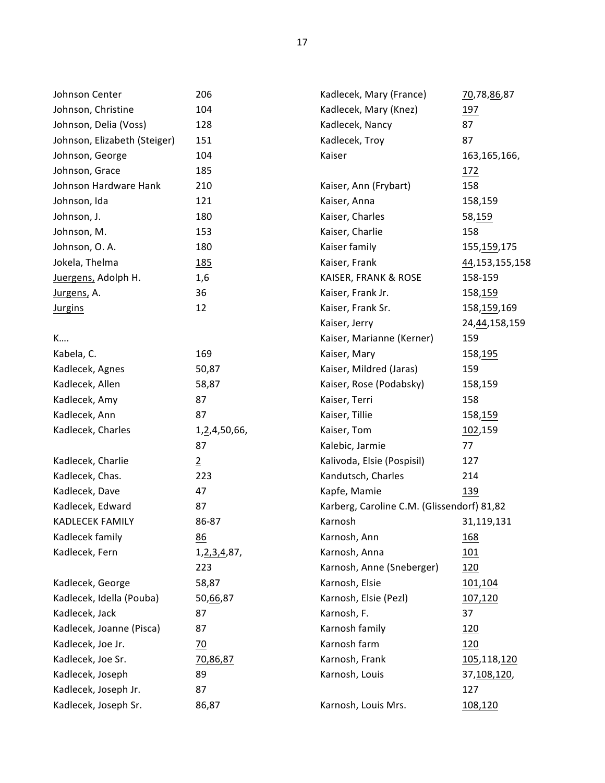| Johnson Center               | 206             | Kadlecek, Mary (France)                    | 70,78,86,87      |
|------------------------------|-----------------|--------------------------------------------|------------------|
| Johnson, Christine           | 104             | Kadlecek, Mary (Knez)                      | 197              |
| Johnson, Delia (Voss)        | 128             | Kadlecek, Nancy                            | 87               |
| Johnson, Elizabeth (Steiger) | 151             | Kadlecek, Troy                             | 87               |
| Johnson, George              | 104             | Kaiser                                     | 163, 165, 166,   |
| Johnson, Grace               | 185             |                                            | 172              |
| Johnson Hardware Hank        | 210             | Kaiser, Ann (Frybart)                      | 158              |
| Johnson, Ida                 | 121             | Kaiser, Anna                               | 158,159          |
| Johnson, J.                  | 180             | Kaiser, Charles                            | 58,159           |
| Johnson, M.                  | 153             | Kaiser, Charlie                            | 158              |
| Johnson, O. A.               | 180             | Kaiser family                              | 155, 159, 175    |
| Jokela, Thelma               | <u>185</u>      | Kaiser, Frank                              | 44,153,155,158   |
| Juergens, Adolph H.          | 1,6             | KAISER, FRANK & ROSE                       | 158-159          |
| Jurgens, A.                  | 36              | Kaiser, Frank Jr.                          | 158,159          |
| <b>Jurgins</b>               | 12              | Kaiser, Frank Sr.                          | 158,159,169      |
|                              |                 | Kaiser, Jerry                              | 24, 44, 158, 159 |
| K                            |                 | Kaiser, Marianne (Kerner)                  | 159              |
| Kabela, C.                   | 169             | Kaiser, Mary                               | 158,195          |
| Kadlecek, Agnes              | 50,87           | Kaiser, Mildred (Jaras)                    | 159              |
| Kadlecek, Allen              | 58,87           | Kaiser, Rose (Podabsky)                    | 158,159          |
| Kadlecek, Amy                | 87              | Kaiser, Terri                              | 158              |
| Kadlecek, Ann                | 87              | Kaiser, Tillie                             | 158,159          |
| Kadlecek, Charles            | 1,2,4,50,66,    | Kaiser, Tom                                | 102,159          |
|                              | 87              | Kalebic, Jarmie                            | 77               |
| Kadlecek, Charlie            | $\overline{2}$  | Kalivoda, Elsie (Pospisil)                 | 127              |
| Kadlecek, Chas.              | 223             | Kandutsch, Charles                         | 214              |
| Kadlecek, Dave               | 47              | Kapfe, Mamie                               | 139              |
| Kadlecek, Edward             | 87              | Karberg, Caroline C.M. (Glissendorf) 81,82 |                  |
| KADLECEK FAMILY              | 86-87           | Karnosh                                    | 31,119,131       |
| Kadlecek family              | 86              | Karnosh, Ann                               | <u>168</u>       |
| Kadlecek, Fern               | 1, 2, 3, 4, 87, | Karnosh, Anna                              | <u>101</u>       |
|                              | 223             | Karnosh, Anne (Sneberger)                  | 120              |
| Kadlecek, George             | 58,87           | Karnosh, Elsie                             | 101,104          |
| Kadlecek, Idella (Pouba)     | 50,66,87        | Karnosh, Elsie (Pezl)                      | 107,120          |
| Kadlecek, Jack               | 87              | Karnosh, F.                                | 37               |
| Kadlecek, Joanne (Pisca)     | 87              | Karnosh family                             | <u>120</u>       |
| Kadlecek, Joe Jr.            | $\overline{20}$ | Karnosh farm                               | 120              |
| Kadlecek, Joe Sr.            | 70,86,87        | Karnosh, Frank                             | 105,118,120      |
| Kadlecek, Joseph             | 89              | Karnosh, Louis                             | 37,108,120,      |
| Kadlecek, Joseph Jr.         | 87              |                                            | 127              |
| Kadlecek, Joseph Sr.         | 86,87           | Karnosh, Louis Mrs.                        | 108,120          |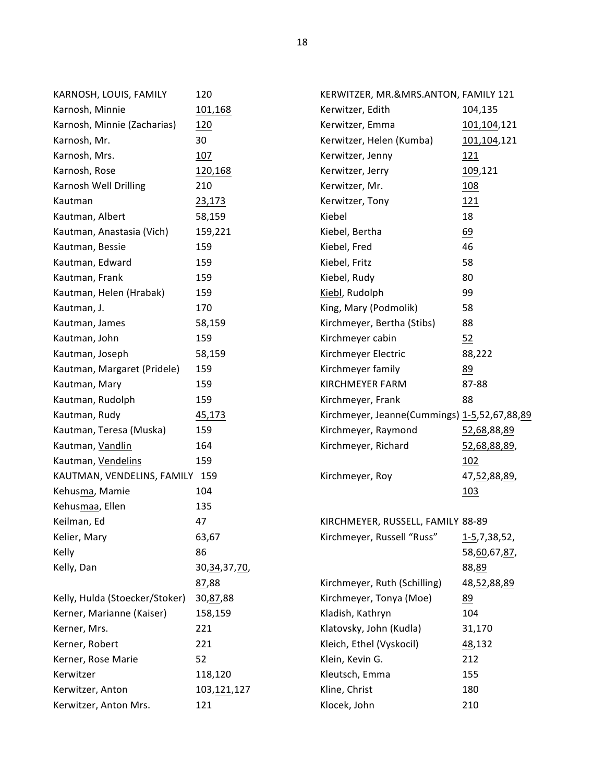| KARNOSH, LOUIS, FAMILY         | 120             | KERWITZER, MR.&MRS.ANTON, FAMILY 121         |                 |
|--------------------------------|-----------------|----------------------------------------------|-----------------|
| Karnosh, Minnie                | 101,168         | Kerwitzer, Edith                             | 104,135         |
| Karnosh, Minnie (Zacharias)    | 120             | Kerwitzer, Emma                              | 101,104,121     |
| Karnosh, Mr.                   | 30              | Kerwitzer, Helen (Kumba)                     | 101,104,121     |
| Karnosh, Mrs.                  | 107             | Kerwitzer, Jenny                             | 121             |
| Karnosh, Rose                  | 120,168         | Kerwitzer, Jerry                             | 109,121         |
| Karnosh Well Drilling          | 210             | Kerwitzer, Mr.                               | 108             |
| Kautman                        | 23,173          | Kerwitzer, Tony                              | 121             |
| Kautman, Albert                | 58,159          | Kiebel                                       | 18              |
| Kautman, Anastasia (Vich)      | 159,221         | Kiebel, Bertha                               | 69              |
| Kautman, Bessie                | 159             | Kiebel, Fred                                 | 46              |
| Kautman, Edward                | 159             | Kiebel, Fritz                                | 58              |
| Kautman, Frank                 | 159             | Kiebel, Rudy                                 | 80              |
| Kautman, Helen (Hrabak)        | 159             | Kiebl, Rudolph                               | 99              |
| Kautman, J.                    | 170             | King, Mary (Podmolik)                        | 58              |
| Kautman, James                 | 58,159          | Kirchmeyer, Bertha (Stibs)                   | 88              |
| Kautman, John                  | 159             | Kirchmeyer cabin                             | 52              |
| Kautman, Joseph                | 58,159          | Kirchmeyer Electric                          | 88,222          |
| Kautman, Margaret (Pridele)    | 159             | Kirchmeyer family                            | 89              |
| Kautman, Mary                  | 159             | <b>KIRCHMEYER FARM</b>                       | 87-88           |
| Kautman, Rudolph               | 159             | Kirchmeyer, Frank                            | 88              |
| Kautman, Rudy                  | 45,173          | Kirchmeyer, Jeanne(Cummings) 1-5,52,67,88,89 |                 |
| Kautman, Teresa (Muska)        | 159             | Kirchmeyer, Raymond                          | 52,68,88,89     |
| Kautman, Vandlin               | 164             | Kirchmeyer, Richard                          | 52,68,88,89,    |
| Kautman, Vendelins             | 159             |                                              | 102             |
| KAUTMAN, VENDELINS, FAMILY 159 |                 | Kirchmeyer, Roy                              | 47, 52, 88, 89, |
| Kehusma, Mamie                 | 104             |                                              | 103             |
| Kehusmaa, Ellen                | 135             |                                              |                 |
| Keilman, Ed                    | 47              | KIRCHMEYER, RUSSELL, FAMILY 88-89            |                 |
| Kelier, Mary                   | 63,67           | Kirchmeyer, Russell "Russ"                   | 1-5,7,38,52,    |
| Kelly                          | 86              |                                              | 58,60,67,87,    |
| Kelly, Dan                     | 30, 34, 37, 70, |                                              | 88,89           |
|                                | 87,88           | Kirchmeyer, Ruth (Schilling)                 | 48,52,88,89     |
| Kelly, Hulda (Stoecker/Stoker) | 30, 87, 88      | Kirchmeyer, Tonya (Moe)                      | 89              |
| Kerner, Marianne (Kaiser)      | 158,159         | Kladish, Kathryn                             | 104             |
| Kerner, Mrs.                   | 221             | Klatovsky, John (Kudla)                      | 31,170          |
| Kerner, Robert                 | 221             | Kleich, Ethel (Vyskocil)                     | 48,132          |
| Kerner, Rose Marie             | 52              | Klein, Kevin G.                              | 212             |
| Kerwitzer                      | 118,120         | Kleutsch, Emma                               | 155             |
| Kerwitzer, Anton               | 103,121,127     | Kline, Christ                                | 180             |
| Kerwitzer, Anton Mrs.          | 121             | Klocek, John                                 | 210             |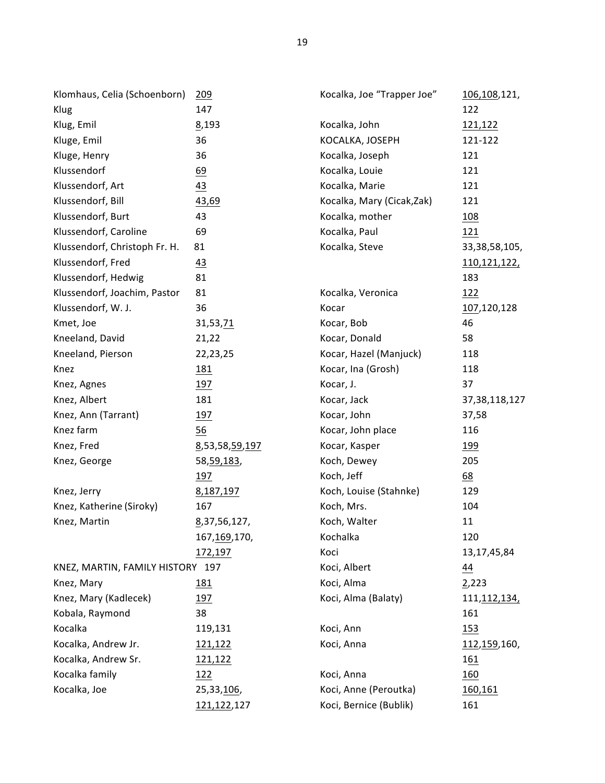| Klomhaus, Celia (Schoenborn)     | 209            | Kocalka, Joe "Trapper Joe" | 106,108,121,          |
|----------------------------------|----------------|----------------------------|-----------------------|
| Klug                             | 147            |                            | 122                   |
| Klug, Emil                       | 8,193          | Kocalka, John              | 121,122               |
| Kluge, Emil                      | 36             | KOCALKA, JOSEPH            | 121-122               |
| Kluge, Henry                     | 36             | Kocalka, Joseph            | 121                   |
| Klussendorf                      | 69             | Kocalka, Louie             | 121                   |
| Klussendorf, Art                 | 43             | Kocalka, Marie             | 121                   |
| Klussendorf, Bill                | 43,69          | Kocalka, Mary (Cicak, Zak) | 121                   |
| Klussendorf, Burt                | 43             | Kocalka, mother            | <u>108</u>            |
| Klussendorf, Caroline            | 69             | Kocalka, Paul              | 121                   |
| Klussendorf, Christoph Fr. H.    | 81             | Kocalka, Steve             | 33,38,58,105,         |
| Klussendorf, Fred                | 43             |                            | 110,121,122,          |
| Klussendorf, Hedwig              | 81             |                            | 183                   |
| Klussendorf, Joachim, Pastor     | 81             | Kocalka, Veronica          | <u> 122</u>           |
| Klussendorf, W. J.               | 36             | Kocar                      | 107,120,128           |
| Kmet, Joe                        | 31,53,71       | Kocar, Bob                 | 46                    |
| Kneeland, David                  | 21,22          | Kocar, Donald              | 58                    |
| Kneeland, Pierson                | 22,23,25       | Kocar, Hazel (Manjuck)     | 118                   |
| Knez                             | <u>181</u>     | Kocar, Ina (Grosh)         | 118                   |
| Knez, Agnes                      | 197            | Kocar, J.                  | 37                    |
| Knez, Albert                     | 181            | Kocar, Jack                | 37, 38, 118, 127      |
| Knez, Ann (Tarrant)              | 197            | Kocar, John                | 37,58                 |
| Knez farm                        | 56             | Kocar, John place          | 116                   |
| Knez, Fred                       | 8,53,58,59,197 | Kocar, Kasper              | <u> 199</u>           |
| Knez, George                     | 58, 59, 183,   | Koch, Dewey                | 205                   |
|                                  | 197            | Koch, Jeff                 | $\underline{68}$      |
| Knez, Jerry                      | 8,187,197      | Koch, Louise (Stahnke)     | 129                   |
| Knez, Katherine (Siroky)         | 167            | Koch, Mrs.                 | 104                   |
| Knez, Martin                     | 8,37,56,127,   | Koch, Walter               | 11                    |
|                                  | 167, 169, 170, | Kochalka                   | 120                   |
|                                  | 172,197        | Koci                       | 13, 17, 45, 84        |
| KNEZ, MARTIN, FAMILY HISTORY 197 |                | Koci, Albert               | 44                    |
| Knez, Mary                       | 181            | Koci, Alma                 | 2,223                 |
| Knez, Mary (Kadlecek)            | 197            | Koci, Alma (Balaty)        | 111, <u>112, 134,</u> |
| Kobala, Raymond                  | 38             |                            | 161                   |
| Kocalka                          | 119,131        | Koci, Ann                  | 153                   |
| Kocalka, Andrew Jr.              | 121,122        | Koci, Anna                 | 112,159,160,          |
| Kocalka, Andrew Sr.              | 121,122        |                            | 161                   |
| Kocalka family                   | 122            | Koci, Anna                 | 160                   |
| Kocalka, Joe                     | 25,33,106,     | Koci, Anne (Peroutka)      | 160,161               |
|                                  | 121,122,127    | Koci, Bernice (Bublik)     | 161                   |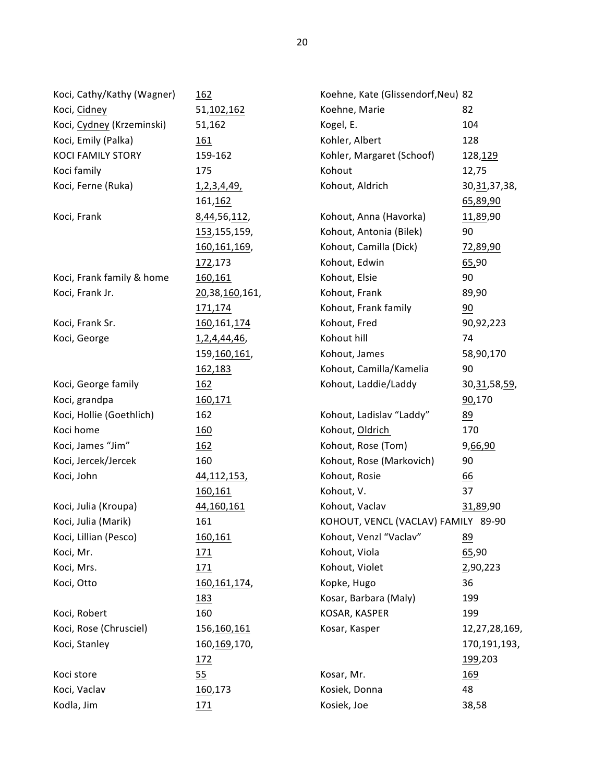| Koci, Cathy/Kathy (Wagner) | 162                | Koehne, Kate (Glissendorf, Neu) 82  |                  |
|----------------------------|--------------------|-------------------------------------|------------------|
| Koci, Cidney               | 51,102,162         | Koehne, Marie                       | 82               |
| Koci, Cydney (Krzeminski)  | 51,162             | Kogel, E.                           | 104              |
| Koci, Emily (Palka)        | 161                | Kohler, Albert                      | 128              |
| <b>KOCI FAMILY STORY</b>   | 159-162            | Kohler, Margaret (Schoof)           | 128,129          |
| Koci family                | 175                | Kohout                              | 12,75            |
| Koci, Ferne (Ruka)         | <u>1,2,3,4,49,</u> | Kohout, Aldrich                     | 30, 31, 37, 38,  |
|                            | 161, 162           |                                     | 65,89,90         |
| Koci, Frank                | 8,44,56,112,       | Kohout, Anna (Havorka)              | 11,89,90         |
|                            | 153,155,159,       | Kohout, Antonia (Bilek)             | 90               |
|                            | 160, 161, 169,     | Kohout, Camilla (Dick)              | 72,89,90         |
|                            | 172,173            | Kohout, Edwin                       | 65,90            |
| Koci, Frank family & home  | 160,161            | Kohout, Elsie                       | 90               |
| Koci, Frank Jr.            | 20,38,160,161,     | Kohout, Frank                       | 89,90            |
|                            | 171,174            | Kohout, Frank family                | 90               |
| Koci, Frank Sr.            | 160, 161, 174      | Kohout, Fred                        | 90,92,223        |
| Koci, George               | 1, 2, 4, 44, 46,   | Kohout hill                         | 74               |
|                            | 159, 160, 161,     | Kohout, James                       | 58,90,170        |
|                            | 162,183            | Kohout, Camilla/Kamelia             | 90               |
| Koci, George family        | 162                | Kohout, Laddie/Laddy                | 30, 31, 58, 59,  |
| Koci, grandpa              | 160,171            |                                     | 90,170           |
| Koci, Hollie (Goethlich)   | 162                | Kohout, Ladislav "Laddy"            | 89               |
| Koci home                  | <u>160</u>         | Kohout, Oldrich                     | 170              |
| Koci, James "Jim"          | 162                | Kohout, Rose (Tom)                  | 9,66,90          |
| Koci, Jercek/Jercek        | 160                | Kohout, Rose (Markovich)            | 90               |
| Koci, John                 | 44, 112, 153,      | Kohout, Rosie                       | $\underline{66}$ |
|                            | 160,161            | Kohout, V.                          | 37               |
| Koci, Julia (Kroupa)       | 44,160,161         | Kohout, Vaclav                      | 31,89,90         |
| Koci, Julia (Marik)        | 161                | KOHOUT, VENCL (VACLAV) FAMILY 89-90 |                  |
| Koci, Lillian (Pesco)      | 160,161            | Kohout, Venzl "Vaclav"              | 89               |
| Koci, Mr.                  | 171                | Kohout, Viola                       | 65,90            |
| Koci, Mrs.                 | 171                | Kohout, Violet                      | 2,90,223         |
| Koci, Otto                 | 160, 161, 174,     | Kopke, Hugo                         | 36               |
|                            | 183                | Kosar, Barbara (Maly)               | 199              |
| Koci, Robert               | 160                | KOSAR, KASPER                       | 199              |
| Koci, Rose (Chrusciel)     | 156,160,161        | Kosar, Kasper                       | 12,27,28,169,    |
| Koci, Stanley              | 160, 169, 170,     |                                     | 170,191,193,     |
|                            | <u>172</u>         |                                     | 199,203          |
| Koci store                 | 55                 | Kosar, Mr.                          | 169              |
| Koci, Vaclav               | 160,173            | Kosiek, Donna                       | 48               |
| Kodla, Jim                 | 171                | Kosiek, Joe                         | 38,58            |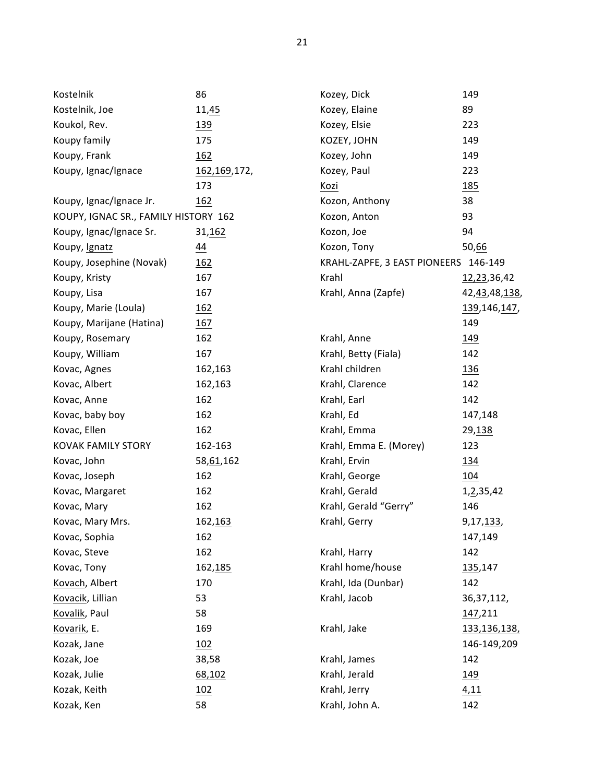| Kostelnik                            | 86             | Kozey, Dick                          | 149                 |
|--------------------------------------|----------------|--------------------------------------|---------------------|
| Kostelnik, Joe                       | 11,45          | Kozey, Elaine                        | 89                  |
| Koukol, Rev.                         | <u>139</u>     | Kozey, Elsie                         | 223                 |
| Koupy family                         | 175            | KOZEY, JOHN                          | 149                 |
| Koupy, Frank                         | 162            | Kozey, John                          | 149                 |
| Koupy, Ignac/Ignace                  | 162, 169, 172, | Kozey, Paul                          | 223                 |
|                                      | 173            | Kozi                                 | <u>185</u>          |
| Koupy, Ignac/Ignace Jr.              | 162            | Kozon, Anthony                       | 38                  |
| KOUPY, IGNAC SR., FAMILY HISTORY 162 |                | Kozon, Anton                         | 93                  |
| Koupy, Ignac/Ignace Sr.              | 31,162         | Kozon, Joe                           | 94                  |
| Koupy, Ignatz                        | $\frac{44}{}$  | Kozon, Tony                          | 50,66               |
| Koupy, Josephine (Novak)             | 162            | KRAHL-ZAPFE, 3 EAST PIONEERS 146-149 |                     |
| Koupy, Kristy                        | 167            | Krahl                                | 12,23,36,42         |
| Koupy, Lisa                          | 167            | Krahl, Anna (Zapfe)                  | 42, 43, 48, 138,    |
| Koupy, Marie (Loula)                 | 162            |                                      | 139, 146, 147,      |
| Koupy, Marijane (Hatina)             | 167            |                                      | 149                 |
| Koupy, Rosemary                      | 162            | Krahl, Anne                          | <u>149</u>          |
| Koupy, William                       | 167            | Krahl, Betty (Fiala)                 | 142                 |
| Kovac, Agnes                         | 162,163        | Krahl children                       | <u>136</u>          |
| Kovac, Albert                        | 162,163        | Krahl, Clarence                      | 142                 |
| Kovac, Anne                          | 162            | Krahl, Earl                          | 142                 |
| Kovac, baby boy                      | 162            | Krahl, Ed                            | 147,148             |
| Kovac, Ellen                         | 162            | Krahl, Emma                          | 29,138              |
| <b>KOVAK FAMILY STORY</b>            | 162-163        | Krahl, Emma E. (Morey)               | 123                 |
| Kovac, John                          | 58,61,162      | Krahl, Ervin                         | 134                 |
| Kovac, Joseph                        | 162            | Krahl, George                        | 104                 |
| Kovac, Margaret                      | 162            | Krahl, Gerald                        | 1,2,35,42           |
| Kovac, Mary                          | 162            | Krahl, Gerald "Gerry"                | 146                 |
| Kovac, Mary Mrs.                     | 162, 163       | Krahl, Gerry                         | 9,17, 133,          |
| Kovac, Sophia                        | 162            |                                      | 147,149             |
| Kovac, Steve                         | 162            | Krahl, Harry                         | 142                 |
| Kovac, Tony                          | 162,185        | Krahl home/house                     | 135,147             |
| Kovach, Albert                       | 170            | Krahl, Ida (Dunbar)                  | 142                 |
| Kovacik, Lillian                     | 53             | Krahl, Jacob                         | 36, 37, 112,        |
| Kovalik, Paul                        | 58             |                                      | 147,211             |
| Kovarik, E.                          | 169            | Krahl, Jake                          | <u>133,136,138,</u> |
| Kozak, Jane                          | 102            |                                      | 146-149,209         |
| Kozak, Joe                           | 38,58          | Krahl, James                         | 142                 |
| Kozak, Julie                         | 68,102         | Krahl, Jerald                        | 149                 |
| Kozak, Keith                         | <u>102</u>     | Krahl, Jerry                         | 4,11                |
| Kozak, Ken                           | 58             | Krahl, John A.                       | 142                 |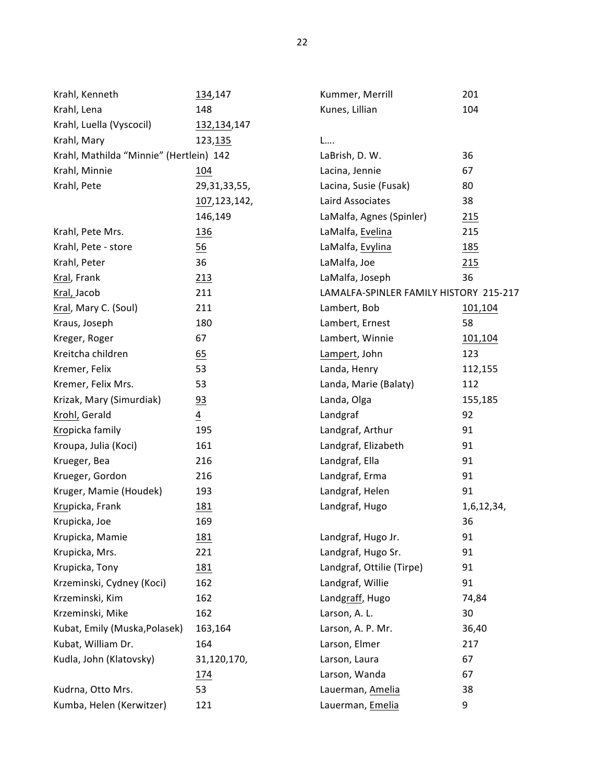| Krahl, Kenneth                          | 134,147         | Kummer, Merrill                        | 201        |
|-----------------------------------------|-----------------|----------------------------------------|------------|
| Krahl, Lena                             | 148             | Kunes, Lillian                         | 104        |
| Krahl, Luella (Vyscocil)                | 132, 134, 147   |                                        |            |
| Krahl, Mary                             | 123, 135        | L                                      |            |
| Krahl, Mathilda "Minnie" (Hertlein) 142 |                 | LaBrish, D. W.                         | 36         |
| Krahl, Minnie                           | 104             | Lacina, Jennie                         | 67         |
| Krahl, Pete                             | 29, 31, 33, 55, | Lacina, Susie (Fusak)                  | 80         |
|                                         | 107,123,142,    | Laird Associates                       | 38         |
|                                         | 146,149         | LaMalfa, Agnes (Spinler)               | 215        |
| Krahl, Pete Mrs.                        | <u>136</u>      | LaMalfa, Evelina                       | 215        |
| Krahl, Pete - store                     | 56              | LaMalfa, Evylina                       | <u>185</u> |
| Krahl, Peter                            | 36              | LaMalfa, Joe                           | 215        |
| Kral, Frank                             | 213             | LaMalfa, Joseph                        | 36         |
| Kral, Jacob                             | 211             | LAMALFA-SPINLER FAMILY HISTORY 215-217 |            |
| Kral, Mary C. (Soul)                    | 211             | Lambert, Bob                           | 101,104    |
| Kraus, Joseph                           | 180             | Lambert, Ernest                        | 58         |
| Kreger, Roger                           | 67              | Lambert, Winnie                        | 101,104    |
| Kreitcha children                       | 65              | Lampert, John                          | 123        |
| Kremer, Felix                           | 53              | Landa, Henry                           | 112,155    |
| Kremer, Felix Mrs.                      | 53              | Landa, Marie (Balaty)                  | 112        |
| Krizak, Mary (Simurdiak)                | 93              | Landa, Olga                            | 155,185    |
| Krohl, Gerald                           | $\overline{4}$  | Landgraf                               | 92         |
| Kropicka family                         | 195             | Landgraf, Arthur                       | 91         |
| Kroupa, Julia (Koci)                    | 161             | Landgraf, Elizabeth                    | 91         |
| Krueger, Bea                            | 216             | Landgraf, Ella                         | 91         |
| Krueger, Gordon                         | 216             | Landgraf, Erma                         | 91         |
| Kruger, Mamie (Houdek)                  | 193             | Landgraf, Helen                        | 91         |
| Krupicka, Frank                         | <u>181</u>      | Landgraf, Hugo                         | 1,6,12,34, |
| Krupicka, Joe                           | 169             |                                        | 36         |
| Krupicka, Mamie                         | <u>181</u>      | Landgraf, Hugo Jr.                     | 91         |
| Krupicka, Mrs.                          | 221             | Landgraf, Hugo Sr.                     | 91         |
| Krupicka, Tony                          | <u>181</u>      | Landgraf, Ottilie (Tirpe)              | 91         |
| Krzeminski, Cydney (Koci)               | 162             | Landgraf, Willie                       | 91         |
| Krzeminski, Kim                         | 162             | Landgraff, Hugo                        | 74,84      |
| Krzeminski, Mike                        | 162             | Larson, A. L.                          | 30         |
| Kubat, Emily (Muska, Polasek)           | 163,164         | Larson, A. P. Mr.                      | 36,40      |
| Kubat, William Dr.                      | 164             | Larson, Elmer                          | 217        |
| Kudla, John (Klatovsky)                 | 31,120,170,     | Larson, Laura                          | 67         |
|                                         | 174             | Larson, Wanda                          | 67         |
| Kudrna, Otto Mrs.                       | 53              | Lauerman, Amelia                       | 38         |
| Kumba, Helen (Kerwitzer)                | 121             | Lauerman, Emelia                       | 9          |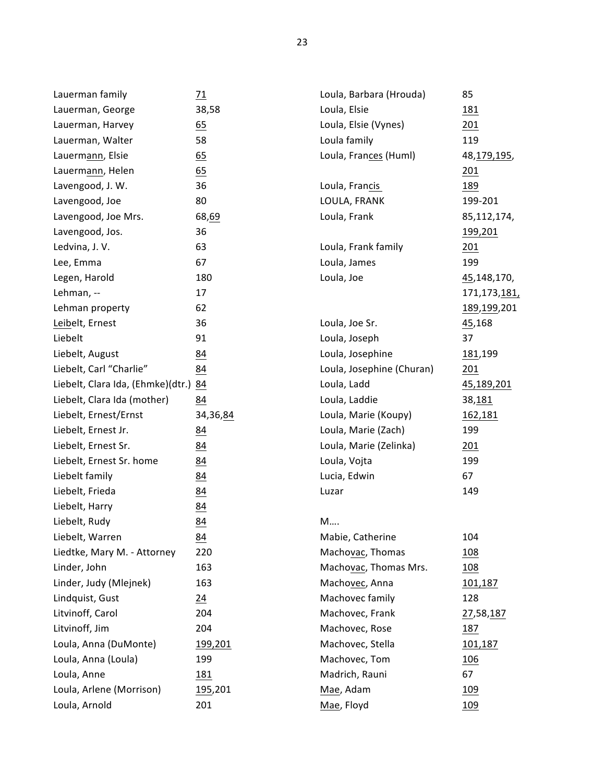| Lauerman family                   | $\frac{71}{2}$   |
|-----------------------------------|------------------|
| Lauerman, George                  | 38,58            |
| Lauerman, Harvey                  | $\underline{65}$ |
| Lauerman, Walter                  | 58               |
| Lauermann, Elsie                  | 65               |
| Lauermann, Helen                  | 65               |
| Lavengood, J. W.                  | 36               |
| Lavengood, Joe                    | 80               |
| Lavengood, Joe Mrs.               | 68, 69           |
| Lavengood, Jos.                   | 36               |
| Ledvina, J.V.                     | 63               |
| Lee, Emma                         | 67               |
| Legen, Harold                     | 180              |
| Lehman, --                        | 17               |
| Lehman property                   | 62               |
| Leibelt, Ernest                   | 36               |
| Liebelt                           | 91               |
| Liebelt, August                   | 84               |
| Liebelt, Carl "Charlie"           | 84               |
| Liebelt, Clara Ida, (Ehmke)(dtr.) | 84               |
| Liebelt, Clara Ida (mother)       | 84               |
| Liebelt, Ernest/Ernst             | 34,36,84         |
| Liebelt, Ernest Jr.               | 84               |
| Liebelt, Ernest Sr.               | 84               |
| Liebelt, Ernest Sr. home          | 84               |
| Liebelt family                    | 84               |
| Liebelt, Frieda                   | 84               |
| Liebelt, Harry                    | 84               |
| Liebelt, Rudy                     | 84               |
| Liebelt, Warren                   | 84               |
| Liedtke, Mary M. - Attorney       | 220              |
| Linder, John                      | 163              |
| Linder, Judy (Mlejnek)            | 163              |
| Lindquist, Gust                   | 24               |
| Litvinoff, Carol                  | 204              |
| Litvinoff, Jim                    | 204              |
| Loula, Anna (DuMonte)             | 199,201          |
| Loula, Anna (Loula)               | 199              |
| Loula, Anne                       | 181              |
| Loula, Arlene (Morrison)          | 195,201          |
| Loula, Arnold                     | 201              |

| Loula, Barbara (Hrouda)   | 85                   |
|---------------------------|----------------------|
| Loula, Elsie              | 181                  |
| Loula, Elsie (Vynes)      | 201                  |
| Loula family              | 119                  |
| Loula, Frances (Huml)     | 48, 179, 195,        |
|                           | <u> 201</u>          |
| Loula, Francis            | 189                  |
| LOULA, FRANK              | 199-201              |
| Loula, Frank              | 85,112,174,          |
|                           | <u>199,201</u>       |
| Loula, Frank family       | 201                  |
| Loula, James              | 199                  |
| Loula, Joe                | 45,148,170,          |
|                           | 171,173, <u>181,</u> |
|                           | 189,199,201          |
| Loula, Joe Sr.            | 45,168               |
| Loula, Joseph             | 37                   |
| Loula, Josephine          | <u>181</u> ,199      |
| Loula, Josephine (Churan) | <u> 201</u>          |
| Loula, Ladd               | <u>45,189,201</u>    |
| Loula, Laddie             | 38, 181              |
| Loula, Marie (Koupy)      | 162,181              |
| Loula, Marie (Zach)       | 199                  |
| Loula, Marie (Zelinka)    | 201                  |
| Loula, Vojta              | 199                  |
| Lucia, Edwin              | 67                   |
| Luzar                     | 149                  |
|                           |                      |
| M                         |                      |
| Mabie, Catherine          | 104                  |
| Machovac, Thomas          | 108                  |
| Machovac, Thomas Mrs.     | 108                  |
| Machovec, Anna            | 101,187              |
| Machovec family           | 128                  |
| Machovec, Frank           | 27,58,187            |
| Machovec, Rose            | 187                  |
| Machovec, Stella          | 101,187              |
| Machovec, Tom             | 106                  |
| Madrich, Rauni            | 67                   |
| Mae, Adam                 | 109                  |
| Mae, Floyd                | 109                  |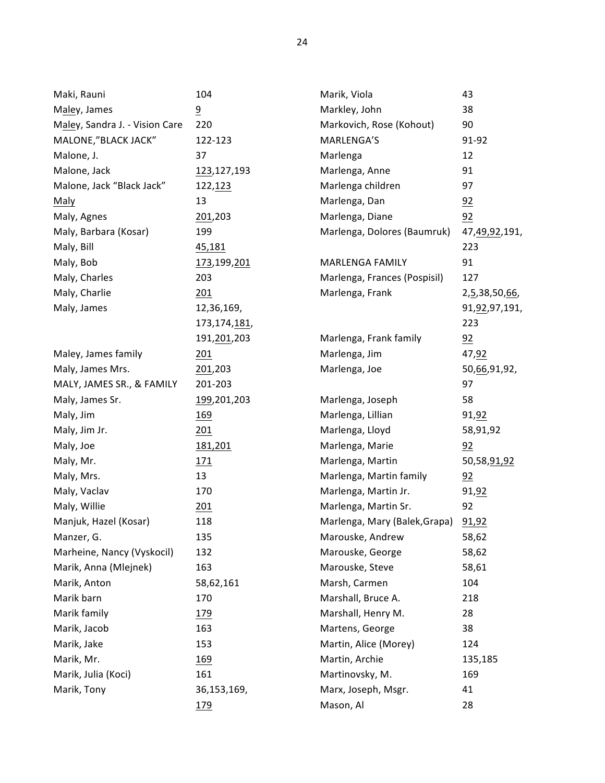| Maki, Rauni                    | 104            | Marik, Viola                  | 43               |
|--------------------------------|----------------|-------------------------------|------------------|
| Maley, James                   | $\overline{9}$ | Markley, John                 | 38               |
| Maley, Sandra J. - Vision Care | 220            | Markovich, Rose (Kohout)      | 90               |
| MALONE,"BLACK JACK"            | 122-123        | MARLENGA'S                    | 91-92            |
| Malone, J.                     | 37             | Marlenga                      | 12               |
| Malone, Jack                   | 123,127,193    | Marlenga, Anne                | 91               |
| Malone, Jack "Black Jack"      | 122, 123       | Marlenga children             | 97               |
| Maly                           | 13             | Marlenga, Dan                 | 92               |
| Maly, Agnes                    | 201,203        | Marlenga, Diane               | 92               |
| Maly, Barbara (Kosar)          | 199            | Marlenga, Dolores (Baumruk)   | 47,49,92,191,    |
| Maly, Bill                     | <u>45,181</u>  |                               | 223              |
| Maly, Bob                      | 173,199,201    | <b>MARLENGA FAMILY</b>        | 91               |
| Maly, Charles                  | 203            | Marlenga, Frances (Pospisil)  | 127              |
| Maly, Charlie                  | 201            | Marlenga, Frank               | 2,5,38,50,66,    |
| Maly, James                    | 12,36,169,     |                               | 91, 92, 97, 191, |
|                                | 173,174,181,   |                               | 223              |
|                                | 191,201,203    | Marlenga, Frank family        | 92               |
| Maley, James family            | 201            | Marlenga, Jim                 | 47,92            |
| Maly, James Mrs.               | 201,203        | Marlenga, Joe                 | 50,66,91,92,     |
| MALY, JAMES SR., & FAMILY      | 201-203        |                               | 97               |
| Maly, James Sr.                | 199,201,203    | Marlenga, Joseph              | 58               |
| Maly, Jim                      | <u>169</u>     | Marlenga, Lillian             | 91,92            |
| Maly, Jim Jr.                  | 201            | Marlenga, Lloyd               | 58,91,92         |
| Maly, Joe                      | 181,201        | Marlenga, Marie               | 92               |
| Maly, Mr.                      | 171            | Marlenga, Martin              | 50,58,91,92      |
| Maly, Mrs.                     | 13             | Marlenga, Martin family       | 92               |
| Maly, Vaclav                   | 170            | Marlenga, Martin Jr.          | 91,92            |
| Maly, Willie                   | 201            | Marlenga, Martin Sr.          | 92               |
| Manjuk, Hazel (Kosar)          | 118            | Marlenga, Mary (Balek, Grapa) | 91,92            |
| Manzer, G.                     | 135            | Marouske, Andrew              | 58,62            |
| Marheine, Nancy (Vyskocil)     | 132            | Marouske, George              | 58,62            |
| Marik, Anna (Mlejnek)          | 163            | Marouske, Steve               | 58,61            |
| Marik, Anton                   | 58,62,161      | Marsh, Carmen                 | 104              |
| Marik barn                     | 170            | Marshall, Bruce A.            | 218              |
| Marik family                   | <u> 179</u>    | Marshall, Henry M.            | 28               |
| Marik, Jacob                   | 163            | Martens, George               | 38               |
| Marik, Jake                    | 153            | Martin, Alice (Morey)         | 124              |
| Marik, Mr.                     | <u>169</u>     | Martin, Archie                | 135,185          |
| Marik, Julia (Koci)            | 161            | Martinovsky, M.               | 169              |
| Marik, Tony                    | 36,153,169,    | Marx, Joseph, Msgr.           | 41               |
|                                | <u>179</u>     | Mason, Al                     | 28               |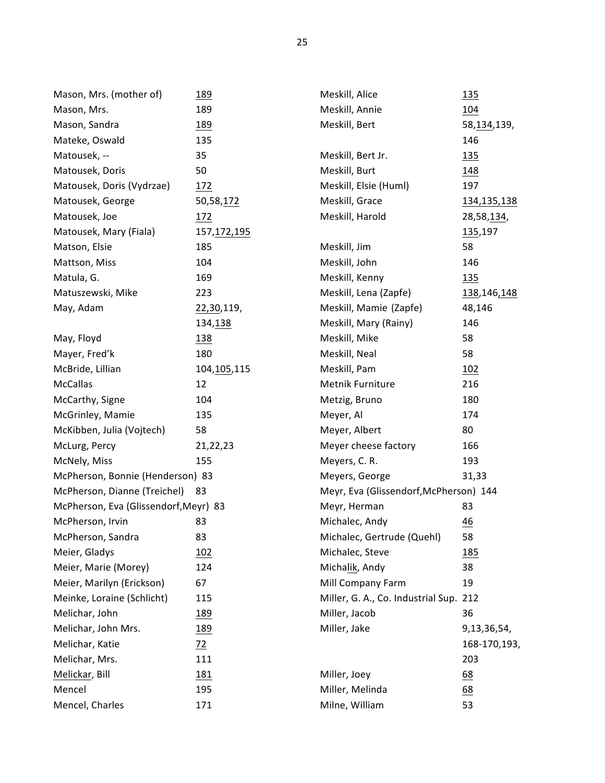| Mason, Mrs. (mother of)               | <u>189</u>      | Meskill, Alice                         | <u>135</u>       |
|---------------------------------------|-----------------|----------------------------------------|------------------|
| Mason, Mrs.                           | 189             | Meskill, Annie                         | <u>104</u>       |
| Mason, Sandra                         | 189             | Meskill, Bert                          | 58, 134, 139,    |
| Mateke, Oswald                        | 135             |                                        | 146              |
| Matousek, --                          | 35              | Meskill, Bert Jr.                      | <u> 135</u>      |
| Matousek, Doris                       | 50              | Meskill, Burt                          | 148              |
| Matousek, Doris (Vydrzae)             | 172             | Meskill, Elsie (Huml)                  | 197              |
| Matousek, George                      | 50,58,172       | Meskill, Grace                         | 134, 135, 138    |
| Matousek, Joe                         | 172             | Meskill, Harold                        | 28,58,134,       |
| Matousek, Mary (Fiala)                | 157, 172, 195   |                                        | 135,197          |
| Matson, Elsie                         | 185             | Meskill, Jim                           | 58               |
| Mattson, Miss                         | 104             | Meskill, John                          | 146              |
| Matula, G.                            | 169             | Meskill, Kenny                         | <u>135</u>       |
| Matuszewski, Mike                     | 223             | Meskill, Lena (Zapfe)                  | 138,146,148      |
| May, Adam                             | 22,30,119,      | Meskill, Mamie (Zapfe)                 | 48,146           |
|                                       | 134, 138        | Meskill, Mary (Rainy)                  | 146              |
| May, Floyd                            | <u>138</u>      | Meskill, Mike                          | 58               |
| Mayer, Fred'k                         | 180             | Meskill, Neal                          | 58               |
| McBride, Lillian                      | 104, 105, 115   | Meskill, Pam                           | <u> 102</u>      |
| <b>McCallas</b>                       | 12              | Metnik Furniture                       | 216              |
| McCarthy, Signe                       | 104             | Metzig, Bruno                          | 180              |
| McGrinley, Mamie                      | 135             | Meyer, Al                              | 174              |
| McKibben, Julia (Vojtech)             | 58              | Meyer, Albert                          | 80               |
| McLurg, Percy                         | 21,22,23        | Meyer cheese factory                   | 166              |
| McNely, Miss                          | 155             | Meyers, C. R.                          | 193              |
| McPherson, Bonnie (Henderson) 83      |                 | Meyers, George<br>31,33                |                  |
| McPherson, Dianne (Treichel)          | 83              | Meyr, Eva (Glissendorf, McPherson) 144 |                  |
| McPherson, Eva (Glissendorf, Meyr) 83 |                 | Meyr, Herman                           | 83               |
| McPherson, Irvin                      | 83              | Michalec, Andy                         | 46               |
| McPherson, Sandra                     | 83              | Michalec, Gertrude (Quehl)             | 58               |
| Meier, Gladys                         | 102             | Michalec, Steve                        | <u>185</u>       |
| Meier, Marie (Morey)                  | 124             | Michalik, Andy                         | 38               |
| Meier, Marilyn (Erickson)             | 67              | Mill Company Farm                      | 19               |
| Meinke, Loraine (Schlicht)            | 115             | Miller, G. A., Co. Industrial Sup. 212 |                  |
| Melichar, John                        | <u>189</u>      | Miller, Jacob                          | 36               |
| Melichar, John Mrs.                   | <u>189</u>      | Miller, Jake                           | 9,13,36,54,      |
| Melichar, Katie                       | $\overline{22}$ |                                        | 168-170,193,     |
| Melichar, Mrs.                        | 111             |                                        | 203              |
| Melickar, Bill                        | 181             | Miller, Joey                           | 68               |
| Mencel                                | 195             | Miller, Melinda                        | $\underline{68}$ |
| Mencel, Charles                       | 171             | Milne, William                         | 53               |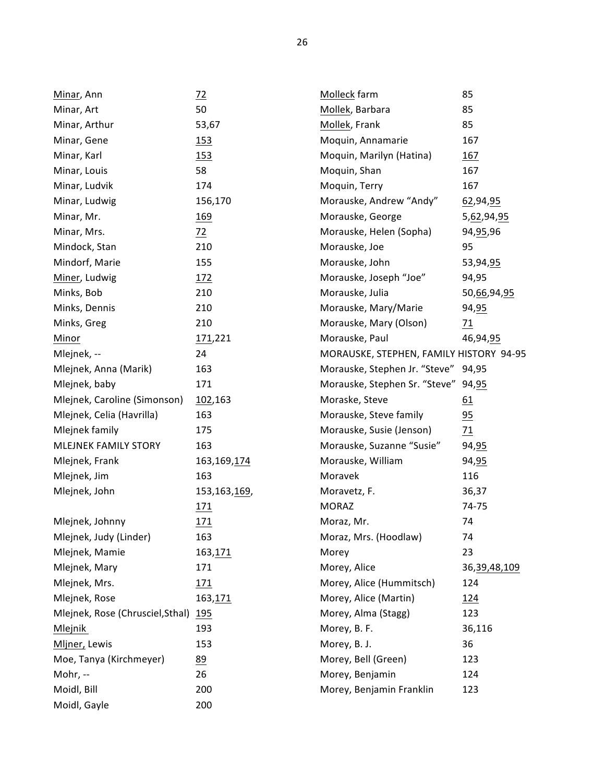| Minar, Ann                       | $\frac{72}{2}$ | Molleck farm                            | 85           |
|----------------------------------|----------------|-----------------------------------------|--------------|
| Minar, Art                       | 50             | Mollek, Barbara                         | 85           |
| Minar, Arthur                    | 53,67          | Mollek, Frank                           | 85           |
| Minar, Gene                      | 153            | Moquin, Annamarie                       | 167          |
| Minar, Karl                      | 153            | Moquin, Marilyn (Hatina)                | <u>167</u>   |
| Minar, Louis                     | 58             | Moquin, Shan                            | 167          |
| Minar, Ludvik                    | 174            | Moquin, Terry                           | 167          |
| Minar, Ludwig                    | 156,170        | Morauske, Andrew "Andy"                 | 62,94,95     |
| Minar, Mr.                       | <u>169</u>     | Morauske, George                        | 5,62,94,95   |
| Minar, Mrs.                      | $\frac{72}{2}$ | Morauske, Helen (Sopha)                 | 94, 95, 96   |
| Mindock, Stan                    | 210            | Morauske, Joe                           | 95           |
| Mindorf, Marie                   | 155            | Morauske, John                          | 53,94,95     |
| Miner, Ludwig                    | 172            | Morauske, Joseph "Joe"                  | 94,95        |
| Minks, Bob                       | 210            | Morauske, Julia                         | 50,66,94,95  |
| Minks, Dennis                    | 210            | Morauske, Mary/Marie                    | 94, 95       |
| Minks, Greg                      | 210            | Morauske, Mary (Olson)                  | 71           |
| Minor                            | 171,221        | Morauske, Paul                          | 46,94,95     |
| Mlejnek, --                      | 24             | MORAUSKE, STEPHEN, FAMILY HISTORY 94-95 |              |
| Mlejnek, Anna (Marik)            | 163            | Morauske, Stephen Jr. "Steve" 94,95     |              |
| Mlejnek, baby                    | 171            | Morauske, Stephen Sr. "Steve" 94,95     |              |
| Mlejnek, Caroline (Simonson)     | 102,163        | Moraske, Steve                          | 61           |
| Mlejnek, Celia (Havrilla)        | 163            | Morauske, Steve family                  | 95           |
| Mlejnek family                   | 175            | Morauske, Susie (Jenson)                | 71           |
| MLEJNEK FAMILY STORY             | 163            | Morauske, Suzanne "Susie"               | 94, 95       |
| Mlejnek, Frank                   | 163, 169, 174  | Morauske, William                       | 94, 95       |
| Mlejnek, Jim                     | 163            | Moravek                                 | 116          |
| Mlejnek, John                    | 153,163,169,   | Moravetz, F.                            | 36,37        |
|                                  | <u>171</u>     | <b>MORAZ</b>                            | 74-75        |
| Mlejnek, Johnny                  | 171            | Moraz, Mr.                              | 74           |
| Mlejnek, Judy (Linder)           | 163            | Moraz, Mrs. (Hoodlaw)                   | 74           |
| Mlejnek, Mamie                   | 163, 171       | Morey                                   | 23           |
| Mlejnek, Mary                    | 171            | Morey, Alice                            | 36,39,48,109 |
| Mlejnek, Mrs.                    | 171            | Morey, Alice (Hummitsch)                | 124          |
| Mlejnek, Rose                    | 163,171        | Morey, Alice (Martin)                   | 124          |
| Mlejnek, Rose (Chrusciel, Sthal) | <u> 195</u>    | Morey, Alma (Stagg)                     | 123          |
| Mlejnik                          | 193            | Morey, B. F.                            | 36,116       |
| Mljner, Lewis                    | 153            | Morey, B. J.                            | 36           |
| Moe, Tanya (Kirchmeyer)          | 89             | Morey, Bell (Green)                     | 123          |
| Mohr, --                         | 26             | Morey, Benjamin                         | 124          |
| Moidl, Bill                      | 200            | Morey, Benjamin Franklin                | 123          |
| Moidl, Gayle                     | 200            |                                         |              |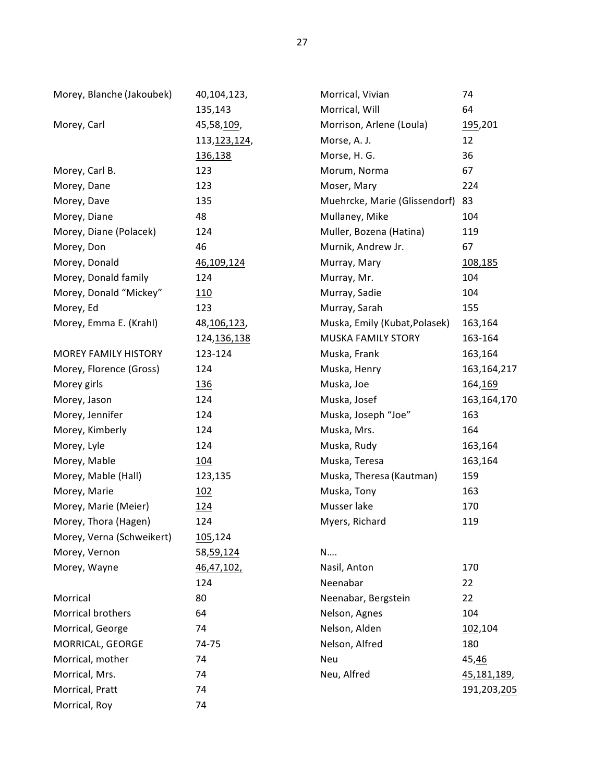| Morey, Blanche (Jakoubek)   | 40,104,123,    | Morrical, Vivian              | 74            |
|-----------------------------|----------------|-------------------------------|---------------|
|                             | 135,143        | Morrical, Will                | 64            |
| Morey, Carl                 | 45,58,109,     | Morrison, Arlene (Loula)      | 195,201       |
|                             | 113, 123, 124, | Morse, A. J.                  | 12            |
|                             | 136,138        | Morse, H. G.                  | 36            |
| Morey, Carl B.              | 123            | Morum, Norma                  | 67            |
| Morey, Dane                 | 123            | Moser, Mary                   | 224           |
| Morey, Dave                 | 135            | Muehrcke, Marie (Glissendorf) | 83            |
| Morey, Diane                | 48             | Mullaney, Mike                | 104           |
| Morey, Diane (Polacek)      | 124            | Muller, Bozena (Hatina)       | 119           |
| Morey, Don                  | 46             | Murnik, Andrew Jr.            | 67            |
| Morey, Donald               | 46,109,124     | Murray, Mary                  | 108,185       |
| Morey, Donald family        | 124            | Murray, Mr.                   | 104           |
| Morey, Donald "Mickey"      | 110            | Murray, Sadie                 | 104           |
| Morey, Ed                   | 123            | Murray, Sarah                 | 155           |
| Morey, Emma E. (Krahl)      | 48,106,123,    | Muska, Emily (Kubat, Polasek) | 163,164       |
|                             | 124, 136, 138  | MUSKA FAMILY STORY            | 163-164       |
| <b>MOREY FAMILY HISTORY</b> | 123-124        | Muska, Frank                  | 163,164       |
| Morey, Florence (Gross)     | 124            | Muska, Henry                  | 163, 164, 217 |
| Morey girls                 | <u>136</u>     | Muska, Joe                    | 164, 169      |
| Morey, Jason                | 124            | Muska, Josef                  | 163,164,170   |
| Morey, Jennifer             | 124            | Muska, Joseph "Joe"           | 163           |
| Morey, Kimberly             | 124            | Muska, Mrs.                   | 164           |
| Morey, Lyle                 | 124            | Muska, Rudy                   | 163,164       |
| Morey, Mable                | <u>104</u>     | Muska, Teresa                 | 163,164       |
| Morey, Mable (Hall)         | 123,135        | Muska, Theresa (Kautman)      | 159           |
| Morey, Marie                | 102            | Muska, Tony                   | 163           |
| Morey, Marie (Meier)        | <u>124</u>     | Musser lake                   | 170           |
| Morey, Thora (Hagen)        | 124            | Myers, Richard                | 119           |
| Morey, Verna (Schweikert)   | 105,124        |                               |               |
| Morey, Vernon               | 58, 59, 124    | N                             |               |
| Morey, Wayne                | 46, 47, 102,   | Nasil, Anton                  | 170           |
|                             | 124            | Neenabar                      | 22            |
| Morrical                    | 80             | Neenabar, Bergstein           | 22            |
| Morrical brothers           | 64             | Nelson, Agnes                 | 104           |
| Morrical, George            | 74             | Nelson, Alden                 | 102,104       |
| MORRICAL, GEORGE            | 74-75          | Nelson, Alfred                | 180           |
| Morrical, mother            | 74             | Neu                           | 45,46         |
| Morrical, Mrs.              | 74             | Neu, Alfred<br>45,181,189,    |               |
| Morrical, Pratt             | 74             |                               | 191,203,205   |
| Morrical, Roy               | 74             |                               |               |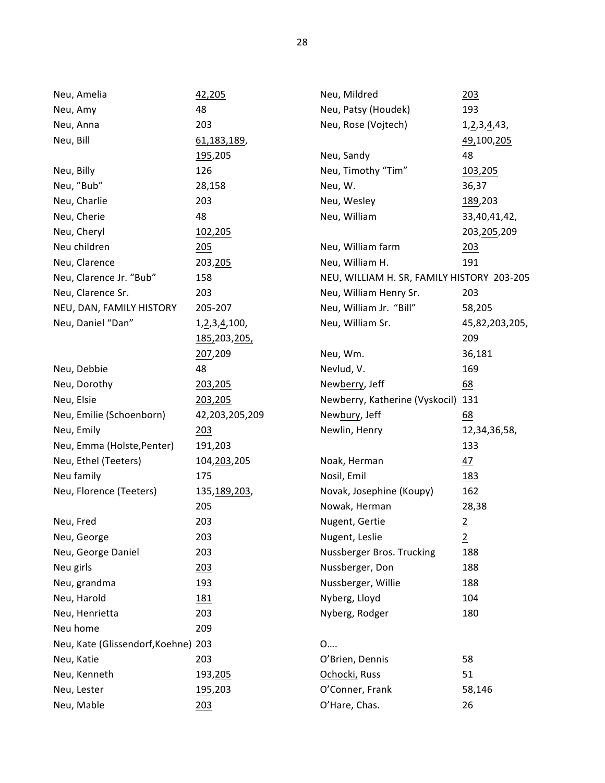| Neu, Amelia                         | 42,205              | Neu, Mildred                               | 203             |
|-------------------------------------|---------------------|--------------------------------------------|-----------------|
| Neu, Amy                            | 48                  | Neu, Patsy (Houdek)                        | 193             |
| Neu, Anna                           | 203                 | Neu, Rose (Vojtech)                        | 1, 2, 3, 4, 43, |
| Neu, Bill                           | 61, 183, 189,       |                                            | 49,100,205      |
|                                     | 195,205             | Neu, Sandy                                 | 48              |
| Neu, Billy                          | 126                 | Neu, Timothy "Tim"                         | 103,205         |
| Neu, "Bub"                          | 28,158              | Neu, W.                                    | 36,37           |
| Neu, Charlie                        | 203                 | Neu, Wesley                                | 189,203         |
| Neu, Cherie                         | 48                  | Neu, William                               | 33,40,41,42,    |
| Neu, Cheryl                         | 102,205             |                                            | 203, 205, 209   |
| Neu children                        | 205                 | Neu, William farm                          | <u> 203</u>     |
| Neu, Clarence                       | 203, 205            | Neu, William H.                            | 191             |
| Neu, Clarence Jr. "Bub"             | 158                 | NEU, WILLIAM H. SR, FAMILY HISTORY 203-205 |                 |
| Neu, Clarence Sr.                   | 203                 | Neu, William Henry Sr.                     | 203             |
| NEU, DAN, FAMILY HISTORY            | 205-207             | Neu, William Jr. "Bill"                    | 58,205          |
| Neu, Daniel "Dan"                   | 1, 2, 3, 4, 100,    | Neu, William Sr.                           | 45,82,203,205,  |
|                                     | <u>185,203,205,</u> |                                            | 209             |
|                                     | 207,209             | Neu, Wm.                                   | 36,181          |
| Neu, Debbie                         | 48                  | Nevlud, V.                                 | 169             |
| Neu, Dorothy                        | 203,205             | Newberry, Jeff                             | 68              |
| Neu, Elsie                          | 203,205             | Newberry, Katherine (Vyskocil)             | 131             |
| Neu, Emilie (Schoenborn)            | 42,203,205,209      | Newbury, Jeff                              | 68              |
| Neu, Emily                          | 203                 | Newlin, Henry                              | 12,34,36,58,    |
| Neu, Emma (Holste, Penter)          | 191,203             |                                            | 133             |
| Neu, Ethel (Teeters)                | 104, 203, 205       | Noak, Herman                               | 47              |
| Neu family                          | 175                 | Nosil, Emil                                | <u>183</u>      |
| Neu, Florence (Teeters)             | 135,189,203,        | Novak, Josephine (Koupy)                   | 162             |
|                                     | 205                 | Nowak, Herman                              | 28,38           |
| Neu, Fred                           | 203                 | Nugent, Gertie                             | $\overline{2}$  |
| Neu, George                         | 203                 | Nugent, Leslie                             | $\overline{2}$  |
| Neu, George Daniel                  | 203                 | Nussberger Bros. Trucking                  | 188             |
| Neu girls                           | 203                 | Nussberger, Don                            | 188             |
| Neu, grandma                        | 193                 | Nussberger, Willie                         | 188             |
| Neu, Harold                         | 181                 | Nyberg, Lloyd                              | 104             |
| Neu, Henrietta                      | 203                 | Nyberg, Rodger                             | 180             |
| Neu home                            | 209                 |                                            |                 |
| Neu, Kate (Glissendorf, Koehne) 203 |                     | 0                                          |                 |
| Neu, Katie                          | 203                 | O'Brien, Dennis                            | 58              |
| Neu, Kenneth                        | 193,205             | Ochocki, Russ                              | 51              |
| Neu, Lester                         | 195,203             | O'Conner, Frank                            | 58,146          |
| Neu, Mable                          | 203                 | O'Hare, Chas.                              | 26              |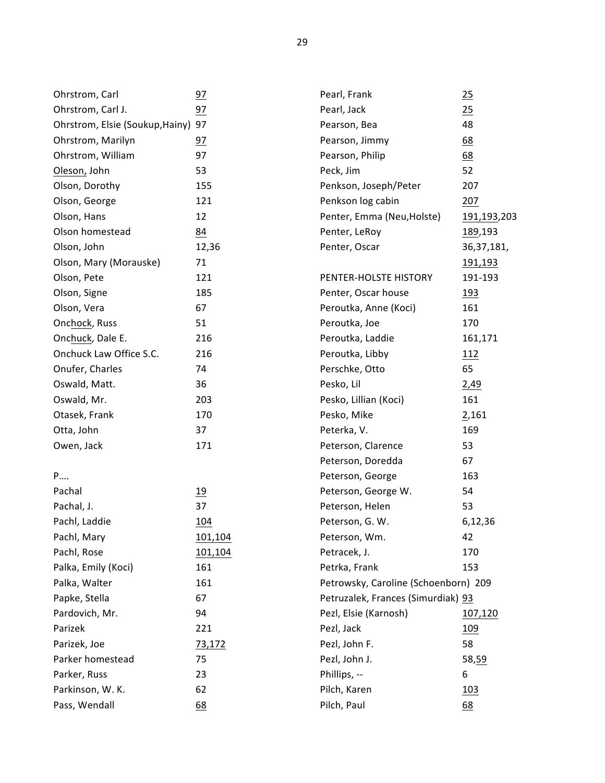| Ohrstrom, Carl                     | 97      | Pearl, Frank                         | 25                  |
|------------------------------------|---------|--------------------------------------|---------------------|
| Ohrstrom, Carl J.                  | 97      | Pearl, Jack                          | 25                  |
| Ohrstrom, Elsie (Soukup, Hainy) 97 |         | Pearson, Bea                         | 48                  |
| Ohrstrom, Marilyn                  | 97      | Pearson, Jimmy                       | 68                  |
| Ohrstrom, William                  | 97      | Pearson, Philip                      | 68                  |
| Oleson, John                       | 53      | Peck, Jim                            | 52                  |
| Olson, Dorothy                     | 155     | Penkson, Joseph/Peter                | 207                 |
| Olson, George                      | 121     | Penkson log cabin                    | 207                 |
| Olson, Hans                        | 12      | Penter, Emma (Neu, Holste)           | <u>191,193,</u> 203 |
| Olson homestead                    | 84      | Penter, LeRoy                        | 189,193             |
| Olson, John                        | 12,36   | Penter, Oscar                        | 36, 37, 181,        |
| Olson, Mary (Morauske)             | 71      |                                      | <u>191,193</u>      |
| Olson, Pete                        | 121     | PENTER-HOLSTE HISTORY                | 191-193             |
| Olson, Signe                       | 185     | Penter, Oscar house                  | <u>193</u>          |
| Olson, Vera                        | 67      | Peroutka, Anne (Koci)                | 161                 |
| Onchock, Russ                      | 51      | Peroutka, Joe                        | 170                 |
| Onchuck, Dale E.                   | 216     | Peroutka, Laddie                     | 161,171             |
| Onchuck Law Office S.C.            | 216     | Peroutka, Libby                      | 112                 |
| Onufer, Charles                    | 74      | Perschke, Otto                       | 65                  |
| Oswald, Matt.                      | 36      | Pesko, Lil                           | 2,49                |
| Oswald, Mr.                        | 203     | Pesko, Lillian (Koci)                | 161                 |
| Otasek, Frank                      | 170     | Pesko, Mike                          | 2,161               |
| Otta, John                         | 37      | Peterka, V.                          | 169                 |
| Owen, Jack                         | 171     | Peterson, Clarence                   | 53                  |
|                                    |         | Peterson, Doredda                    | 67                  |
| P                                  |         | Peterson, George                     | 163                 |
| Pachal                             | 19      | Peterson, George W.                  | 54                  |
| Pachal, J.                         | 37      | Peterson, Helen                      | 53                  |
| Pachl, Laddie                      | 104     | Peterson, G. W.                      | 6,12,36             |
| Pachl, Mary                        | 101,104 | Peterson, Wm.                        | 42                  |
| Pachl, Rose                        | 101,104 | Petracek, J.                         | 170                 |
| Palka, Emily (Koci)                | 161     | Petrka, Frank                        | 153                 |
| Palka, Walter                      | 161     | Petrowsky, Caroline (Schoenborn) 209 |                     |
| Papke, Stella                      | 67      | Petruzalek, Frances (Simurdiak) 93   |                     |
| Pardovich, Mr.                     | 94      | Pezl, Elsie (Karnosh)                | 107,120             |
| Parizek                            | 221     | Pezl, Jack                           | <u>109</u>          |
| Parizek, Joe                       | 73,172  | Pezl, John F.                        | 58                  |
| Parker homestead                   | 75      | Pezl, John J.                        | 58,59               |
| Parker, Russ                       | 23      | Phillips, --                         | 6                   |
| Parkinson, W. K.                   | 62      | Pilch, Karen                         | <u> 103</u>         |
| Pass, Wendall                      | 68      | Pilch, Paul                          | 68                  |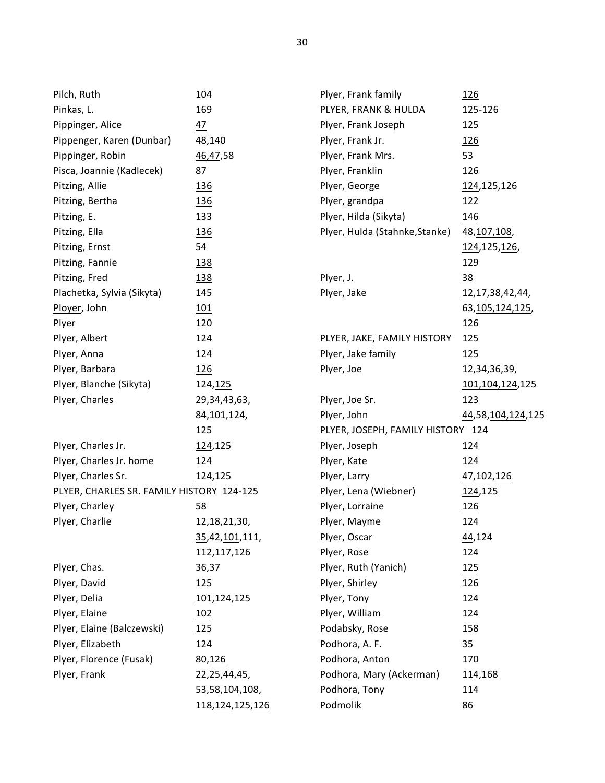| Pilch, Ruth                               | 104                             | Plyer, Frank family               | <u>126</u>          |
|-------------------------------------------|---------------------------------|-----------------------------------|---------------------|
| Pinkas, L.                                | 169                             | PLYER, FRANK & HULDA              | 125-126             |
| Pippinger, Alice                          | 47                              | Plyer, Frank Joseph               | 125                 |
| Pippenger, Karen (Dunbar)                 | 48,140                          | Plyer, Frank Jr.                  | <u>126</u>          |
| Pippinger, Robin                          | 46,47,58                        | Plyer, Frank Mrs.                 | 53                  |
| Pisca, Joannie (Kadlecek)                 | 87                              | Plyer, Franklin                   | 126                 |
| Pitzing, Allie                            | <u>136</u>                      | Plyer, George                     | 124,125,126         |
| Pitzing, Bertha                           | 136                             | Plyer, grandpa                    | 122                 |
| Pitzing, E.                               | 133                             | Plyer, Hilda (Sikyta)             | 146                 |
| Pitzing, Ella                             | 136                             | Plyer, Hulda (Stahnke, Stanke)    | 48, 107, 108,       |
| Pitzing, Ernst                            | 54                              |                                   | 124, 125, 126,      |
| Pitzing, Fannie                           | <u>138</u>                      |                                   | 129                 |
| Pitzing, Fred                             | 138                             | Plyer, J.                         | 38                  |
| Plachetka, Sylvia (Sikyta)                | 145                             | Plyer, Jake                       | 12, 17, 38, 42, 44, |
| Ployer, John                              | <u>101</u>                      |                                   | 63,105,124,125,     |
| Plyer                                     | 120                             |                                   | 126                 |
| Plyer, Albert                             | 124                             | PLYER, JAKE, FAMILY HISTORY       | 125                 |
| Plyer, Anna                               | 124                             | Plyer, Jake family                | 125                 |
| Plyer, Barbara                            | 126                             | Plyer, Joe                        | 12,34,36,39,        |
| Plyer, Blanche (Sikyta)                   | 124,125                         |                                   | 101, 104, 124, 125  |
| Plyer, Charles                            | 29, 34, 43, 63,                 | Plyer, Joe Sr.                    | 123                 |
|                                           | 84,101,124,                     | Plyer, John                       | 44,58,104,124,125   |
|                                           | 125                             | PLYER, JOSEPH, FAMILY HISTORY 124 |                     |
| Plyer, Charles Jr.                        | 124,125                         | Plyer, Joseph                     | 124                 |
| Plyer, Charles Jr. home                   | 124                             | Plyer, Kate                       | 124                 |
| Plyer, Charles Sr.                        | 124,125                         | Plyer, Larry                      | 47,102,126          |
| PLYER, CHARLES SR. FAMILY HISTORY 124-125 |                                 | Plyer, Lena (Wiebner)             | 124,125             |
| Plyer, Charley                            | 58                              | Plyer, Lorraine                   | <u>126</u>          |
| Plyer, Charlie                            | 12, 18, 21, 30,                 | Plyer, Mayme                      | 124                 |
|                                           | <u>35</u> ,42, <u>101</u> ,111, | Plyer, Oscar                      | 44,124              |
|                                           | 112,117,126                     | Plyer, Rose                       | 124                 |
| Plyer, Chas.                              | 36,37                           | Plyer, Ruth (Yanich)              | 125                 |
| Plyer, David                              | 125                             | Plyer, Shirley                    | 126                 |
| Plyer, Delia                              | 101,124,125                     | Plyer, Tony                       | 124                 |
| Plyer, Elaine                             | 102                             | Plyer, William                    | 124                 |
| Plyer, Elaine (Balczewski)                | 125                             | Podabsky, Rose                    | 158                 |
| Plyer, Elizabeth                          | 124                             | Podhora, A. F.                    | 35                  |
| Plyer, Florence (Fusak)                   | 80,126                          | Podhora, Anton                    | 170                 |
| Plyer, Frank                              | 22,25,44,45,                    | Podhora, Mary (Ackerman)          | 114,168             |
|                                           | 53,58,104,108,                  | Podhora, Tony                     | 114                 |
|                                           | 118, 124, 125, 126              | Podmolik                          | 86                  |
|                                           |                                 |                                   |                     |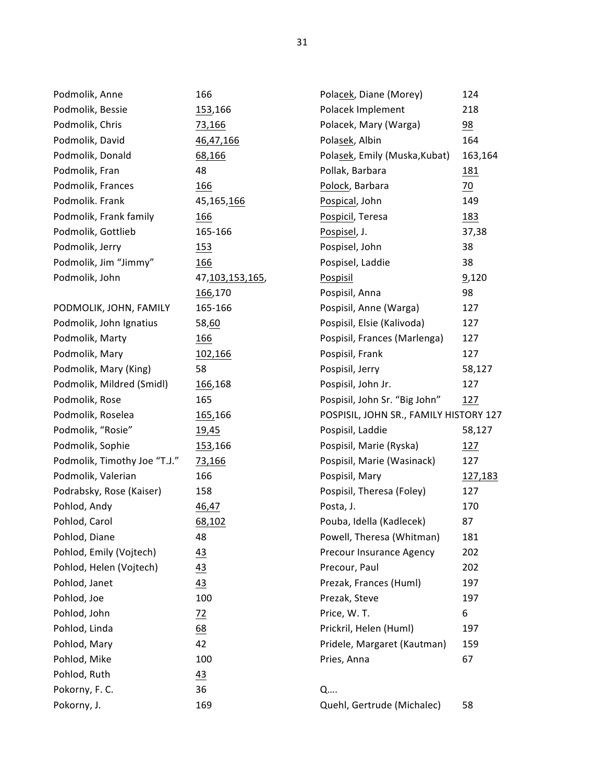| Podmolik, Anne               | 166                | Polacek, Diane (Morey)                 | 124             |
|------------------------------|--------------------|----------------------------------------|-----------------|
| Podmolik, Bessie             | 153,166            | Polacek Implement                      | 218             |
| Podmolik, Chris              | 73,166             | Polacek, Mary (Warga)                  | $\frac{98}{1}$  |
| Podmolik, David              | 46,47,166          | Polasek, Albin                         | 164             |
| Podmolik, Donald             | 68,166             | Polasek, Emily (Muska, Kubat)          | 163,164         |
| Podmolik, Fran               | 48                 | Pollak, Barbara                        | <u>181</u>      |
| Podmolik, Frances            | 166                | Polock, Barbara                        | $\overline{20}$ |
| Podmolik. Frank              | 45,165,166         | Pospical, John                         | 149             |
| Podmolik, Frank family       | 166                | Pospicil, Teresa                       | <u>183</u>      |
| Podmolik, Gottlieb           | 165-166            | Pospisel, J.                           | 37,38           |
| Podmolik, Jerry              | <u>153</u>         | Pospisel, John                         | 38              |
| Podmolik, Jim "Jimmy"        | 166                | Pospisel, Laddie                       | 38              |
| Podmolik, John               | 47, 103, 153, 165, | <b>Pospisil</b>                        | 9,120           |
|                              | 166,170            | Pospisil, Anna                         | 98              |
| PODMOLIK, JOHN, FAMILY       | 165-166            | Pospisil, Anne (Warga)                 | 127             |
| Podmolik, John Ignatius      | 58,60              | Pospisil, Elsie (Kalivoda)             | 127             |
| Podmolik, Marty              | <u>166</u>         | Pospisil, Frances (Marlenga)           | 127             |
| Podmolik, Mary               | 102,166            | Pospisil, Frank                        | 127             |
| Podmolik, Mary (King)        | 58                 | Pospisil, Jerry                        | 58,127          |
| Podmolik, Mildred (Smidl)    | 166,168            | Pospisil, John Jr.                     | 127             |
| Podmolik, Rose               | 165                | Pospisil, John Sr. "Big John"          | 127             |
| Podmolik, Roselea            | 165,166            | POSPISIL, JOHN SR., FAMILY HISTORY 127 |                 |
| Podmolik, "Rosie"            | <u>19,45</u>       | Pospisil, Laddie                       | 58,127          |
| Podmolik, Sophie             | 153,166            | Pospisil, Marie (Ryska)                | 127             |
| Podmolik, Timothy Joe "T.J." | 73,166             | Pospisil, Marie (Wasinack)             | 127             |
| Podmolik, Valerian           | 166                | Pospisil, Mary                         | <u>127,183</u>  |
| Podrabsky, Rose (Kaiser)     | 158                | Pospisil, Theresa (Foley)              | 127             |
| Pohlod, Andy                 | 46,47              | Posta, J.                              | 170             |
| Pohlod, Carol                | 68,102             | Pouba, Idella (Kadlecek)               | 87              |
| Pohlod, Diane                | 48                 | Powell, Theresa (Whitman)              | 181             |
| Pohlod, Emily (Vojtech)      | 43                 | Precour Insurance Agency               | 202             |
| Pohlod, Helen (Vojtech)      | 43                 | Precour, Paul                          | 202             |
| Pohlod, Janet                | 43                 | Prezak, Frances (Huml)                 | 197             |
| Pohlod, Joe                  | 100                | Prezak, Steve                          | 197             |
| Pohlod, John                 | $\frac{72}{ }$     | Price, W.T.                            | 6               |
| Pohlod, Linda                | 68                 | Prickril, Helen (Huml)                 | 197             |
| Pohlod, Mary                 | 42                 | Pridele, Margaret (Kautman)            | 159             |
| Pohlod, Mike                 | 100                | Pries, Anna                            | 67              |
| Pohlod, Ruth                 | 43                 |                                        |                 |
| Pokorny, F. C.               | 36                 | Q                                      |                 |
| Pokorny, J.                  | 169                | Quehl, Gertrude (Michalec)             | 58              |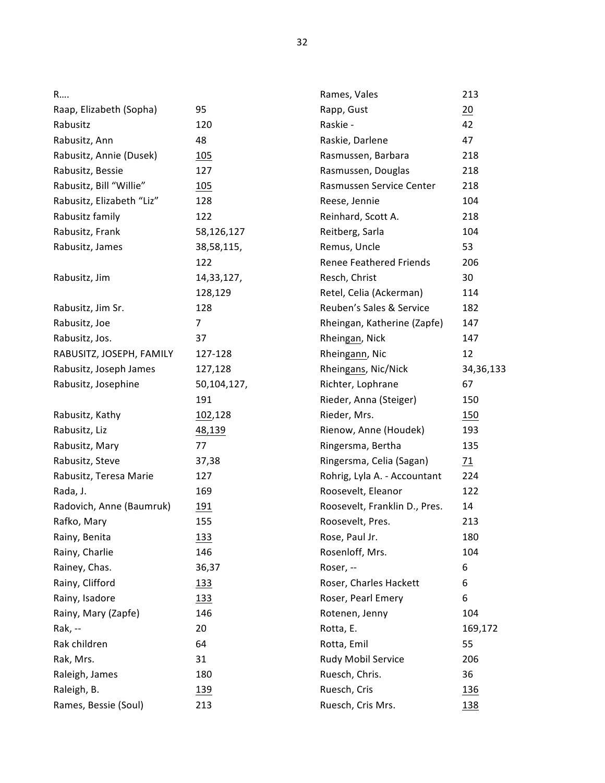| Raap, Elizabeth (Sopha)   | 95            |
|---------------------------|---------------|
| Rabusitz                  | 120           |
| Rabusitz, Ann             | 48            |
| Rabusitz, Annie (Dusek)   | 105           |
| Rabusitz, Bessie          | 127           |
| Rabusitz, Bill "Willie"   | 105           |
| Rabusitz, Elizabeth "Liz" | 128           |
| Rabusitz family           | 122           |
| Rabusitz, Frank           | 58,126,127    |
| Rabusitz, James           | 38,58,115,    |
|                           | $\sim$ $\sim$ |

R….

Rabusitz, Jim 14,33,127, 128,129 Rabusitz, Jim Sr. 128 Rabusitz, Joe 7 Rabusitz, Jos. 37 RABUSITZ, JOSEPH, FAMILY 127-128 Rabusitz, Joseph James 127,128 Rabusitz, Josephine 50,104,127, 191 Rabusitz, Kathy 102,128 Rabusitz, Liz 48,139 Rabusitz, Mary 77 Rabusitz, Steve 37,38 Rabusitz, Teresa Marie 127 Rada, J. 169 Radovich, Anne (Baumruk) 191 Rafko, Mary 155 Rainy, Benita 133 Rainy, Charlie 146 Rainey, Chas. 36,37

Rainy, Clifford 133 Rainy, Isadore 133 Rainy, Mary (Zapfe) 146 Rak, -- 20 Rak children 64 Rak, Mrs. 31 Raleigh, James 180 Raleigh, B. 139 Rames, Bessie (Soul) 213

122

| Rames, Vales                   | 213            |
|--------------------------------|----------------|
| Rapp, Gust                     | 20             |
| Raskie -                       | 42             |
| Raskie, Darlene                | 47             |
| Rasmussen, Barbara             | 218            |
| Rasmussen, Douglas             | 218            |
| Rasmussen Service Center       | 218            |
| Reese, Jennie                  | 104            |
| Reinhard, Scott A.             | 218            |
| Reitberg, Sarla                | 104            |
| Remus, Uncle                   | 53             |
| <b>Renee Feathered Friends</b> | 206            |
| Resch, Christ                  | 30             |
| Retel, Celia (Ackerman)        | 114            |
| Reuben's Sales & Service       | 182            |
| Rheingan, Katherine (Zapfe)    | 147            |
| Rheingan, Nick                 | 147            |
| Rheingann, Nic                 | 12             |
| Rheingans, Nic/Nick            | 34,36,133      |
| Richter, Lophrane              | 67             |
| Rieder, Anna (Steiger)         | 150            |
| Rieder, Mrs.                   | 150            |
| Rienow, Anne (Houdek)          | 193            |
| Ringersma, Bertha              | 135            |
| Ringersma, Celia (Sagan)       | $\frac{71}{2}$ |
| Rohrig, Lyla A. - Accountant   | 224            |
| Roosevelt, Eleanor             | 122            |
| Roosevelt, Franklin D., Pres.  | 14             |
| Roosevelt, Pres.               | 213            |
| Rose, Paul Jr.                 | 180            |
| Rosenloff, Mrs.                | 104            |
| Roser, --                      | 6              |
| Roser, Charles Hackett         | 6              |
| Roser, Pearl Emery             | 6              |
| Rotenen, Jenny                 | 104            |
| Rotta, E.                      | 169,172        |
| Rotta, Emil                    | 55             |
| Rudy Mobil Service             | 206            |
| Ruesch, Chris.                 | 36             |
| Ruesch, Cris                   | 136            |
| Ruesch, Cris Mrs.              | 138            |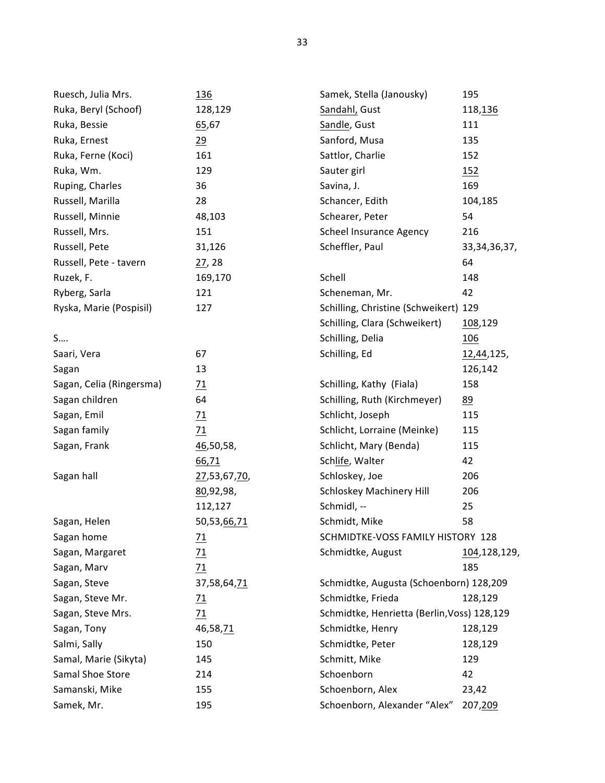| Ruesch, Julia Mrs.       | <u>136</u>      | Samek, Stella (Janousky)                    | 195             |
|--------------------------|-----------------|---------------------------------------------|-----------------|
| Ruka, Beryl (Schoof)     | 128,129         | Sandahl, Gust                               | 118,136         |
| Ruka, Bessie             | 65,67           | Sandle, Gust                                | 111             |
| Ruka, Ernest             | 29              | Sanford, Musa                               | 135             |
| Ruka, Ferne (Koci)       | 161             | Sattlor, Charlie                            | 152             |
| Ruka, Wm.                | 129             | Sauter girl                                 | 152             |
| Ruping, Charles          | 36              | Savina, J.                                  | 169             |
| Russell, Marilla         | 28              | Schancer, Edith                             | 104,185         |
| Russell, Minnie          | 48,103          | Schearer, Peter                             | 54              |
| Russell, Mrs.            | 151             | <b>Scheel Insurance Agency</b>              | 216             |
| Russell, Pete            | 31,126          | Scheffler, Paul                             | 33, 34, 36, 37, |
| Russell, Pete - tavern   | 27,28           |                                             | 64              |
| Ruzek, F.                | 169,170         | Schell                                      | 148             |
| Ryberg, Sarla            | 121             | Scheneman, Mr.                              | 42              |
| Ryska, Marie (Pospisil)  | 127             | Schilling, Christine (Schweikert) 129       |                 |
|                          |                 | Schilling, Clara (Schweikert)               | 108,129         |
| S                        |                 | Schilling, Delia                            | 106             |
| Saari, Vera              | 67              | Schilling, Ed                               | 12,44,125,      |
| Sagan                    | 13              |                                             | 126,142         |
| Sagan, Celia (Ringersma) | $\frac{71}{2}$  | Schilling, Kathy (Fiala)                    | 158             |
| Sagan children           | 64              | Schilling, Ruth (Kirchmeyer)                | 89              |
| Sagan, Emil              | 71              | Schlicht, Joseph                            | 115             |
| Sagan family             | 71              | Schlicht, Lorraine (Meinke)                 | 115             |
| Sagan, Frank             | 46,50,58,       | Schlicht, Mary (Benda)                      | 115             |
|                          | 66,71           | Schlife, Walter                             | 42              |
| Sagan hall               | 27,53,67,70,    | Schloskey, Joe                              | 206             |
|                          | 80,92,98,       | <b>Schloskey Machinery Hill</b>             | 206             |
|                          | 112,127         | Schmidl, --                                 | 25              |
| Sagan, Helen             | 50,53,66,71     | Schmidt, Mike                               | 58              |
| Sagan home               | $\overline{11}$ | SCHMIDTKE-VOSS FAMILY HISTORY 128           |                 |
| Sagan, Margaret          | $\frac{71}{2}$  | Schmidtke, August                           | 104,128,129,    |
| Sagan, Marv              | 71              |                                             | 185             |
| Sagan, Steve             | 37,58,64,71     | Schmidtke, Augusta (Schoenborn) 128,209     |                 |
| Sagan, Steve Mr.         | $\overline{11}$ | Schmidtke, Frieda                           | 128,129         |
| Sagan, Steve Mrs.        | 71              | Schmidtke, Henrietta (Berlin, Voss) 128,129 |                 |
| Sagan, Tony              | 46,58,71        | Schmidtke, Henry                            | 128,129         |
| Salmi, Sally             | 150             | Schmidtke, Peter                            | 128,129         |
| Samal, Marie (Sikyta)    | 145             | Schmitt, Mike                               | 129             |
| Samal Shoe Store         | 214             | Schoenborn                                  | 42              |
| Samanski, Mike           | 155             | Schoenborn, Alex                            | 23,42           |
| Samek, Mr.               | 195             | Schoenborn, Alexander "Alex"                | 207,209         |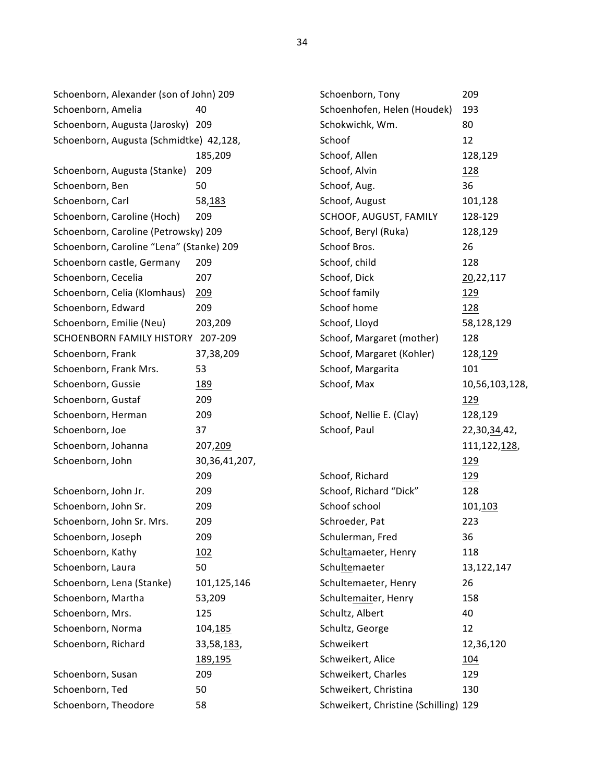Schoenborn, Alexander (son of John) 209 Schoenborn, Amelia 40 Schoenborn, Augusta (Jarosky) 209 Schoenborn, Augusta (Schmidtke) 42,128, 185,209 Schoenborn, Augusta (Stanke) 209 Schoenborn, Ben 50 Schoenborn, Carl 58,183 Schoenborn, Caroline (Hoch) 209 Schoenborn, Caroline (Petrowsky) 209 Schoenborn, Caroline "Lena" (Stanke) 209 Schoenborn castle, Germany 209 Schoenborn, Cecelia 207 Schoenborn, Celia (Klomhaus) 209 Schoenborn, Edward 209 Schoenborn, Emilie (Neu) 203,209 SCHOENBORN FAMILY HISTORY 207-209 Schoenborn, Frank 37,38,209 Schoenborn, Frank Mrs. 53 Schoenborn, Gussie 189 Schoenborn, Gustaf 209 Schoenborn, Herman 209 Schoenborn, Joe 37 Schoenborn, Johanna 207,209 Schoenborn, John 30,36,41,207, 209 Schoenborn, John Jr. 209 Schoenborn, John Sr. 209 Schoenborn, John Sr. Mrs. 209 Schoenborn, Joseph 209 Schoenborn, Kathy 102 Schoenborn, Laura 50 Schoenborn, Lena (Stanke) 101,125,146 Schoenborn, Martha 53,209 Schoenborn, Mrs. 125 Schoenborn, Norma 104,185 Schoenborn, Richard 33,58,183, 189,195 Schoenborn, Susan 209 Schoenborn, Ted 50

Schoenborn, Theodore 58

| Schoenborn, Tony                      | 209            |
|---------------------------------------|----------------|
| Schoenhofen, Helen (Houdek)           | 193            |
| Schokwichk, Wm.                       | 80             |
| Schoof                                | 12             |
| Schoof, Allen                         | 128,129        |
| Schoof, Alvin                         | 128            |
| Schoof, Aug.                          | 36             |
| Schoof, August                        | 101,128        |
| SCHOOF, AUGUST, FAMILY                | 128-129        |
| Schoof, Beryl (Ruka)                  | 128,129        |
| Schoof Bros.                          | 26             |
| Schoof, child                         | 128            |
| Schoof, Dick                          | 20,22,117      |
| Schoof family                         | 129            |
| Schoof home                           | <u>128</u>     |
| Schoof, Lloyd                         | 58,128,129     |
| Schoof, Margaret (mother)             | 128            |
| Schoof, Margaret (Kohler)             | 128,129        |
| Schoof, Margarita                     | 101            |
| Schoof, Max                           | 10,56,103,128, |
|                                       | 129            |
| Schoof, Nellie E. (Clay)              | 128,129        |
| Schoof, Paul                          | 22,30,34,42,   |
|                                       | 111,122,128,   |
|                                       | <u> 129</u>    |
| Schoof, Richard                       | <u> 129</u>    |
| Schoof, Richard "Dick"                | 128            |
| Schoof school                         | 101,103        |
| Schroeder, Pat                        | 223            |
| Schulerman, Fred                      | 36             |
| Schultamaeter, Henry                  | 118            |
| Schultemaeter                         | 13,122,147     |
| Schultemaeter, Henry                  | 26             |
| Schultemaiter, Henry                  | 158            |
| Schultz, Albert                       | 40             |
| Schultz, George                       | 12             |
| Schweikert                            | 12,36,120      |
| Schweikert, Alice                     | 104            |
| Schweikert, Charles                   | 129            |
| Schweikert, Christina                 | 130            |
| Schweikert, Christine (Schilling) 129 |                |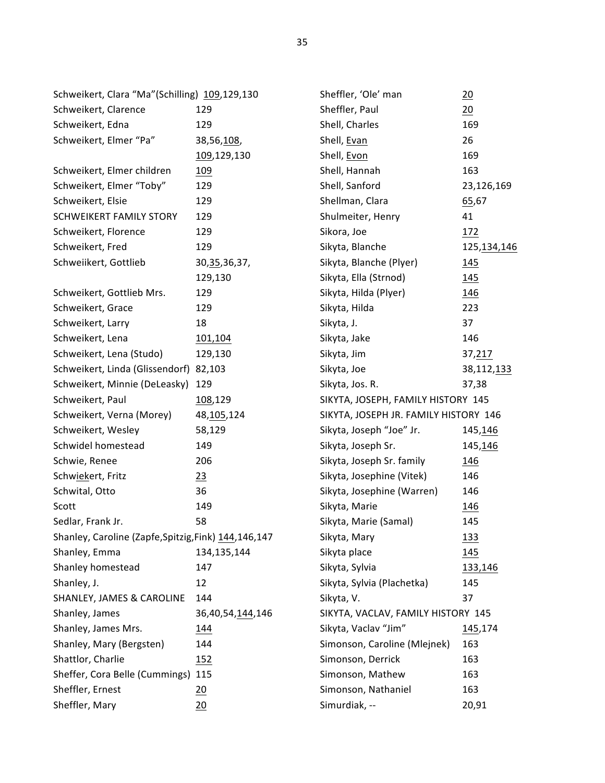| Schweikert, Clara "Ma"(Schilling) 109,129,130          |                  | Sheffler, 'Ole' man                   | $\frac{20}{1}$ |
|--------------------------------------------------------|------------------|---------------------------------------|----------------|
| Schweikert, Clarence                                   | 129              | Sheffler, Paul                        | 20             |
| Schweikert, Edna                                       | 129              | Shell, Charles                        | 169            |
| Schweikert, Elmer "Pa"                                 | 38,56,108,       | Shell, Evan                           | 26             |
|                                                        | 109,129,130      | Shell, Evon                           | 169            |
| Schweikert, Elmer children                             | <u>109</u>       | Shell, Hannah                         | 163            |
| Schweikert, Elmer "Toby"                               | 129              | Shell, Sanford                        | 23,126,169     |
| Schweikert, Elsie                                      | 129              | Shellman, Clara                       | 65,67          |
| <b>SCHWEIKERT FAMILY STORY</b>                         | 129              | Shulmeiter, Henry                     | 41             |
| Schweikert, Florence                                   | 129              | Sikora, Joe                           | 172            |
| Schweikert, Fred                                       | 129              | Sikyta, Blanche                       | 125,134,146    |
| Schweiikert, Gottlieb                                  | 30, 35, 36, 37,  | Sikyta, Blanche (Plyer)               | 145            |
|                                                        | 129,130          | Sikyta, Ella (Strnod)                 | 145            |
| Schweikert, Gottlieb Mrs.                              | 129              | Sikyta, Hilda (Plyer)                 | 146            |
| Schweikert, Grace                                      | 129              | Sikyta, Hilda                         | 223            |
| Schweikert, Larry                                      | 18               | Sikyta, J.                            | 37             |
| Schweikert, Lena                                       | 101,104          | Sikyta, Jake                          | 146            |
| Schweikert, Lena (Studo)                               | 129,130          | Sikyta, Jim                           | 37,217         |
| Schweikert, Linda (Glissendorf) 82,103                 |                  | Sikyta, Joe                           | 38,112,133     |
| Schweikert, Minnie (DeLeasky)                          | 129              | Sikyta, Jos. R.                       | 37,38          |
| Schweikert, Paul                                       | 108,129          | SIKYTA, JOSEPH, FAMILY HISTORY 145    |                |
| Schweikert, Verna (Morey)                              | 48, 105, 124     | SIKYTA, JOSEPH JR. FAMILY HISTORY 146 |                |
| Schweikert, Wesley                                     | 58,129           | Sikyta, Joseph "Joe" Jr.              | 145,146        |
| Schwidel homestead                                     | 149              | Sikyta, Joseph Sr.                    | 145,146        |
| Schwie, Renee                                          | 206              | Sikyta, Joseph Sr. family             | <u>146</u>     |
| Schwiekert, Fritz                                      | 23               | Sikyta, Josephine (Vitek)             | 146            |
| Schwital, Otto                                         | 36               | Sikyta, Josephine (Warren)            | 146            |
| Scott                                                  | 149              | Sikyta, Marie                         | <u>146</u>     |
| Sedlar, Frank Jr.                                      | 58               | Sikyta, Marie (Samal)                 | 145            |
| Shanley, Caroline (Zapfe, Spitzig, Fink) 144, 146, 147 |                  | Sikyta, Mary                          | <u> 133</u>    |
| Shanley, Emma                                          | 134,135,144      | Sikyta place                          | 145            |
| Shanley homestead                                      | 147              | Sikyta, Sylvia                        | 133,146        |
| Shanley, J.                                            | 12               | Sikyta, Sylvia (Plachetka)            | 145            |
| SHANLEY, JAMES & CAROLINE                              | 144              | Sikyta, V.                            | 37             |
| Shanley, James                                         | 36,40,54,144,146 | SIKYTA, VACLAV, FAMILY HISTORY 145    |                |
| Shanley, James Mrs.                                    | 144              | Sikyta, Vaclav "Jim"                  | 145,174        |
| Shanley, Mary (Bergsten)                               | 144              | Simonson, Caroline (Mlejnek)          | 163            |
| Shattlor, Charlie                                      | <u> 152</u>      | Simonson, Derrick                     | 163            |
| Sheffer, Cora Belle (Cummings) 115                     |                  | Simonson, Mathew                      | 163            |
| Sheffler, Ernest                                       | $\frac{20}{2}$   | Simonson, Nathaniel                   | 163            |
| Sheffler, Mary                                         | 20               | Simurdiak, --                         | 20,91          |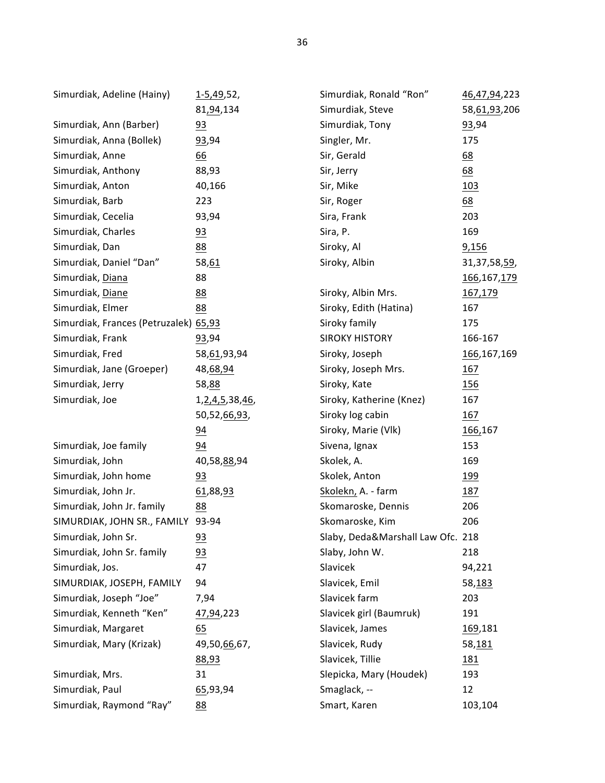| Simurdiak, Adeline (Hainy)            | <u>1-5,49</u> ,52,  | Simurdiak, Ronald "Ron"           | 46,47,94,223    |
|---------------------------------------|---------------------|-----------------------------------|-----------------|
|                                       | 81,94,134           | Simurdiak, Steve                  | 58,61,93,206    |
| Simurdiak, Ann (Barber)               | 93                  | Simurdiak, Tony                   | 93,94           |
| Simurdiak, Anna (Bollek)              | 93,94               | Singler, Mr.                      | 175             |
| Simurdiak, Anne                       | $\underline{66}$    | Sir, Gerald                       | 68              |
| Simurdiak, Anthony                    | 88,93               | Sir, Jerry                        | 68              |
| Simurdiak, Anton                      | 40,166              | Sir, Mike                         | 103             |
| Simurdiak, Barb                       | 223                 | Sir, Roger                        | 68              |
| Simurdiak, Cecelia                    | 93,94               | Sira, Frank                       | 203             |
| Simurdiak, Charles                    | 93                  | Sira, P.                          | 169             |
| Simurdiak, Dan                        | 88                  | Siroky, Al                        | 9,156           |
| Simurdiak, Daniel "Dan"               | 58,61               | Siroky, Albin                     | 31, 37, 58, 59, |
| Simurdiak, Diana                      | 88                  |                                   | 166, 167, 179   |
| Simurdiak, Diane                      | 88                  | Siroky, Albin Mrs.                | 167,179         |
| Simurdiak, Elmer                      | 88                  | Siroky, Edith (Hatina)            | 167             |
| Simurdiak, Frances (Petruzalek) 65,93 |                     | Siroky family                     | 175             |
| Simurdiak, Frank                      | 93,94               | <b>SIROKY HISTORY</b>             | 166-167         |
| Simurdiak, Fred                       | 58, 61, 93, 94      | Siroky, Joseph                    | 166, 167, 169   |
| Simurdiak, Jane (Groeper)             | 48,68,94            | Siroky, Joseph Mrs.               | <u>167</u>      |
| Simurdiak, Jerry                      | 58,88               | Siroky, Kate                      | <u> 156</u>     |
| Simurdiak, Joe                        | 1, 2, 4, 5, 38, 46, | Siroky, Katherine (Knez)          | 167             |
|                                       | 50,52,66,93,        | Siroky log cabin                  | 167             |
|                                       | 94                  | Siroky, Marie (Vlk)               | 166,167         |
| Simurdiak, Joe family                 | 94                  | Sivena, Ignax                     | 153             |
| Simurdiak, John                       | 40,58,88,94         | Skolek, A.                        | 169             |
| Simurdiak, John home                  | 93                  | Skolek, Anton                     | <u> 199</u>     |
| Simurdiak, John Jr.                   | 61,88,93            | Skolekn, A. - farm                | 187             |
| Simurdiak, John Jr. family            | 88                  | Skomaroske, Dennis                | 206             |
| SIMURDIAK, JOHN SR., FAMILY           | 93-94               | Skomaroske, Kim                   | 206             |
| Simurdiak, John Sr.                   | 93                  | Slaby, Deda&Marshall Law Ofc. 218 |                 |
| Simurdiak, John Sr. family            | 93                  | Slaby, John W.                    | 218             |
| Simurdiak, Jos.                       | 47                  | Slavicek                          | 94,221          |
| SIMURDIAK, JOSEPH, FAMILY             | 94                  | Slavicek, Emil                    | 58,183          |
| Simurdiak, Joseph "Joe"               | 7,94                | Slavicek farm                     | 203             |
| Simurdiak, Kenneth "Ken"              | 47,94,223           | Slavicek girl (Baumruk)           | 191             |
| Simurdiak, Margaret                   | 65                  | Slavicek, James                   | <u>169,181</u>  |
| Simurdiak, Mary (Krizak)              | 49,50,66,67,        | Slavicek, Rudy                    | 58,181          |
|                                       | 88,93               | Slavicek, Tillie                  | <u> 181</u>     |
| Simurdiak, Mrs.                       | 31                  | Slepicka, Mary (Houdek)           | 193             |
| Simurdiak, Paul                       | 65,93,94            | Smaglack, --                      | 12              |
| Simurdiak, Raymond "Ray"              | 88                  | Smart, Karen                      | 103,104         |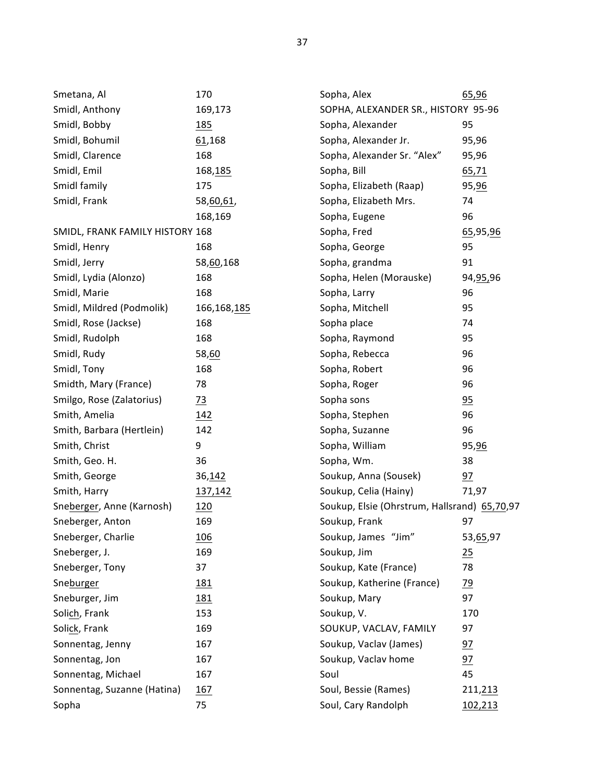| Smetana, Al                     | 170            | Sopha, Alex                                  | 65,96           |
|---------------------------------|----------------|----------------------------------------------|-----------------|
| Smidl, Anthony                  | 169,173        | SOPHA, ALEXANDER SR., HISTORY 95-96          |                 |
| Smidl, Bobby                    | <u>185</u>     | Sopha, Alexander<br>95                       |                 |
| Smidl, Bohumil                  | 61,168         | Sopha, Alexander Jr.                         | 95,96           |
| Smidl, Clarence                 | 168            | Sopha, Alexander Sr. "Alex"                  | 95,96           |
| Smidl, Emil                     | 168,185        | Sopha, Bill                                  | 65,71           |
| Smidl family                    | 175            | Sopha, Elizabeth (Raap)                      | 95,96           |
| Smidl, Frank                    | 58,60,61,      | Sopha, Elizabeth Mrs.                        | 74              |
|                                 | 168,169        | Sopha, Eugene                                | 96              |
| SMIDL, FRANK FAMILY HISTORY 168 |                | Sopha, Fred                                  | 65,95,96        |
| Smidl, Henry                    | 168            | Sopha, George                                | 95              |
| Smidl, Jerry                    | 58,60,168      | Sopha, grandma                               | 91              |
| Smidl, Lydia (Alonzo)           | 168            | Sopha, Helen (Morauske)                      | 94, 95, 96      |
| Smidl, Marie                    | 168            | Sopha, Larry                                 | 96              |
| Smidl, Mildred (Podmolik)       | 166,168,185    | Sopha, Mitchell                              | 95              |
| Smidl, Rose (Jackse)            | 168            | Sopha place                                  | 74              |
| Smidl, Rudolph                  | 168            | Sopha, Raymond                               | 95              |
| Smidl, Rudy                     | 58,60          | Sopha, Rebecca                               | 96              |
| Smidl, Tony                     | 168            | Sopha, Robert                                | 96              |
| Smidth, Mary (France)           | 78             | Sopha, Roger                                 | 96              |
| Smilgo, Rose (Zalatorius)       | $\frac{73}{2}$ | Sopha sons                                   | 95              |
| Smith, Amelia                   | <u>142</u>     | Sopha, Stephen                               | 96              |
| Smith, Barbara (Hertlein)       | 142            | Sopha, Suzanne                               | 96              |
| Smith, Christ                   | 9              | Sopha, William                               | 95, 96          |
| Smith, Geo. H.                  | 36             | Sopha, Wm.                                   | 38              |
| Smith, George                   | 36,142         | Soukup, Anna (Sousek)                        | 97              |
| Smith, Harry                    | 137,142        | Soukup, Celia (Hainy)                        | 71,97           |
| Sneberger, Anne (Karnosh)       | 120            | Soukup, Elsie (Ohrstrum, Hallsrand) 65,70,97 |                 |
| Sneberger, Anton                | 169            | Soukup, Frank                                | 97              |
| Sneberger, Charlie              | <u>106</u>     | Soukup, James "Jim"                          | 53, 65, 97      |
| Sneberger, J.                   | 169            | Soukup, Jim                                  | 25              |
| Sneberger, Tony                 | 37             | Soukup, Kate (France)                        | 78              |
| Sneburger                       | 181            | Soukup, Katherine (France)                   | $\frac{79}{2}$  |
| Sneburger, Jim                  | 181            | Soukup, Mary                                 | 97              |
| Solich, Frank                   | 153            | Soukup, V.                                   | 170             |
| Solick, Frank                   | 169            | SOUKUP, VACLAV, FAMILY                       | 97              |
| Sonnentag, Jenny                | 167            | Soukup, Vaclav (James)                       | $\overline{2}$  |
| Sonnentag, Jon                  | 167            | Soukup, Vaclav home                          | $\overline{97}$ |
| Sonnentag, Michael              | 167            | Soul                                         | 45              |
| Sonnentag, Suzanne (Hatina)     | 167            | Soul, Bessie (Rames)                         | 211,213         |
| Sopha                           | 75             | Soul, Cary Randolph                          | 102,213         |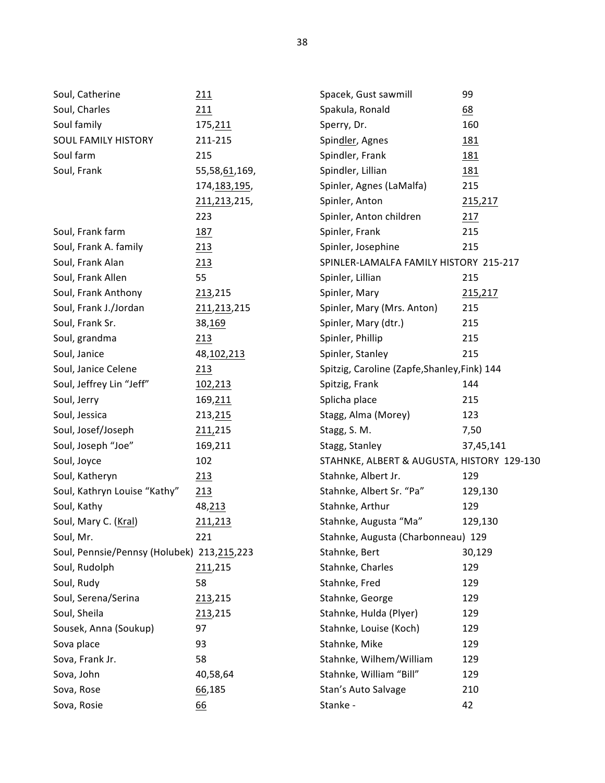| Soul, Catherine                            | 211            | Spacek, Gust sawmill                         | 99         |
|--------------------------------------------|----------------|----------------------------------------------|------------|
| Soul, Charles                              | 211            | Spakula, Ronald                              | 68         |
| Soul family                                | 175, 211       | Sperry, Dr.                                  | 160        |
| SOUL FAMILY HISTORY                        | 211-215        | Spindler, Agnes                              | <u>181</u> |
| Soul farm                                  | 215            | Spindler, Frank                              | <u>181</u> |
| Soul, Frank                                | 55,58,61,169,  | Spindler, Lillian                            | 181        |
|                                            | 174, 183, 195, | Spinler, Agnes (LaMalfa)                     | 215        |
|                                            | 211,213,215,   | Spinler, Anton                               | 215,217    |
|                                            | 223            | Spinler, Anton children                      | 217        |
| Soul, Frank farm                           | 187            | Spinler, Frank                               | 215        |
| Soul, Frank A. family                      | 213            | Spinler, Josephine                           | 215        |
| Soul, Frank Alan                           | 213            | SPINLER-LAMALFA FAMILY HISTORY 215-217       |            |
| Soul, Frank Allen                          | 55             | Spinler, Lillian                             | 215        |
| Soul, Frank Anthony                        | 213,215        | Spinler, Mary                                | 215,217    |
| Soul, Frank J./Jordan                      | 211, 213, 215  | Spinler, Mary (Mrs. Anton)                   | 215        |
| Soul, Frank Sr.                            | 38,169         | Spinler, Mary (dtr.)                         | 215        |
| Soul, grandma                              | 213            | Spinler, Phillip                             | 215        |
| Soul, Janice                               | 48, 102, 213   | Spinler, Stanley                             | 215        |
| Soul, Janice Celene                        | 213            | Spitzig, Caroline (Zapfe, Shanley, Fink) 144 |            |
| Soul, Jeffrey Lin "Jeff"                   | 102,213        | Spitzig, Frank                               | 144        |
| Soul, Jerry                                | 169, 211       | Splicha place                                | 215        |
| Soul, Jessica                              | 213, 215       | Stagg, Alma (Morey)                          | 123        |
| Soul, Josef/Joseph                         | 211,215        | Stagg, S. M.                                 | 7,50       |
| Soul, Joseph "Joe"                         | 169,211        | Stagg, Stanley                               | 37,45,141  |
| Soul, Joyce                                | 102            | STAHNKE, ALBERT & AUGUSTA, HISTORY 129-130   |            |
| Soul, Katheryn                             | 213            | Stahnke, Albert Jr.                          | 129        |
| Soul, Kathryn Louise "Kathy"               | 213            | Stahnke, Albert Sr. "Pa"                     | 129,130    |
| Soul, Kathy                                | 48,213         | Stahnke, Arthur                              | 129        |
| Soul, Mary C. (Kral)                       | 211,213        | Stahnke, Augusta "Ma"                        | 129,130    |
| Soul, Mr.                                  | 221            | Stahnke, Augusta (Charbonneau) 129           |            |
| Soul, Pennsie/Pennsy (Holubek) 213,215,223 |                | Stahnke, Bert                                | 30,129     |
| Soul, Rudolph                              | 211,215        | Stahnke, Charles                             | 129        |
| Soul, Rudy                                 | 58             | Stahnke, Fred                                | 129        |
| Soul, Serena/Serina                        | 213,215        | Stahnke, George                              | 129        |
| Soul, Sheila                               | 213,215        | Stahnke, Hulda (Plyer)                       | 129        |
| Sousek, Anna (Soukup)                      | 97             | Stahnke, Louise (Koch)                       | 129        |
| Sova place                                 | 93             | Stahnke, Mike                                | 129        |
| Sova, Frank Jr.                            | 58             | Stahnke, Wilhem/William                      | 129        |
| Sova, John                                 | 40,58,64       | Stahnke, William "Bill"                      | 129        |
| Sova, Rose                                 | 66,185         | Stan's Auto Salvage                          | 210        |
| Sova, Rosie                                | 66             | Stanke -                                     | 42         |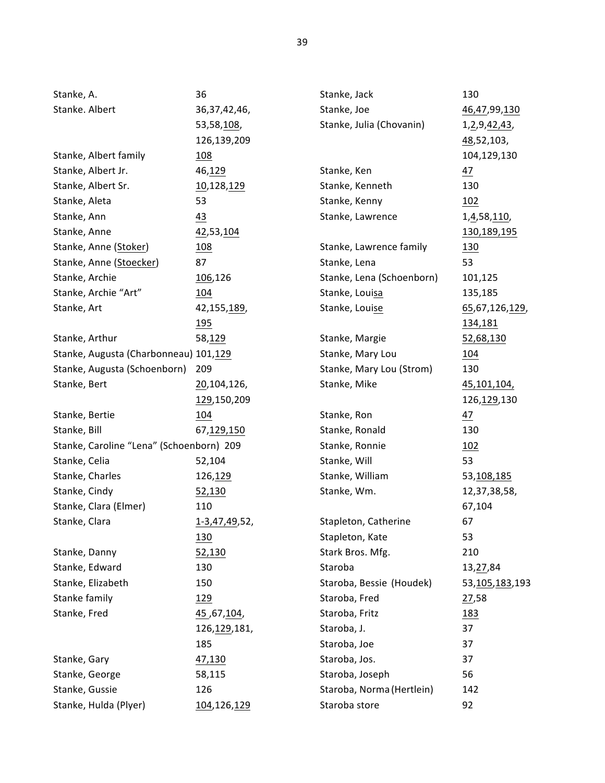| Stanke, A.                               | 36              | Stanke, Jack              | 130              |
|------------------------------------------|-----------------|---------------------------|------------------|
| Stanke. Albert                           | 36, 37, 42, 46, | Stanke, Joe               | 46, 47, 99, 130  |
|                                          | 53,58,108,      | Stanke, Julia (Chovanin)  | 1, 2, 9, 42, 43, |
|                                          | 126,139,209     |                           | 48,52,103,       |
| Stanke, Albert family                    | <u> 108</u>     |                           | 104,129,130      |
| Stanke, Albert Jr.                       | 46,129          | Stanke, Ken               | 47               |
| Stanke, Albert Sr.                       | 10,128,129      | Stanke, Kenneth           | 130              |
| Stanke, Aleta                            | 53              | Stanke, Kenny             | 102              |
| Stanke, Ann                              | 43              | Stanke, Lawrence          | 1, 4, 58, 110,   |
| Stanke, Anne                             | 42,53,104       |                           | 130,189,195      |
| Stanke, Anne (Stoker)                    | <u>108</u>      | Stanke, Lawrence family   | <u>130</u>       |
| Stanke, Anne (Stoecker)                  | 87              | Stanke, Lena              | 53               |
| Stanke, Archie                           | 106,126         | Stanke, Lena (Schoenborn) | 101,125          |
| Stanke, Archie "Art"                     | 104             | Stanke, Louisa            | 135,185          |
| Stanke, Art                              | 42,155,189,     | Stanke, Louise            | 65,67,126,129,   |
|                                          | <u> 195</u>     |                           | 134,181          |
| Stanke, Arthur                           | 58,129          | Stanke, Margie            | 52,68,130        |
| Stanke, Augusta (Charbonneau) 101,129    |                 | Stanke, Mary Lou          | <u>104</u>       |
| Stanke, Augusta (Schoenborn)             | 209             | Stanke, Mary Lou (Strom)  | 130              |
| Stanke, Bert                             | 20,104,126,     | Stanke, Mike              | 45,101,104,      |
|                                          | 129,150,209     |                           | 126, 129, 130    |
| Stanke, Bertie                           | <u>104</u>      | Stanke, Ron               | $\frac{47}{1}$   |
| Stanke, Bill                             | 67,129,150      | Stanke, Ronald            | 130              |
| Stanke, Caroline "Lena" (Schoenborn) 209 |                 | Stanke, Ronnie            | 102              |
| Stanke, Celia                            | 52,104          | Stanke, Will              | 53               |
| Stanke, Charles                          | 126,129         | Stanke, William           | 53,108,185       |
| Stanke, Cindy                            | 52,130          | Stanke, Wm.               | 12,37,38,58,     |
| Stanke, Clara (Elmer)                    | 110             |                           | 67,104           |
| Stanke, Clara                            | 1-3,47,49,52,   | Stapleton, Catherine      | 67               |
|                                          | <u>130</u>      | Stapleton, Kate           | 53               |
| Stanke, Danny                            | 52,130          | Stark Bros. Mfg.          | 210              |
| Stanke, Edward                           | 130             | Staroba                   | 13, 27, 84       |
| Stanke, Elizabeth                        | 150             | Staroba, Bessie (Houdek)  | 53,105,183,193   |
| Stanke family                            | 129             | Staroba, Fred             | 27,58            |
| Stanke, Fred                             | 45,67,104,      | Staroba, Fritz            | <u> 183</u>      |
|                                          | 126, 129, 181,  | Staroba, J.               | 37               |
|                                          | 185             | Staroba, Joe              | 37               |
| Stanke, Gary                             | 47,130          | Staroba, Jos.             | 37               |
| Stanke, George                           | 58,115          | Staroba, Joseph           | 56               |
| Stanke, Gussie                           | 126             | Staroba, Norma (Hertlein) | 142              |
| Stanke, Hulda (Plyer)                    | 104,126,129     | Staroba store             | 92               |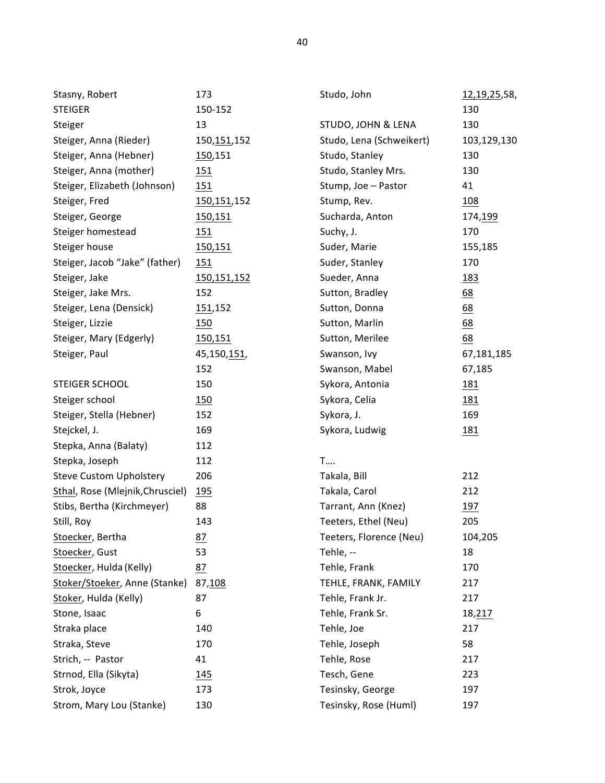| Stasny, Robert                   | 173           | Studo, John              | 12,19,25,58, |
|----------------------------------|---------------|--------------------------|--------------|
| <b>STEIGER</b>                   | 150-152       |                          | 130          |
| Steiger                          | 13            | STUDO, JOHN & LENA       | 130          |
| Steiger, Anna (Rieder)           | 150, 151, 152 | Studo, Lena (Schweikert) | 103,129,130  |
| Steiger, Anna (Hebner)           | 150,151       | Studo, Stanley           | 130          |
| Steiger, Anna (mother)           | 151           | Studo, Stanley Mrs.      | 130          |
| Steiger, Elizabeth (Johnson)     | 151           | Stump, Joe - Pastor      | 41           |
| Steiger, Fred                    | 150,151,152   | Stump, Rev.              | 108          |
| Steiger, George                  | 150,151       | Sucharda, Anton          | 174, 199     |
| Steiger homestead                | <u> 151</u>   | Suchy, J.                | 170          |
| Steiger house                    | 150,151       | Suder, Marie             | 155,185      |
| Steiger, Jacob "Jake" (father)   | 151           | Suder, Stanley           | 170          |
| Steiger, Jake                    | 150, 151, 152 | Sueder, Anna             | <u>183</u>   |
| Steiger, Jake Mrs.               | 152           | Sutton, Bradley          | 68           |
| Steiger, Lena (Densick)          | 151,152       | Sutton, Donna            | 68           |
| Steiger, Lizzie                  | 150           | Sutton, Marlin           | 68           |
| Steiger, Mary (Edgerly)          | 150,151       | Sutton, Merilee          | 68           |
| Steiger, Paul                    | 45,150,151,   | Swanson, Ivy             | 67,181,185   |
|                                  | 152           | Swanson, Mabel           | 67,185       |
| STEIGER SCHOOL                   | 150           | Sykora, Antonia          | <u>181</u>   |
| Steiger school                   | 150           | Sykora, Celia            | <u>181</u>   |
| Steiger, Stella (Hebner)         | 152           | Sykora, J.               | 169          |
| Stejckel, J.                     | 169           | Sykora, Ludwig           | <u>181</u>   |
| Stepka, Anna (Balaty)            | 112           |                          |              |
| Stepka, Joseph                   | 112           | <b>T</b>                 |              |
| <b>Steve Custom Upholstery</b>   | 206           | Takala, Bill             | 212          |
| Sthal, Rose (Mlejnik, Chrusciel) | 195           | Takala, Carol            | 212          |
| Stibs, Bertha (Kirchmeyer)       | 88            | Tarrant, Ann (Knez)      | 197          |
| Still, Roy                       | 143           | Teeters, Ethel (Neu)     | 205          |
| Stoecker, Bertha                 | <u>87</u>     | Teeters, Florence (Neu)  | 104,205      |
| Stoecker, Gust                   | 53            | Tehle, --                | 18           |
| Stoecker, Hulda (Kelly)          | 87            | Tehle, Frank             | 170          |
| Stoker/Stoeker, Anne (Stanke)    | 87,108        | TEHLE, FRANK, FAMILY     | 217          |
| Stoker, Hulda (Kelly)            | 87            | Tehle, Frank Jr.         | 217          |
| Stone, Isaac                     | 6             | Tehle, Frank Sr.         | 18,217       |
| Straka place                     | 140           | Tehle, Joe               | 217          |
| Straka, Steve                    | 170           | Tehle, Joseph            | 58           |
| Strich, -- Pastor                | 41            | Tehle, Rose              | 217          |
| Strnod, Ella (Sikyta)            | 145           | Tesch, Gene              | 223          |
| Strok, Joyce                     | 173           | Tesinsky, George         | 197          |
| Strom, Mary Lou (Stanke)         | 130           | Tesinsky, Rose (Huml)    | 197          |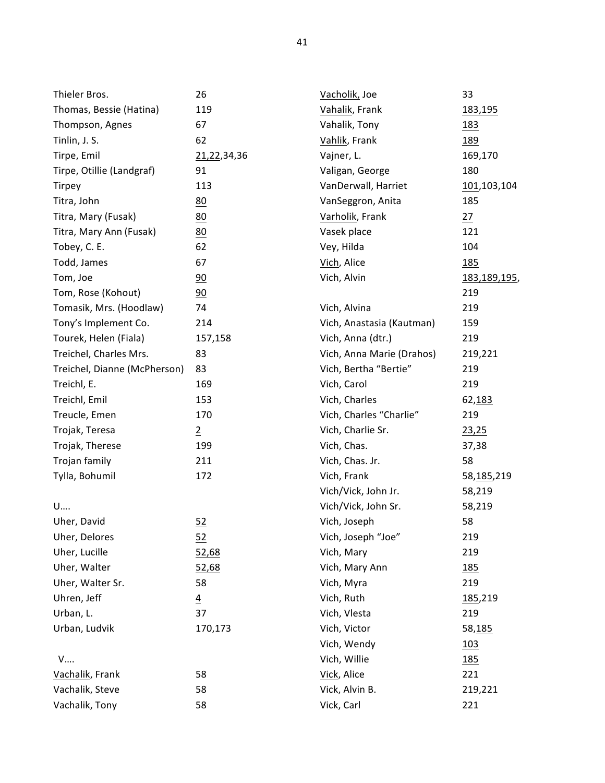| Thieler Bros.                | 26               | Vacholik, Joe             | 33           |
|------------------------------|------------------|---------------------------|--------------|
| Thomas, Bessie (Hatina)      | 119              | Vahalik, Frank            | 183,195      |
| Thompson, Agnes              | 67               | Vahalik, Tony             | <u>183</u>   |
| Tinlin, J. S.                | 62               | Vahlik, Frank             | <u>189</u>   |
| Tirpe, Emil                  | 21,22,34,36      | Vajner, L.                | 169,170      |
| Tirpe, Otillie (Landgraf)    | 91               | Valigan, George           | 180          |
| <b>Tirpey</b>                | 113              | VanDerwall, Harriet       | 101,103,104  |
| Titra, John                  | 80               | VanSeggron, Anita         | 185          |
| Titra, Mary (Fusak)          | 80               | Varholik, Frank           | 27           |
| Titra, Mary Ann (Fusak)      | 80               | Vasek place               | 121          |
| Tobey, C. E.                 | 62               | Vey, Hilda                | 104          |
| Todd, James                  | 67               | Vich, Alice               | <u>185</u>   |
| Tom, Joe                     | 90               | Vich, Alvin               | 183,189,195, |
| Tom, Rose (Kohout)           | $\underline{90}$ |                           | 219          |
| Tomasik, Mrs. (Hoodlaw)      | 74               | Vich, Alvina              | 219          |
| Tony's Implement Co.         | 214              | Vich, Anastasia (Kautman) | 159          |
| Tourek, Helen (Fiala)        | 157,158          | Vich, Anna (dtr.)         | 219          |
| Treichel, Charles Mrs.       | 83               | Vich, Anna Marie (Drahos) | 219,221      |
| Treichel, Dianne (McPherson) | 83               | Vich, Bertha "Bertie"     | 219          |
| Treichl, E.                  | 169              | Vich, Carol               | 219          |
| Treichl, Emil                | 153              | Vich, Charles             | 62,183       |
| Treucle, Emen                | 170              | Vich, Charles "Charlie"   | 219          |
| Trojak, Teresa               | $\overline{2}$   | Vich, Charlie Sr.         | 23,25        |
| Trojak, Therese              | 199              | Vich, Chas.               | 37,38        |
| Trojan family                | 211              | Vich, Chas. Jr.           | 58           |
| Tylla, Bohumil               | 172              | Vich, Frank               | 58,185,219   |
|                              |                  | Vich/Vick, John Jr.       | 58,219       |
| U                            |                  | Vich/Vick, John Sr.       | 58,219       |
| Uher, David                  | 52               | Vich, Joseph              | 58           |
| Uher, Delores                | $rac{52}{1}$     | Vich, Joseph "Joe"        | 219          |
| Uher, Lucille                | 52,68            | Vich, Mary                | 219          |
| Uher, Walter                 | 52,68            | Vich, Mary Ann            | 185          |
| Uher, Walter Sr.             | 58               | Vich, Myra                | 219          |
| Uhren, Jeff                  | $\overline{4}$   | Vich, Ruth                | 185,219      |
| Urban, L.                    | 37               | Vich, Vlesta              | 219          |
| Urban, Ludvik                | 170,173          | Vich, Victor              | 58,185       |
|                              |                  | Vich, Wendy               | 103          |
| V                            |                  | Vich, Willie              | <u>185</u>   |
| Vachalik, Frank              | 58               | Vick, Alice               | 221          |
| Vachalik, Steve              | 58               | Vick, Alvin B.            | 219,221      |
| Vachalik, Tony               | 58               | Vick, Carl                | 221          |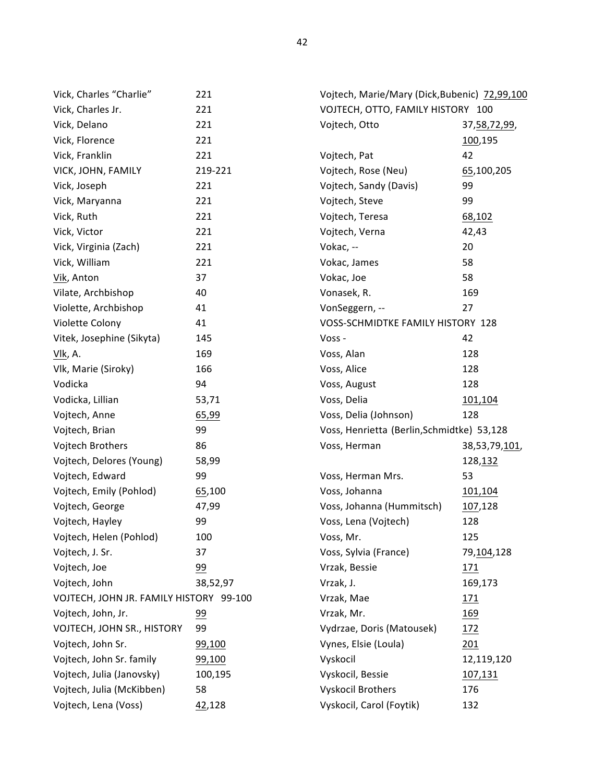| Vick, Charles "Charlie"                 | 221             | Vojtech, Marie/Mary (Dick, Bubenic) 72,99,100 |                 |
|-----------------------------------------|-----------------|-----------------------------------------------|-----------------|
| Vick, Charles Jr.                       | 221             | VOJTECH, OTTO, FAMILY HISTORY 100             |                 |
| Vick, Delano                            | 221             | Vojtech, Otto                                 | 37, 58, 72, 99, |
| Vick, Florence                          | 221             |                                               | 100,195         |
| Vick, Franklin                          | 221             | Vojtech, Pat                                  | 42              |
| VICK, JOHN, FAMILY                      | 219-221         | Vojtech, Rose (Neu)                           | 65,100,205      |
| Vick, Joseph                            | 221             | Vojtech, Sandy (Davis)                        | 99              |
| Vick, Maryanna                          | 221             | Vojtech, Steve                                | 99              |
| Vick, Ruth                              | 221             | Vojtech, Teresa                               | 68,102          |
| Vick, Victor                            | 221             | Vojtech, Verna                                | 42,43           |
| Vick, Virginia (Zach)                   | 221             | Vokac, --                                     | 20              |
| Vick, William                           | 221             | Vokac, James                                  | 58              |
| Vik, Anton                              | 37              | Vokac, Joe                                    | 58              |
| Vilate, Archbishop                      | 40              | Vonasek, R.                                   | 169             |
| Violette, Archbishop                    | 41              | VonSeggern, --                                | 27              |
| Violette Colony                         | 41              | VOSS-SCHMIDTKE FAMILY HISTORY 128             |                 |
| Vitek, Josephine (Sikyta)               | 145             | Voss -                                        | 42              |
| Vlk, A.                                 | 169             | Voss, Alan                                    | 128             |
| Vlk, Marie (Siroky)                     | 166             | Voss, Alice                                   | 128             |
| Vodicka                                 | 94              | Voss, August                                  | 128             |
| Vodicka, Lillian                        | 53,71           | Voss, Delia                                   | 101,104         |
| Vojtech, Anne                           | 65,99           | Voss, Delia (Johnson)                         | 128             |
| Vojtech, Brian                          | 99              | Voss, Henrietta (Berlin, Schmidtke) 53,128    |                 |
| Vojtech Brothers                        | 86              | Voss, Herman                                  | 38,53,79,101,   |
| Vojtech, Delores (Young)                | 58,99           |                                               | 128,132         |
| Vojtech, Edward                         | 99              | Voss, Herman Mrs.                             | 53              |
| Vojtech, Emily (Pohlod)                 | 65,100          | Voss, Johanna                                 | 101,104         |
| Vojtech, George                         | 47,99           | Voss, Johanna (Hummitsch)                     | 107,128         |
| Vojtech, Hayley                         | 99              | Voss, Lena (Vojtech)                          | 128             |
| Vojtech, Helen (Pohlod)                 | 100             | Voss, Mr.                                     | 125             |
| Vojtech, J. Sr.                         | 37              | Voss, Sylvia (France)                         | 79,104,128      |
| Vojtech, Joe                            | 99              | Vrzak, Bessie                                 | <u> 171</u>     |
| Vojtech, John                           | 38,52,97        | Vrzak, J.                                     | 169,173         |
| VOJTECH, JOHN JR. FAMILY HISTORY 99-100 |                 | Vrzak, Mae                                    | <u> 171</u>     |
| Vojtech, John, Jr.                      | $\overline{99}$ | Vrzak, Mr.                                    | <u>169</u>      |
| VOJTECH, JOHN SR., HISTORY              | 99              | Vydrzae, Doris (Matousek)                     | 172             |
| Vojtech, John Sr.                       | 99,100          | Vynes, Elsie (Loula)                          | 201             |
| Vojtech, John Sr. family                | 99,100          | Vyskocil                                      | 12,119,120      |
| Vojtech, Julia (Janovsky)               | 100,195         | Vyskocil, Bessie                              | 107,131         |
| Vojtech, Julia (McKibben)               | 58              | <b>Vyskocil Brothers</b>                      | 176             |
| Vojtech, Lena (Voss)                    | 42,128          | Vyskocil, Carol (Foytik)                      | 132             |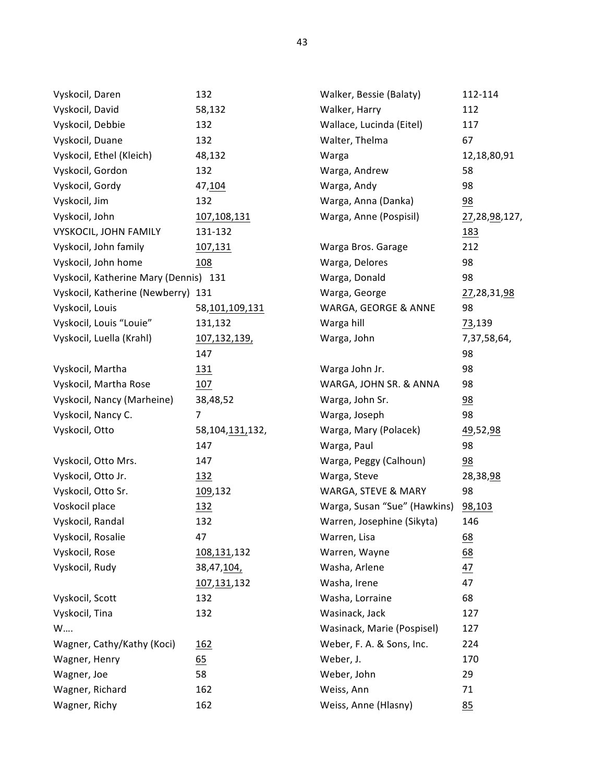| Vyskocil, Daren                       | 132                | Walker, Bessie (Balaty)      | 112-114          |
|---------------------------------------|--------------------|------------------------------|------------------|
| Vyskocil, David                       | 58,132             | Walker, Harry                | 112              |
| Vyskocil, Debbie                      | 132                | Wallace, Lucinda (Eitel)     | 117              |
| Vyskocil, Duane                       | 132                | Walter, Thelma               | 67               |
| Vyskocil, Ethel (Kleich)              | 48,132             | Warga                        | 12,18,80,91      |
| Vyskocil, Gordon                      | 132                | Warga, Andrew                | 58               |
| Vyskocil, Gordy                       | 47,104             | Warga, Andy                  | 98               |
| Vyskocil, Jim                         | 132                | Warga, Anna (Danka)          | $\frac{98}{1}$   |
| Vyskocil, John                        | 107,108,131        | Warga, Anne (Pospisil)       | 27,28,98,127,    |
| <b>VYSKOCIL, JOHN FAMILY</b>          | 131-132            |                              | <u> 183</u>      |
| Vyskocil, John family                 | 107,131            | Warga Bros. Garage           | 212              |
| Vyskocil, John home                   | 108                | Warga, Delores               | 98               |
| Vyskocil, Katherine Mary (Dennis) 131 |                    | Warga, Donald                | 98               |
| Vyskocil, Katherine (Newberry) 131    |                    | Warga, George                | 27,28,31,98      |
| Vyskocil, Louis                       | 58,101,109,131     | WARGA, GEORGE & ANNE         | 98               |
| Vyskocil, Louis "Louie"               | 131,132            | Warga hill                   | 73,139           |
| Vyskocil, Luella (Krahl)              | 107,132,139,       | Warga, John                  | 7,37,58,64,      |
|                                       | 147                |                              | 98               |
| Vyskocil, Martha                      | <u>131</u>         | Warga John Jr.               | 98               |
| Vyskocil, Martha Rose                 | 107                | WARGA, JOHN SR. & ANNA       | 98               |
| Vyskocil, Nancy (Marheine)            | 38,48,52           | Warga, John Sr.              | $\frac{98}{1}$   |
| Vyskocil, Nancy C.                    | $\overline{7}$     | Warga, Joseph                | 98               |
| Vyskocil, Otto                        | 58, 104, 131, 132, | Warga, Mary (Polacek)        | <u>49,52,98</u>  |
|                                       | 147                | Warga, Paul                  | 98               |
| Vyskocil, Otto Mrs.                   | 147                | Warga, Peggy (Calhoun)       | $\frac{98}{1}$   |
| Vyskocil, Otto Jr.                    | <u> 132</u>        | Warga, Steve                 | 28,38,98         |
| Vyskocil, Otto Sr.                    | 109,132            | WARGA, STEVE & MARY          | 98               |
| Voskocil place                        | <u> 132</u>        | Warga, Susan "Sue" (Hawkins) | 98,103           |
| Vyskocil, Randal                      | 132                | Warren, Josephine (Sikyta)   | 146              |
| Vyskocil, Rosalie                     | 47                 | Warren, Lisa                 | <u>68</u>        |
| Vyskocil, Rose                        | 108,131,132        | Warren, Wayne                | $\underline{68}$ |
| Vyskocil, Rudy                        | 38,47,104,         | Washa, Arlene                | 47               |
|                                       | 107,131,132        | Washa, Irene                 | 47               |
| Vyskocil, Scott                       | 132                | Washa, Lorraine              | 68               |
| Vyskocil, Tina                        | 132                | Wasinack, Jack               | 127              |
| W                                     |                    | Wasinack, Marie (Pospisel)   | 127              |
| Wagner, Cathy/Kathy (Koci)            | <u>162</u>         | Weber, F. A. & Sons, Inc.    | 224              |
| Wagner, Henry                         | 65                 | Weber, J.                    | 170              |
| Wagner, Joe                           | 58                 | Weber, John                  | 29               |
| Wagner, Richard                       | 162                | Weiss, Ann                   | 71               |
| Wagner, Richy                         | 162                | Weiss, Anne (Hlasny)         | 85               |
|                                       |                    |                              |                  |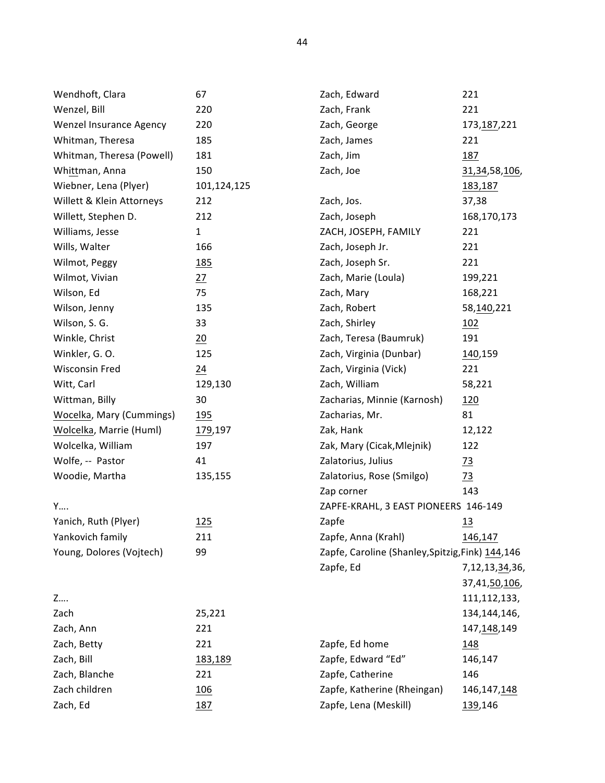| Wendhoft, Clara                 | 67              | Zach, Edward                                      | 221                |
|---------------------------------|-----------------|---------------------------------------------------|--------------------|
| Wenzel, Bill                    | 220             | Zach, Frank                                       | 221                |
| <b>Wenzel Insurance Agency</b>  | 220             | Zach, George                                      | 173, 187, 221      |
| Whitman, Theresa                | 185             | Zach, James                                       | 221                |
| Whitman, Theresa (Powell)       | 181             | Zach, Jim                                         | <u>187</u>         |
| Whittman, Anna                  | 150             | Zach, Joe                                         | 31, 34, 58, 106,   |
| Wiebner, Lena (Plyer)           | 101,124,125     |                                                   | 183,187            |
| Willett & Klein Attorneys       | 212             | Zach, Jos.                                        | 37,38              |
| Willett, Stephen D.             | 212             | Zach, Joseph                                      | 168,170,173        |
| Williams, Jesse                 | $\mathbf{1}$    | ZACH, JOSEPH, FAMILY                              | 221                |
| Wills, Walter                   | 166             | Zach, Joseph Jr.                                  | 221                |
| Wilmot, Peggy                   | <u>185</u>      | Zach, Joseph Sr.                                  | 221                |
| Wilmot, Vivian                  | 27              | Zach, Marie (Loula)                               | 199,221            |
| Wilson, Ed                      | 75              | Zach, Mary                                        | 168,221            |
| Wilson, Jenny                   | 135             | Zach, Robert                                      | 58,140,221         |
| Wilson, S. G.                   | 33              | Zach, Shirley                                     | <u> 102</u>        |
| Winkle, Christ                  | $\frac{20}{2}$  | Zach, Teresa (Baumruk)                            | 191                |
| Winkler, G. O.                  | 125             | Zach, Virginia (Dunbar)                           | 140,159            |
| <b>Wisconsin Fred</b>           | $\overline{24}$ | Zach, Virginia (Vick)                             | 221                |
| Witt, Carl                      | 129,130         | Zach, William                                     | 58,221             |
| Wittman, Billy                  | 30              | Zacharias, Minnie (Karnosh)                       | <u>120</u>         |
| <b>Wocelka, Mary (Cummings)</b> | <u>195</u>      | Zacharias, Mr.                                    | 81                 |
| Wolcelka, Marrie (Huml)         | 179,197         | Zak, Hank                                         | 12,122             |
| Wolcelka, William               | 197             | Zak, Mary (Cicak, Mlejnik)                        | 122                |
| Wolfe, -- Pastor                | 41              | Zalatorius, Julius                                | $\frac{73}{2}$     |
| Woodie, Martha                  | 135,155         | Zalatorius, Rose (Smilgo)                         | $\frac{73}{2}$     |
|                                 |                 | Zap corner                                        | 143                |
| Y                               |                 | ZAPFE-KRAHL, 3 EAST PIONEERS 146-149              |                    |
| Yanich, Ruth (Plyer)            | 125             | Zapfe                                             | $\underline{13}$   |
| Yankovich family                | 211             | Zapfe, Anna (Krahl)                               | 146,147            |
| Young, Dolores (Vojtech)        | 99              | Zapfe, Caroline (Shanley, Spitzig, Fink) 144, 146 |                    |
|                                 |                 | Zapfe, Ed                                         | 7, 12, 13, 34, 36, |
|                                 |                 |                                                   | 37,41,50,106,      |
| Z                               |                 |                                                   | 111, 112, 133,     |
| Zach                            | 25,221          |                                                   | 134,144,146,       |
| Zach, Ann                       | 221             |                                                   | 147,148,149        |
| Zach, Betty                     | 221             | Zapfe, Ed home                                    | 148                |
| Zach, Bill                      | <u>183,189</u>  | Zapfe, Edward "Ed"                                | 146,147            |
| Zach, Blanche                   | 221             | Zapfe, Catherine                                  | 146                |
| Zach children                   | <u>106</u>      | Zapfe, Katherine (Rheingan)                       | 146, 147, 148      |
| Zach, Ed                        | 187             | Zapfe, Lena (Meskill)                             | 139,146            |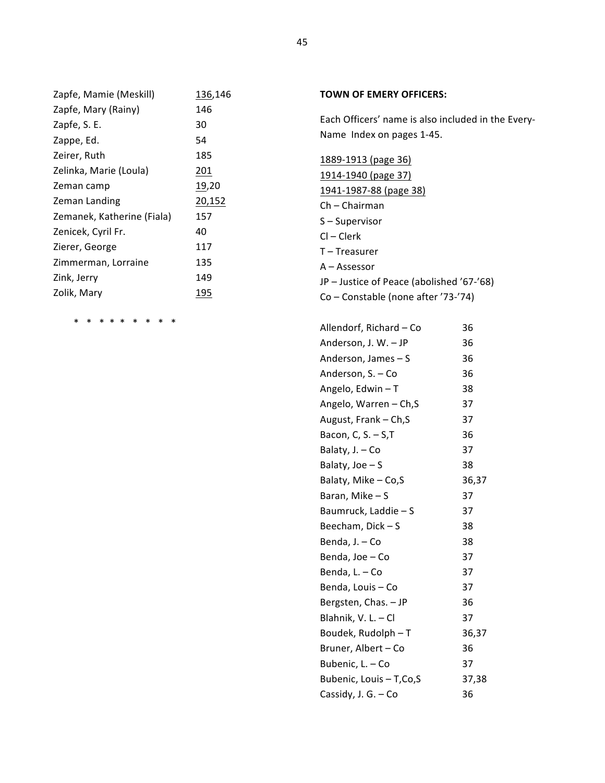| Zapfe, Mamie (Meskill)     | 136,146 |
|----------------------------|---------|
| Zapfe, Mary (Rainy)        | 146     |
| Zapfe, S. E.               | 30      |
| Zappe, Ed.                 | 54      |
| Zeirer, Ruth               | 185     |
| Zelinka, Marie (Loula)     | 201     |
| Zeman camp                 | 19,20   |
| Zeman Landing              | 20,152  |
| Zemanek, Katherine (Fiala) | 157     |
| Zenicek, Cyril Fr.         | 40      |
| Zierer, George             | 117     |
| Zimmerman, Lorraine        | 135     |
| Zink, Jerry                | 149     |
| Zolik, Mary                | 195     |

\* \* \* \* \* \* \* \* \*

## **TOWN OF EMERY OFFICERS:**

Each Officers' name is also included in the Every-Name Index on pages 1-45.

1889-1913 (page 36)

- 1914-1940 (page 37) 1941-1987-88 (page 38)
- Ch – Chairman
- S-Supervisor
- $Cl Clerk$
- T-Treasurer
- A Assessor
- JP Justice of Peace (abolished '67-'68)
- Co Constable (none after '73-'74)

| Allendorf, Richard - Co | 36    |
|-------------------------|-------|
| Anderson, J. W. - JP    | 36    |
| Anderson, James $- S$   | 36    |
| Anderson, S. - Co       | 36    |
| Angelo, Edwin - T       | 38    |
| Angelo, Warren - Ch, S  | 37    |
| August, Frank - Ch, S   | 37    |
| Bacon, C, $S. - S, T$   | 36    |
| Balaty, J. - Co         | 37    |
| Balaty, Joe $- S$       | 38    |
| Balaty, Mike - Co,S     | 36,37 |
| Baran, Mike-S           | 37    |
| Baumruck, Laddie - S    | 37    |
| Beecham, Dick – S       | 38    |
| Benda, J. – Co          | 38    |
| Benda, Joe – Co         | 37    |
| Benda, L. - Co          | 37    |
| Benda, Louis - Co       | 37    |
| Bergsten, Chas. - JP    | 36    |
| Blahnik, V. L. - Cl     | 37    |
| Boudek, Rudolph - T     | 36,37 |
| Bruner, Albert - Co     | 36    |
| Bubenic, L. - Co        | 37    |
| Bubenic, Louis - T,Co,S | 37,38 |
| Cassidy, J. G. - Co     | 36    |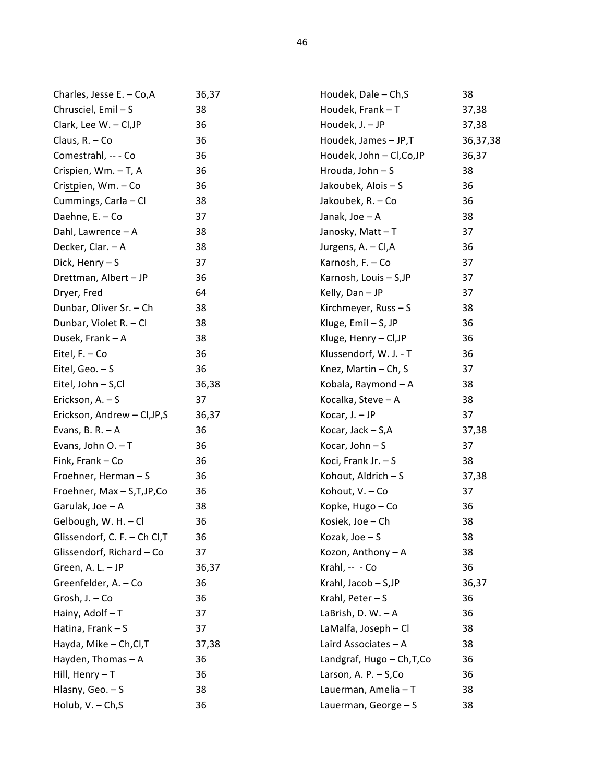| Charles, Jesse E. - Co, A     | 36,37 | Houdek, Dale - Ch, S       | 38       |
|-------------------------------|-------|----------------------------|----------|
| Chrusciel, Emil-S             | 38    | Houdek, Frank - T          | 37,38    |
| Clark, Lee W. - Cl, JP        | 36    | Houdek, J. - JP            | 37,38    |
| Claus, R. - Co                | 36    | Houdek, James - JP,T       | 36,37,38 |
| Comestrahl, -- - Co           | 36    | Houdek, John - Cl, Co, JP  | 36,37    |
| Crispien, Wm. - T, A          | 36    | Hrouda, John - S           | 38       |
| Cristpien, Wm. - Co           | 36    | Jakoubek, Alois - S        | 36       |
| Cummings, Carla - Cl          | 38    | Jakoubek, R. - Co          | 36       |
| Daehne, E. - Co               | 37    | Janak, Joe - A             | 38       |
| Dahl, Lawrence - A            | 38    | Janosky, Matt-T            | 37       |
| Decker, Clar. - A             | 38    | Jurgens, A. - Cl, A        | 36       |
| Dick, Henry - S               | 37    | Karnosh, F. - Co           | 37       |
| Drettman, Albert - JP         | 36    | Karnosh, Louis - S, JP     | 37       |
| Dryer, Fred                   | 64    | Kelly, Dan - JP            | 37       |
| Dunbar, Oliver Sr. - Ch       | 38    | Kirchmeyer, Russ - S       | 38       |
| Dunbar, Violet R. - Cl        | 38    | Kluge, Emil - S, JP        | 36       |
| Dusek, Frank - A              | 38    | Kluge, Henry - Cl, JP      | 36       |
| Eitel, F. - Co                | 36    | Klussendorf, W. J. - T     | 36       |
| Eitel, Geo. $-$ S             | 36    | Knez, Martin - Ch, S       | 37       |
| Eitel, John - S,Cl            | 36,38 | Kobala, Raymond - A        | 38       |
| Erickson, A. - S              | 37    | Kocalka, Steve - A         | 38       |
| Erickson, Andrew - Cl, JP, S  | 36,37 | Kocar, J. - JP             | 37       |
| Evans, B. R. $-$ A            | 36    | Kocar, Jack - S,A          | 37,38    |
| Evans, John $O. - T$          | 36    | Kocar, John-S              | 37       |
| Fink, Frank - Co              | 36    | Koci, Frank Jr. - S        | 38       |
| Froehner, Herman-S            | 36    | Kohout, Aldrich - S        | 37,38    |
| Froehner, Max - S,T,JP,Co     | 36    | Kohout, V. - Co            | 37       |
| Garulak, Joe - A              | 38    | Kopke, Hugo - Co           | 36       |
| Gelbough, W. H. - Cl          | 36    | Kosiek, Joe - Ch           | 38       |
| Glissendorf, C. F. - Ch Cl, T | 36    | Kozak, Joe - S             | 38       |
| Glissendorf, Richard - Co     | 37    | Kozon, Anthony - A         | 38       |
| Green, A. L. - JP             | 36,37 | Krahl, -- - Co             | 36       |
| Greenfelder, A. - Co          | 36    | Krahl, Jacob - S,JP        | 36,37    |
| Grosh, J. - Co                | 36    | Krahl, Peter - S           | 36       |
| Hainy, Adolf - T              | 37    | LaBrish, D. W. - A         | 36       |
| Hatina, Frank - S             | 37    | LaMalfa, Joseph - Cl       | 38       |
| Hayda, Mike - Ch, Cl, T       | 37,38 | Laird Associates - A       | 38       |
| Hayden, Thomas - A            | 36    | Landgraf, Hugo - Ch, T, Co | 36       |
| Hill, Henry $-T$              | 36    | Larson, A. P. $-$ S, Co    | 36       |
| Hlasny, Geo. $- S$            | 38    | Lauerman, Amelia - T       | 38       |
| Holub, V. - Ch, S             | 36    | Lauerman, George - S       | 38       |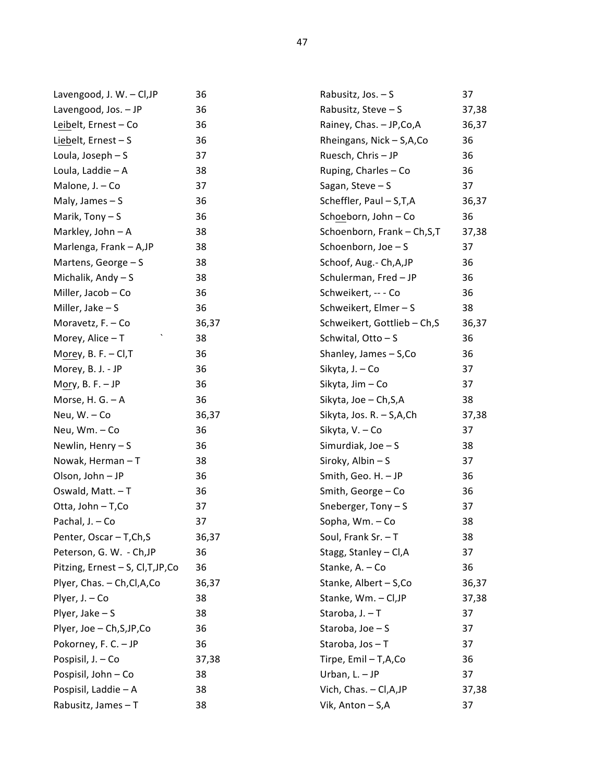| Lavengood, J. W. - Cl, JP          | 36    | Rabusitz, Jos. - S           | 37    |
|------------------------------------|-------|------------------------------|-------|
| Lavengood, Jos. - JP               | 36    | Rabusitz, Steve - S          | 37,38 |
| Leibelt, Ernest - Co               | 36    | Rainey, Chas. - JP, Co, A    | 36,37 |
| Liebelt, Ernest-S                  | 36    | Rheingans, Nick - S,A,Co     | 36    |
| Loula, Joseph - S                  | 37    | Ruesch, Chris - JP           | 36    |
| Loula, Laddie - A                  | 38    | Ruping, Charles - Co         | 36    |
| Malone, J. - Co                    | 37    | Sagan, Steve $-$ S           | 37    |
| Maly, James $- S$                  | 36    | Scheffler, Paul - S,T,A      | 36,37 |
| Marik, Tony $- S$                  | 36    | Schoeborn, John - Co         | 36    |
| Markley, John - A                  | 38    | Schoenborn, Frank - Ch, S, T | 37,38 |
| Marlenga, Frank - A, JP            | 38    | Schoenborn, Joe - S          | 37    |
| Martens, George - S                | 38    | Schoof, Aug.- Ch, A, JP      | 36    |
| Michalik, Andy - S                 | 38    | Schulerman, Fred - JP        | 36    |
| Miller, Jacob - Co                 | 36    | Schweikert, -- - Co          | 36    |
| Miller, Jake $- S$                 | 36    | Schweikert, Elmer - S        | 38    |
| Moravetz, F. - Co                  | 36,37 | Schweikert, Gottlieb - Ch, S | 36,37 |
| Morey, Alice - T                   | 38    | Schwital, Otto-S             | 36    |
| Morey, B. F. $-$ Cl, T             | 36    | Shanley, James - S, Co       | 36    |
| Morey, B. J. - JP                  | 36    | Sikyta, J. - Co              | 37    |
| Mory, B. F. $-$ JP                 | 36    | Sikyta, Jim - Co             | 37    |
| Morse, H. G. $-$ A                 | 36    | Sikyta, Joe - Ch, S, A       | 38    |
| Neu, W. - Co                       | 36,37 | Sikyta, Jos. R. - S, A, Ch   | 37,38 |
| Neu, Wm. - Co                      | 36    | Sikyta, V. - Co              | 37    |
| Newlin, Henry - S                  | 36    | Simurdiak, Joe - S           | 38    |
| Nowak, Herman-T                    | 38    | Siroky, Albin - S            | 37    |
| Olson, John - JP                   | 36    | Smith, Geo. H. - JP          | 36    |
| Oswald, Matt. - T                  | 36    | Smith, George - Co           | 36    |
| Otta, John - T, Co                 | 37    | Sneberger, $Tony - S$        | 37    |
| Pachal, J. - Co                    | 37    | Sopha, Wm. - Co              | 38    |
| Penter, Oscar - T, Ch, S           | 36,37 | Soul, Frank Sr. - T          | 38    |
| Peterson, G. W. - Ch, JP           | 36    | Stagg, Stanley - Cl, A       | 37    |
| Pitzing, Ernest - S, Cl, T, JP, Co | 36    | Stanke, A. - Co              | 36    |
| Plyer, Chas. - Ch, Cl, A, Co       | 36,37 | Stanke, Albert - S, Co       | 36,37 |
| Plyer, J. - Co                     | 38    | Stanke, Wm. - Cl, JP         | 37,38 |
| Plyer, Jake $- S$                  | 38    | Staroba, J. - T              | 37    |
| Plyer, Joe - Ch, S, JP, Co         | 36    | Staroba, Joe - S             | 37    |
| Pokorney, F. C. - JP               | 36    | Staroba, Jos - T             | 37    |
| Pospisil, J. - Co                  | 37,38 | Tirpe, Emil - T,A,Co         | 36    |
| Pospisil, John - Co                | 38    | Urban, L. - JP               | 37    |
| Pospisil, Laddie - A               | 38    | Vich, Chas. - Cl, A, JP      | 37,38 |
| Rabusitz, James - T                | 38    | Vik, Anton - S,A             | 37    |